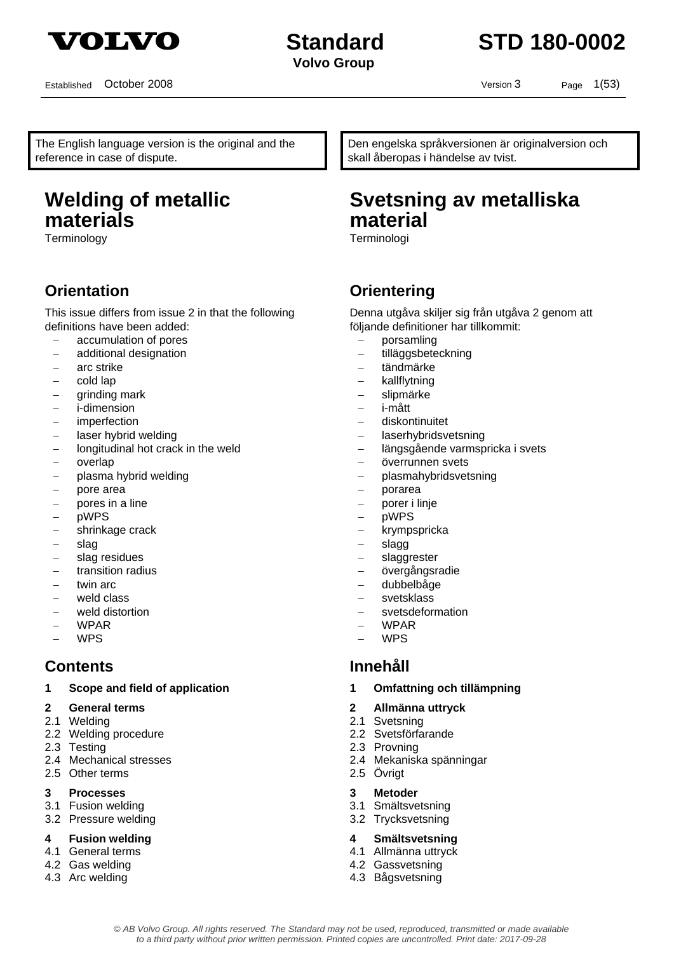

## **Standard STD 180-0002**

Established October 2008 Version 3 Page 1(53)

The English language version is the original and the reference in case of dispute.

## **Welding of metallic materials**

Terminology Terminologi

## **Orientation Communisty Communisty Communisty Communisty Communisty Communisty Communisty Communisty Communisty**

This issue differs from issue 2 in that the following definitions have been added:

- − accumulation of pores
- − additional designation
- − arc strike
- − cold lap
- − grinding mark
- − i-dimension
- − imperfection
- laser hybrid welding
- − longitudinal hot crack in the weld
- − overlap
- − plasma hybrid welding
- − pore area
- − pores in a line
- − pWPS
- − shrinkage crack
- − slag
- − slag residues
- transition radius
- twin arc
- weld class
- weld distortion
- − WPAR
- − WPS

### **Contents Innehåll**

- **1 Scope and field of application 1 Omfattning och tillämpning**
- 
- 2.1 Welding 2.1 Svetsning
- 2.2 Welding procedure 2.2 Svetsförfarande
- 
- 
- 2.5 Other terms 2.5 Övrigt
- **3 Processes 3 Metoder**
- 
- 3.2 Pressure welding 3.2 Trycksvetsning
- 
- 
- 4.2 Gas welding 4.2 Gassvetsning
- 

Den engelska språkversionen är originalversion och skall åberopas i händelse av tvist.

## **Svetsning av metalliska material**

Denna utgåva skiljer sig från utgåva 2 genom att följande definitioner har tillkommit:

- − porsamling
- − tilläggsbeteckning
- − tändmärke
- − kallflytning
- slipmärke
- − i-mått
- − diskontinuitet
- − laserhybridsvetsning
- − längsgående varmspricka i svets
- − överrunnen svets
- − plasmahybridsvetsning
- − porarea
- − porer i linje
- − pWPS
- − krympspricka
- slagg
- − slaggrester
- − övergångsradie
- − dubbelbåge
- svetsklass
- − svetsdeformation
- − WPAR
- − WPS

- 
- **2 General terms 2 Allmänna uttryck** 
	-
	-
- 2.3 Testing 2.3 Provning
- 2.4 Mechanical stresses 2.4 Mekaniska spänningar
	-
	-
- 3.1 Fusion welding 3.1 Smältsvetsning
	-
- **4 Fusion welding 4 Smältsvetsning**
- 4.1 General terms 4.1 Allmänna uttryck
	-
- 4.3 Arc welding 4.3 Bågsvetsning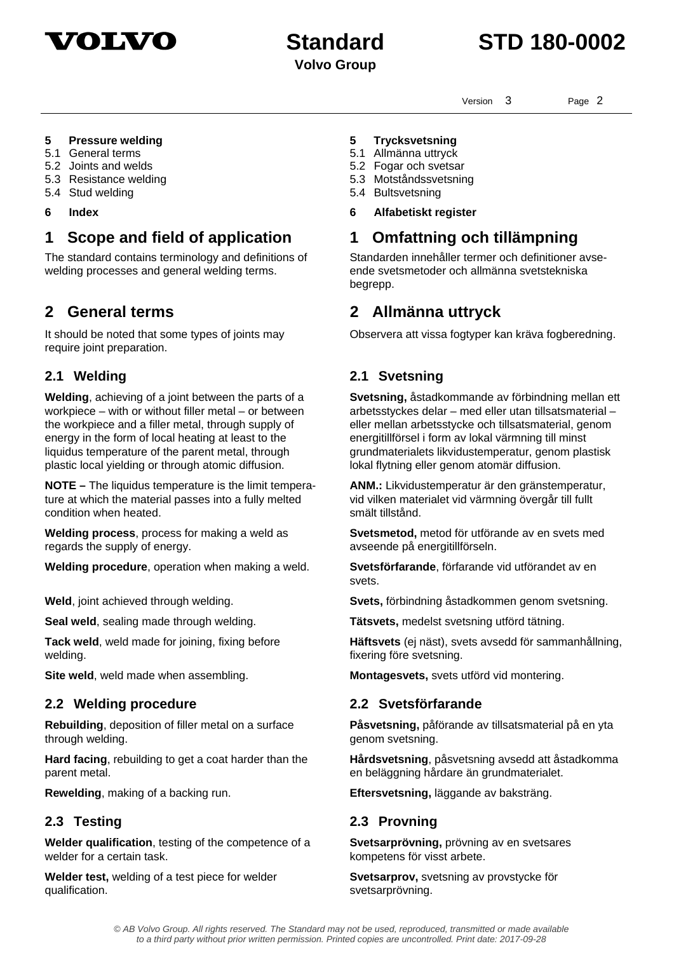



Version 3 Page 2

### **5 Pressure welding 5 Trycksvetsning**

5.1 General terms 5.1 Allmänna uttryck<br>5.2 Joints and welds 5.2 Joints and welds

- 
- 5.3 Resistance welding 5.3 Motståndssvetsning
- 5.4 Stud welding 5.4 Bultsvetsning
- 

## **1 Scope and field of application 1 Omfattning och tillämpning**

The standard contains terminology and definitions of welding processes and general welding terms.

It should be noted that some types of joints may require joint preparation.

**Welding**, achieving of a joint between the parts of a workpiece – with or without filler metal – or between the workpiece and a filler metal, through supply of energy in the form of local heating at least to the liquidus temperature of the parent metal, through plastic local yielding or through atomic diffusion.

**NOTE –** The liquidus temperature is the limit temperature at which the material passes into a fully melted condition when heated.

**Welding process**, process for making a weld as regards the supply of energy.

**Welding procedure**, operation when making a weld. **Svetsförfarande**, förfarande vid utförandet av en

**Tack weld**, weld made for joining, fixing before welding.

### **2.2 Welding procedure 2.2 Svetsförfarande**

**Rebuilding**, deposition of filler metal on a surface through welding.

**Hard facing**, rebuilding to get a coat harder than the parent metal.

**Welder qualification**, testing of the competence of a welder for a certain task.

**Welder test,** welding of a test piece for welder qualification.

- 
- 5.2 Fogar och svetsar
- 
- **6 Index 6 Alfabetiskt register**

Standarden innehåller termer och definitioner avseende svetsmetoder och allmänna svetstekniska begrepp.

## **2 General terms 2 Allmänna uttryck**

Observera att vissa fogtyper kan kräva fogberedning.

### **2.1 Welding 2.1 Svetsning**

**Svetsning,** åstadkommande av förbindning mellan ett arbetsstyckes delar – med eller utan tillsatsmaterial – eller mellan arbetsstycke och tillsatsmaterial, genom energitillförsel i form av lokal värmning till minst grundmaterialets likvidustemperatur, genom plastisk lokal flytning eller genom atomär diffusion.

**ANM.:** Likvidustemperatur är den gränstemperatur, vid vilken materialet vid värmning övergår till fullt smält tillstånd.

**Svetsmetod,** metod för utförande av en svets med avseende på energitillförseln.

svets.

**Weld**, joint achieved through welding. **Svets,** förbindning åstadkommen genom svetsning.

**Seal weld**, sealing made through welding. **Tätsvets,** medelst svetsning utförd tätning.

**Häftsvets** (ej näst), svets avsedd för sammanhållning, fixering före svetsning.

**Site weld**, weld made when assembling. **Montagesvets,** svets utförd vid montering.

**Påsvetsning,** påförande av tillsatsmaterial på en yta genom svetsning.

**Hårdsvetsning**, påsvetsning avsedd att åstadkomma en beläggning hårdare än grundmaterialet.

**Rewelding**, making of a backing run. **Eftersvetsning,** läggande av baksträng.

### **2.3 Testing 2.3 Provning**

**Svetsarprövning,** prövning av en svetsares kompetens för visst arbete.

**Svetsarprov,** svetsning av provstycke för svetsarprövning.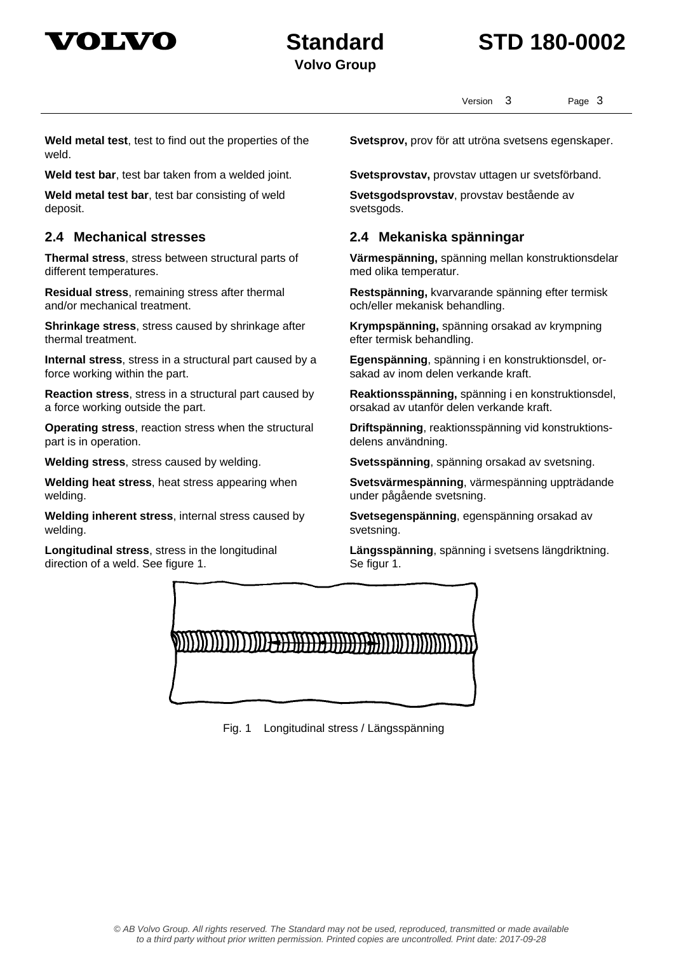



Version 3 Page 3

**Weld metal test**, test to find out the properties of the weld.

**Weld metal test bar**, test bar consisting of weld deposit.

**Thermal stress**, stress between structural parts of different temperatures.

**Residual stress**, remaining stress after thermal and/or mechanical treatment.

**Shrinkage stress**, stress caused by shrinkage after thermal treatment.

**Internal stress**, stress in a structural part caused by a force working within the part.

**Reaction stress**, stress in a structural part caused by a force working outside the part.

**Operating stress**, reaction stress when the structural part is in operation.

**Welding heat stress**, heat stress appearing when welding.

**Welding inherent stress**, internal stress caused by welding.

**Longitudinal stress**, stress in the longitudinal direction of a weld. See figure 1.

**Svetsprov,** prov för att utröna svetsens egenskaper.

**Weld test bar**, test bar taken from a welded joint. **Svetsprovstav,** provstav uttagen ur svetsförband.

**Svetsgodsprovstav**, provstav bestående av svetsgods.

### **2.4 Mechanical stresses 2.4 Mekaniska spänningar**

**Värmespänning,** spänning mellan konstruktionsdelar med olika temperatur.

**Restspänning,** kvarvarande spänning efter termisk och/eller mekanisk behandling.

**Krympspänning,** spänning orsakad av krympning efter termisk behandling.

**Egenspänning**, spänning i en konstruktionsdel, orsakad av inom delen verkande kraft.

**Reaktionsspänning,** spänning i en konstruktionsdel, orsakad av utanför delen verkande kraft.

**Driftspänning**, reaktionsspänning vid konstruktionsdelens användning.

**Welding stress**, stress caused by welding. **Svetsspänning**, spänning orsakad av svetsning.

**Svetsvärmespänning**, värmespänning uppträdande under pågående svetsning.

**Svetsegenspänning**, egenspänning orsakad av svetsning.

**Längsspänning**, spänning i svetsens längdriktning. Se figur 1.



Fig. 1 Longitudinal stress / Längsspänning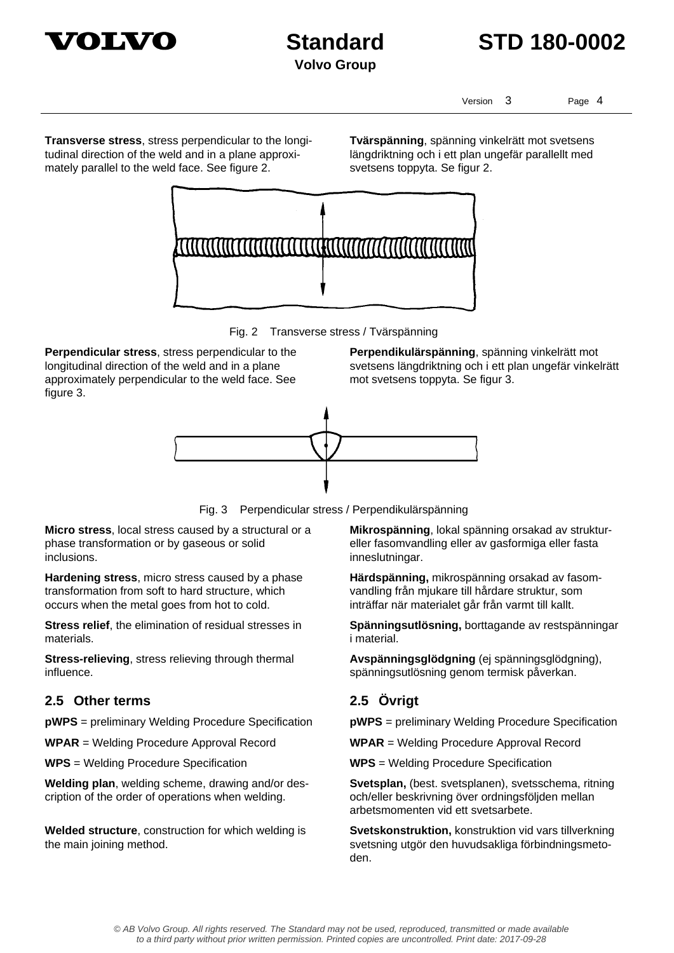



Version 3 Page 4

**Transverse stress**, stress perpendicular to the longitudinal direction of the weld and in a plane approximately parallel to the weld face. See figure 2.

**Tvärspänning**, spänning vinkelrätt mot svetsens längdriktning och i ett plan ungefär parallellt med svetsens toppyta. Se figur 2.



Fig. 2 Transverse stress / Tvärspänning

**Perpendicular stress**, stress perpendicular to the longitudinal direction of the weld and in a plane approximately perpendicular to the weld face. See figure 3.

**Perpendikulärspänning**, spänning vinkelrätt mot svetsens längdriktning och i ett plan ungefär vinkelrätt mot svetsens toppyta. Se figur 3.



Fig. 3 Perpendicular stress / Perpendikulärspänning

**Micro stress**, local stress caused by a structural or a phase transformation or by gaseous or solid inclusions.

**Hardening stress**, micro stress caused by a phase transformation from soft to hard structure, which occurs when the metal goes from hot to cold.

**Stress relief**, the elimination of residual stresses in materials.

**Stress-relieving**, stress relieving through thermal influence.

### **2.5 Other terms 2.5 Övrigt**

**pWPS** = preliminary Welding Procedure Specification **pWPS** = preliminary Welding Procedure Specification

**WPAR** = Welding Procedure Approval Record **WPAR** = Welding Procedure Approval Record

**WPS** = Welding Procedure Specification **WPS** = Welding Procedure Specification

**Welding plan**, welding scheme, drawing and/or description of the order of operations when welding.

**Welded structure**, construction for which welding is the main joining method.

**Mikrospänning**, lokal spänning orsakad av struktureller fasomvandling eller av gasformiga eller fasta inneslutningar.

**Härdspänning,** mikrospänning orsakad av fasomvandling från mjukare till hårdare struktur, som inträffar när materialet går från varmt till kallt.

**Spänningsutlösning,** borttagande av restspänningar i material.

**Avspänningsglödgning** (ej spänningsglödgning), spänningsutlösning genom termisk påverkan.

**Svetsplan,** (best. svetsplanen), svetsschema, ritning och/eller beskrivning över ordningsföljden mellan arbetsmomenten vid ett svetsarbete.

**Svetskonstruktion,** konstruktion vid vars tillverkning svetsning utgör den huvudsakliga förbindningsmetoden.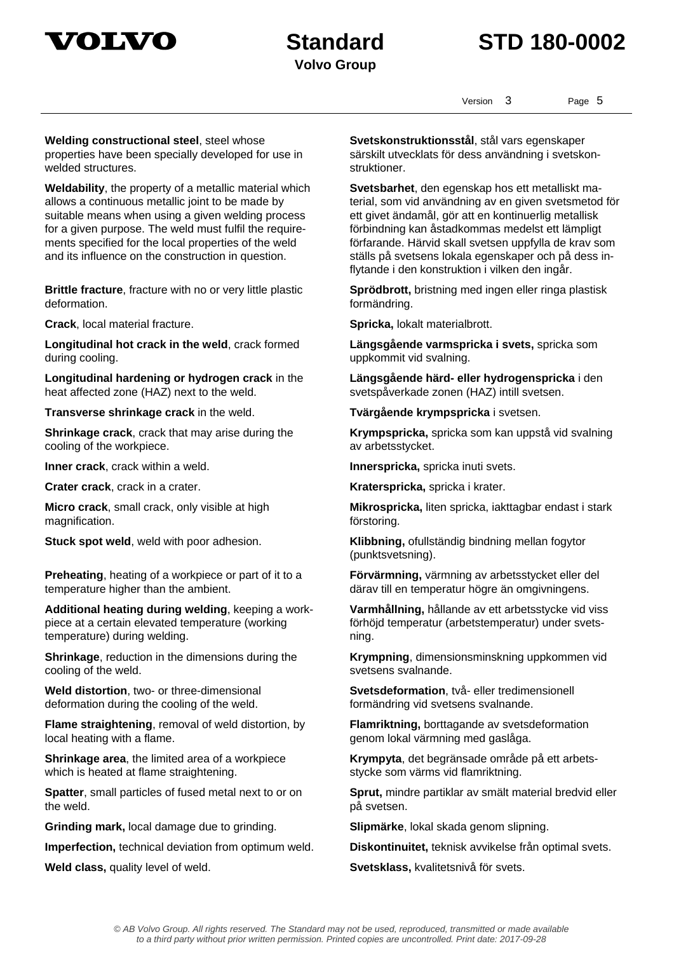



Version 3 Page 5

**Welding constructional steel**, steel whose properties have been specially developed for use in welded structures.

**Weldability**, the property of a metallic material which allows a continuous metallic joint to be made by suitable means when using a given welding process for a given purpose. The weld must fulfil the requirements specified for the local properties of the weld and its influence on the construction in question.

**Brittle fracture**, fracture with no or very little plastic deformation.

**Crack**, local material fracture. **Spricka**, lokalt materialbrott.

**Longitudinal hot crack in the weld**, crack formed during cooling.

**Longitudinal hardening or hydrogen crack** in the heat affected zone (HAZ) next to the weld.

**Transverse shrinkage crack** in the weld. **Tvärgående krympspricka** i svetsen.

**Shrinkage crack**, crack that may arise during the cooling of the workpiece.

**Inner crack**, crack within a weld. **Innerspricka**, spricka inuti svets.

**Micro crack**, small crack, only visible at high magnification.

**Preheating**, heating of a workpiece or part of it to a temperature higher than the ambient.

**Additional heating during welding**, keeping a workpiece at a certain elevated temperature (working temperature) during welding.

**Shrinkage**, reduction in the dimensions during the cooling of the weld.

**Weld distortion**, two- or three-dimensional deformation during the cooling of the weld.

**Flame straightening**, removal of weld distortion, by local heating with a flame.

**Shrinkage area**, the limited area of a workpiece which is heated at flame straightening.

**Spatter**, small particles of fused metal next to or on the weld.

**Grinding mark,** local damage due to grinding. **Slipmärke**, lokal skada genom slipning.

**Imperfection,** technical deviation from optimum weld. **Diskontinuitet,** teknisk avvikelse från optimal svets.

**Svetskonstruktionsstål**, stål vars egenskaper särskilt utvecklats för dess användning i svetskonstruktioner.

**Svetsbarhet**, den egenskap hos ett metalliskt material, som vid användning av en given svetsmetod för ett givet ändamål, gör att en kontinuerlig metallisk förbindning kan åstadkommas medelst ett lämpligt förfarande. Härvid skall svetsen uppfylla de krav som ställs på svetsens lokala egenskaper och på dess inflytande i den konstruktion i vilken den ingår.

**Sprödbrott,** bristning med ingen eller ringa plastisk formändring.

**Längsgående varmspricka i svets,** spricka som uppkommit vid svalning.

**Längsgående härd- eller hydrogenspricka** i den svetspåverkade zonen (HAZ) intill svetsen.

**Krympspricka,** spricka som kan uppstå vid svalning av arbetsstycket.

**Crater crack**, crack in a crater. **Kraterspricka,** spricka i krater.

**Mikrospricka,** liten spricka, iakttagbar endast i stark förstoring.

**Stuck spot weld**, weld with poor adhesion. **Klibbning,** ofullständig bindning mellan fogytor (punktsvetsning).

> **Förvärmning,** värmning av arbetsstycket eller del därav till en temperatur högre än omgivningens.

**Varmhållning,** hållande av ett arbetsstycke vid viss förhöjd temperatur (arbetstemperatur) under svetsning.

**Krympning**, dimensionsminskning uppkommen vid svetsens svalnande.

**Svetsdeformation**, två- eller tredimensionell formändring vid svetsens svalnande.

**Flamriktning,** borttagande av svetsdeformation genom lokal värmning med gaslåga.

**Krympyta**, det begränsade område på ett arbetsstycke som värms vid flamriktning.

**Sprut,** mindre partiklar av smält material bredvid eller på svetsen.

**Weld class,** quality level of weld. **Svetsklass,** kvalitetsnivå för svets.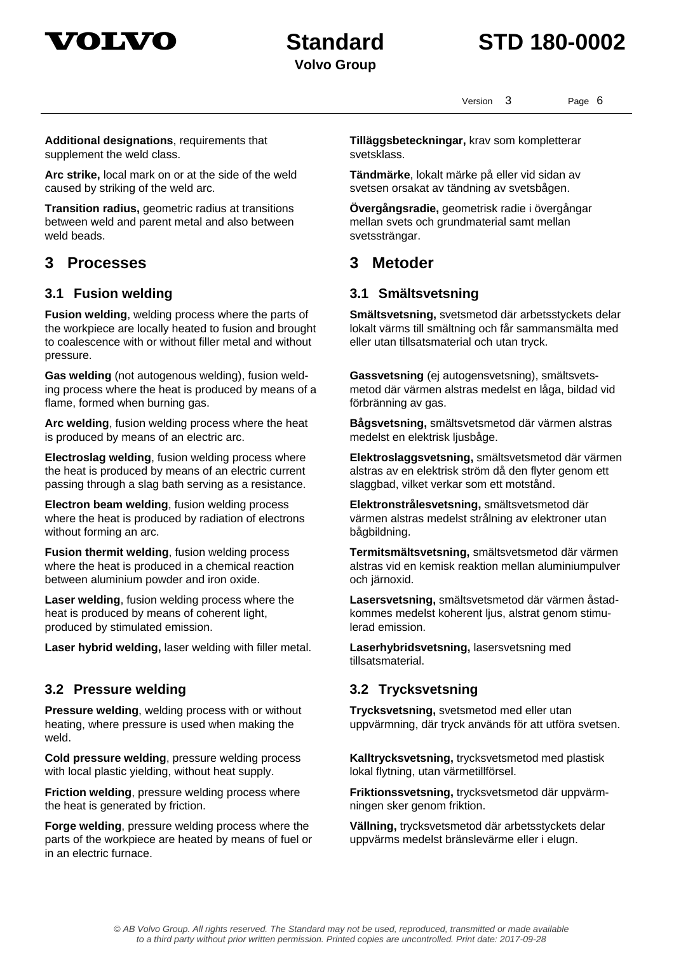



Version 3 Page 6

**Additional designations**, requirements that supplement the weld class.

**Arc strike,** local mark on or at the side of the weld caused by striking of the weld arc.

**Transition radius,** geometric radius at transitions between weld and parent metal and also between weld beads.

## **3 Processes 3 Metoder**

**Fusion welding**, welding process where the parts of the workpiece are locally heated to fusion and brought to coalescence with or without filler metal and without pressure.

**Gas welding** (not autogenous welding), fusion welding process where the heat is produced by means of a flame, formed when burning gas.

**Arc welding**, fusion welding process where the heat is produced by means of an electric arc.

**Electroslag welding**, fusion welding process where the heat is produced by means of an electric current passing through a slag bath serving as a resistance.

**Electron beam welding**, fusion welding process where the heat is produced by radiation of electrons without forming an arc.

**Fusion thermit welding**, fusion welding process where the heat is produced in a chemical reaction between aluminium powder and iron oxide.

**Laser welding**, fusion welding process where the heat is produced by means of coherent light, produced by stimulated emission.

**Laser hybrid welding,** laser welding with filler metal. **Laserhybridsvetsning,** lasersvetsning med

### **3.2 Pressure welding 3.2 Trycksvetsning**

**Pressure welding**, welding process with or without heating, where pressure is used when making the weld.

**Cold pressure welding**, pressure welding process with local plastic yielding, without heat supply.

**Friction welding**, pressure welding process where the heat is generated by friction.

**Forge welding**, pressure welding process where the parts of the workpiece are heated by means of fuel or in an electric furnace.

**Tilläggsbeteckningar,** krav som kompletterar svetsklass.

**Tändmärke**, lokalt märke på eller vid sidan av svetsen orsakat av tändning av svetsbågen.

**Övergångsradie,** geometrisk radie i övergångar mellan svets och grundmaterial samt mellan svetssträngar.

### **3.1 Fusion welding 3.1 Smältsvetsning**

**Smältsvetsning,** svetsmetod där arbetsstyckets delar lokalt värms till smältning och får sammansmälta med eller utan tillsatsmaterial och utan tryck.

**Gassvetsning** (ej autogensvetsning), smältsvetsmetod där värmen alstras medelst en låga, bildad vid förbränning av gas.

**Bågsvetsning,** smältsvetsmetod där värmen alstras medelst en elektrisk ljusbåge.

**Elektroslaggsvetsning,** smältsvetsmetod där värmen alstras av en elektrisk ström då den flyter genom ett slaggbad, vilket verkar som ett motstånd.

**Elektronstrålesvetsning,** smältsvetsmetod där värmen alstras medelst strålning av elektroner utan bågbildning.

**Termitsmältsvetsning,** smältsvetsmetod där värmen alstras vid en kemisk reaktion mellan aluminiumpulver och järnoxid.

**Lasersvetsning,** smältsvetsmetod där värmen åstadkommes medelst koherent ljus, alstrat genom stimulerad emission.

tillsatsmaterial.

**Trycksvetsning,** svetsmetod med eller utan uppvärmning, där tryck används för att utföra svetsen.

**Kalltrycksvetsning,** trycksvetsmetod med plastisk lokal flytning, utan värmetillförsel.

**Friktionssvetsning,** trycksvetsmetod där uppvärmningen sker genom friktion.

**Vällning,** trycksvetsmetod där arbetsstyckets delar uppvärms medelst bränslevärme eller i elugn.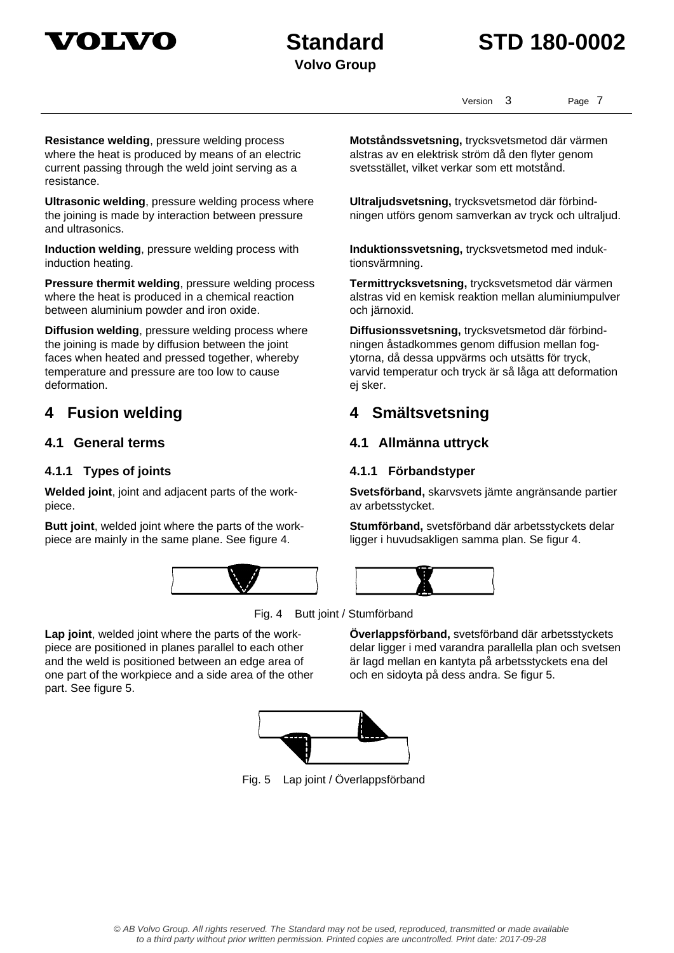

## **Standard STD 180-0002**

Version 3 Page 7

**Resistance welding**, pressure welding process where the heat is produced by means of an electric current passing through the weld joint serving as a resistance.

**Ultrasonic welding**, pressure welding process where the joining is made by interaction between pressure and ultrasonics.

**Induction welding**, pressure welding process with induction heating.

**Pressure thermit welding**, pressure welding process where the heat is produced in a chemical reaction between aluminium powder and iron oxide.

**Diffusion welding**, pressure welding process where the joining is made by diffusion between the joint faces when heated and pressed together, whereby temperature and pressure are too low to cause deformation.

### **4.1.1 Types of joints 4.1.1 Förbandstyper**

**Welded joint**, joint and adjacent parts of the workpiece.

**Butt joint**, welded joint where the parts of the workpiece are mainly in the same plane. See figure 4.



**Motståndssvetsning,** trycksvetsmetod där värmen alstras av en elektrisk ström då den flyter genom svetsstället, vilket verkar som ett motstånd.

**Ultraljudsvetsning,** trycksvetsmetod där förbindningen utförs genom samverkan av tryck och ultraljud.

**Induktionssvetsning,** trycksvetsmetod med induktionsvärmning.

**Termittrycksvetsning,** trycksvetsmetod där värmen alstras vid en kemisk reaktion mellan aluminiumpulver och järnoxid.

**Diffusionssvetsning,** trycksvetsmetod där förbindningen åstadkommes genom diffusion mellan fogytorna, då dessa uppvärms och utsätts för tryck, varvid temperatur och tryck är så låga att deformation ej sker.

## **4 Fusion welding 4 Smältsvetsning**

### **4.1 General terms 4.1 Allmänna uttryck**

**Svetsförband,** skarvsvets jämte angränsande partier av arbetsstycket.

**Stumförband,** svetsförband där arbetsstyckets delar ligger i huvudsakligen samma plan. Se figur 4.



Fig. 4 Butt joint / Stumförband

**Lap joint**, welded joint where the parts of the workpiece are positioned in planes parallel to each other and the weld is positioned between an edge area of one part of the workpiece and a side area of the other part. See figure 5.

**Överlappsförband,** svetsförband där arbetsstyckets delar ligger i med varandra parallella plan och svetsen är lagd mellan en kantyta på arbetsstyckets ena del och en sidoyta på dess andra. Se figur 5.



Fig. 5 Lap joint / Överlappsförband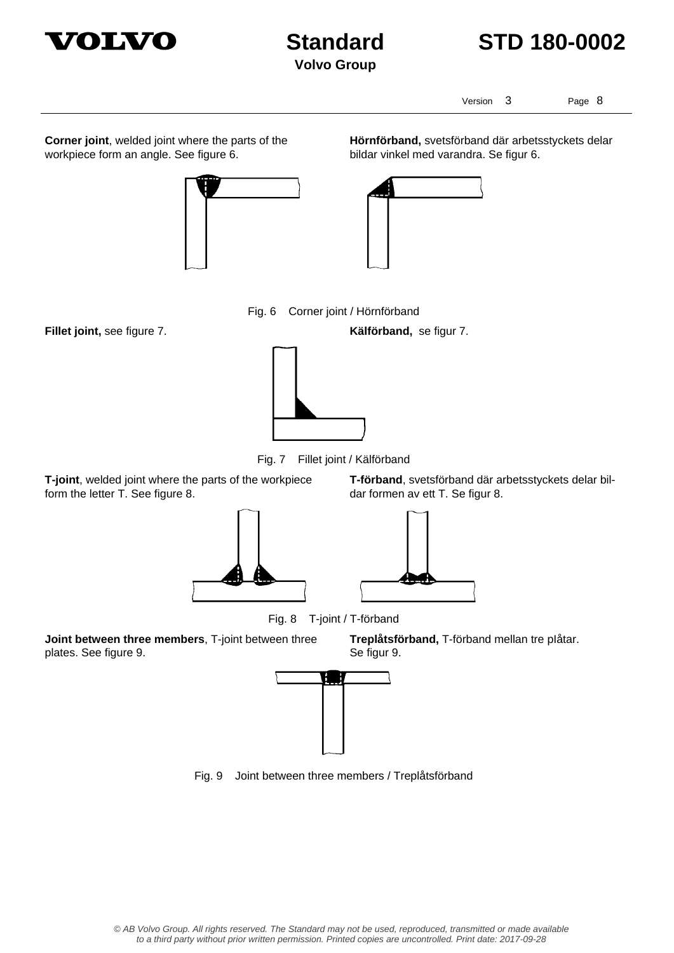



Version 3 Page 8

**Corner joint**, welded joint where the parts of the workpiece form an angle. See figure 6.



**Hörnförband,** svetsförband där arbetsstyckets delar bildar vinkel med varandra. Se figur 6.



Fig. 6 Corner joint / Hörnförband

**Fillet joint,** see figure 7. **Kälförband,** se figur 7.



Fig. 7 Fillet joint / Kälförband

**T-joint**, welded joint where the parts of the workpiece form the letter T. See figure 8.





Fig. 8 T-joint / T-förband

**Joint between three members**, T-joint between three plates. See figure 9.

**Treplåtsförband,** T-förband mellan tre pIåtar. Se figur 9.



Fig. 9 Joint between three members / Treplåtsförband

© AB Volvo Group. All rights reserved. The Standard may not be used, reproduced, transmitted or made available to a third party without prior written permission. Printed copies are uncontrolled. Print date: 2017-09-28

dar formen av ett T. Se figur 8.

**T-förband**, svetsförband där arbetsstyckets delar bil-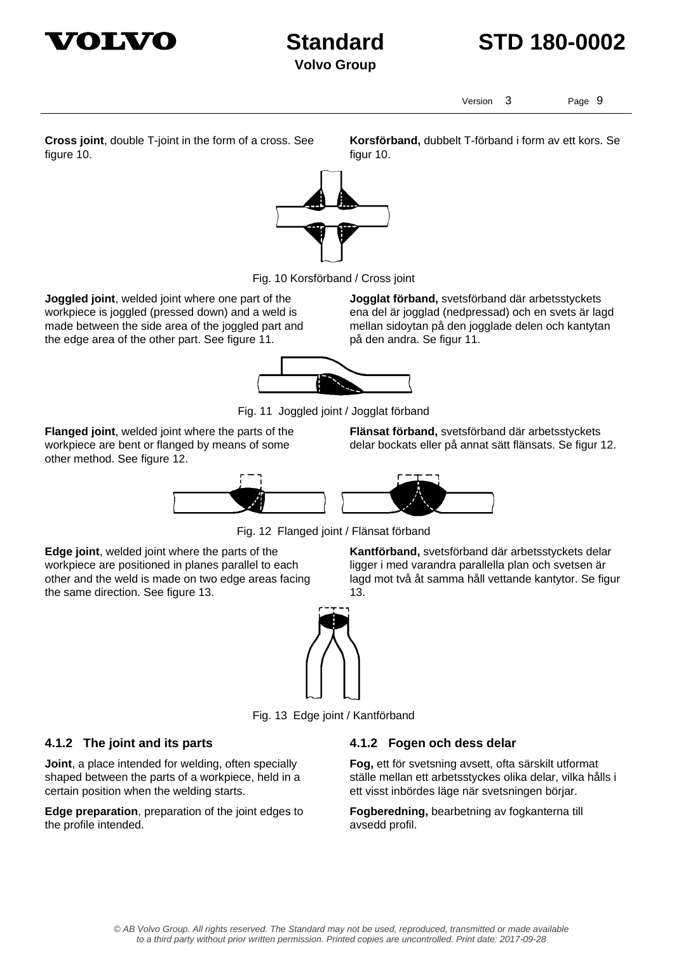



Version 3 Page 9

**Korsförband,** dubbelt T-förband i form av ett kors. Se

**Cross joint**, double T-joint in the form of a cross. See figure 10.

figur 10.

Fig. 10 Korsförband / Cross joint

**Joggled joint**, welded joint where one part of the workpiece is joggled (pressed down) and a weld is made between the side area of the joggled part and the edge area of the other part. See figure 11.

**Jogglat förband,** svetsförband där arbetsstyckets ena del är jogglad (nedpressad) och en svets är lagd mellan sidoytan på den jogglade delen och kantytan på den andra. Se figur 11.



Fig. 11 Joggled joint / Jogglat förband

**Flanged joint**, welded joint where the parts of the workpiece are bent or flanged by means of some other method. See figure 12.

**Flänsat förband,** svetsförband där arbetsstyckets delar bockats eller på annat sätt flänsats. Se figur 12.



Fig. 12 Flanged joint / Flänsat förband

**Edge joint**, welded joint where the parts of the workpiece are positioned in planes parallel to each other and the weld is made on two edge areas facing the same direction. See figure 13.

**Kantförband,** svetsförband där arbetsstyckets delar ligger i med varandra parallella plan och svetsen är lagd mot två åt samma håll vettande kantytor. Se figur 13.



Fig. 13 Edge joint / Kantförband

### **4.1.2 The joint and its parts 4.1.2 Fogen och dess delar**

**Joint**, a place intended for welding, often specially shaped between the parts of a workpiece, held in a certain position when the welding starts.

**Edge preparation**, preparation of the joint edges to the profile intended.

**Fog,** ett för svetsning avsett, ofta särskilt utformat ställe mellan ett arbetsstyckes olika delar, vilka hålls i ett visst inbördes läge när svetsningen börjar.

**Fogberedning,** bearbetning av fogkanterna till avsedd profil.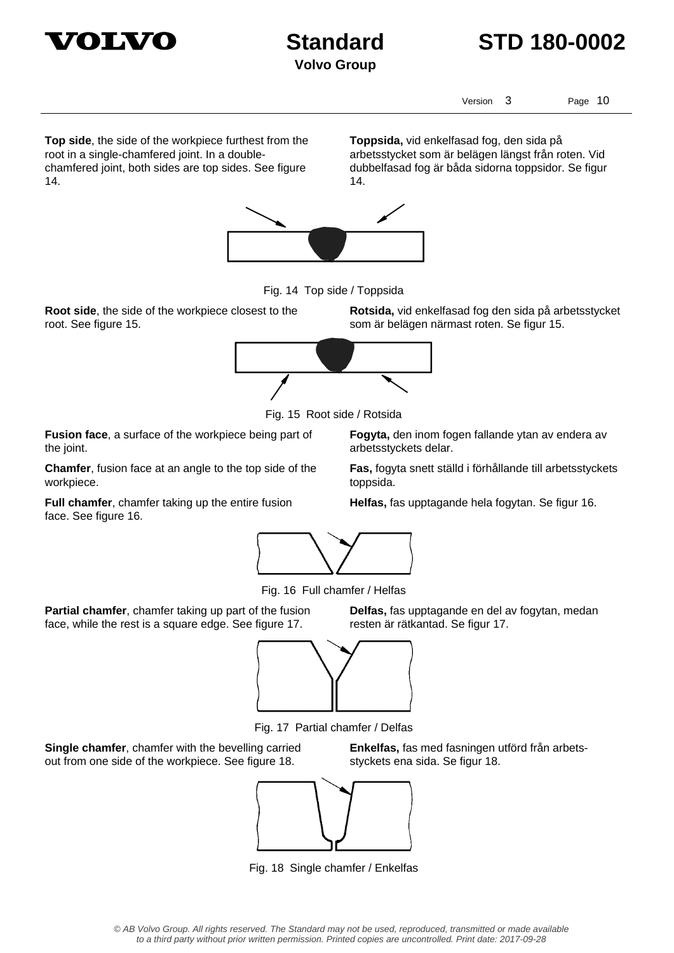

## **Standard STD 180-0002**

Version 3 Page 10

**Top side**, the side of the workpiece furthest from the root in a single-chamfered joint. In a doublechamfered joint, both sides are top sides. See figure 14.

**Toppsida,** vid enkelfasad fog, den sida på arbetsstycket som är belägen längst från roten. Vid dubbelfasad fog är båda sidorna toppsidor. Se figur 14.



Fig. 14 Top side / Toppsida

**Root side**, the side of the workpiece closest to the root. See figure 15.

**Rotsida,** vid enkelfasad fog den sida på arbetsstycket som är belägen närmast roten. Se figur 15.



Fig. 15 Root side / Rotsida

arbetsstyckets delar.

**Fusion face**, a surface of the workpiece being part of the joint.

**Chamfer**, fusion face at an angle to the top side of the workpiece.

**Full chamfer**, chamfer taking up the entire fusion face. See figure 16.

**Fogyta,** den inom fogen fallande ytan av endera av

**Fas,** fogyta snett ställd i förhållande till arbetsstyckets toppsida.

**Helfas,** fas upptagande hela fogytan. Se figur 16.



Fig. 16 Full chamfer / Helfas

**Partial chamfer**, chamfer taking up part of the fusion face, while the rest is a square edge. See figure 17.

**Delfas,** fas upptagande en del av fogytan, medan resten är rätkantad. Se figur 17.

**Enkelfas,** fas med fasningen utförd från arbets-



Fig. 17 Partial chamfer / Delfas

**Single chamfer**, chamfer with the bevelling carried out from one side of the workpiece. See figure 18.





Fig. 18 Single chamfer / Enkelfas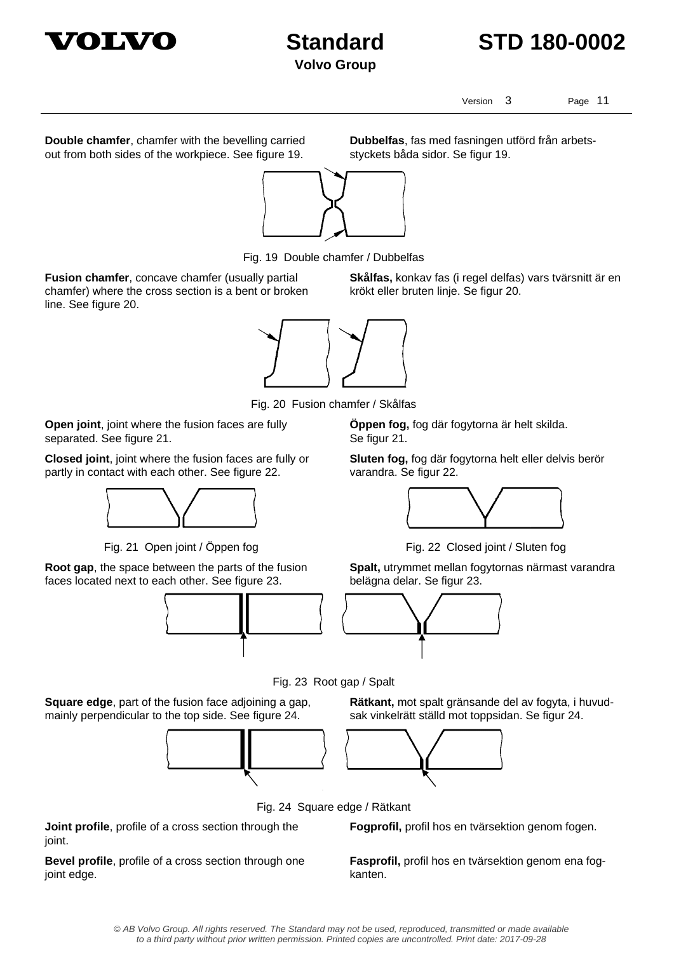



Version 3 Page 11

**Double chamfer**, chamfer with the bevelling carried out from both sides of the workpiece. See figure 19.

**Dubbelfas**, fas med fasningen utförd från arbetsstyckets båda sidor. Se figur 19.

**Skålfas,** konkav fas (i regel delfas) vars tvärsnitt är en

krökt eller bruten linje. Se figur 20.



Fig. 19 Double chamfer / Dubbelfas

**Fusion chamfer**, concave chamfer (usually partial chamfer) where the cross section is a bent or broken line. See figure 20.



Fig. 20 Fusion chamfer / Skålfas

**Open joint**, joint where the fusion faces are fully separated. See figure 21.

**Closed joint**, joint where the fusion faces are fully or partly in contact with each other. See figure 22.



**Root gap**, the space between the parts of the fusion faces located next to each other. See figure 23.



**Öppen fog,** fog där fogytorna är helt skilda. Se figur 21.

**Sluten fog,** fog där fogytorna helt eller delvis berör varandra. Se figur 22.



Fig. 21 Open joint / Öppen fog Fig. 22 Closed joint / Sluten fog

**Spalt,** utrymmet mellan fogytornas närmast varandra belägna delar. Se figur 23.

**Rätkant,** mot spalt gränsande del av fogyta, i huvudsak vinkelrätt ställd mot toppsidan. Se figur 24.



Fig. 23 Root gap / Spalt

**Square edge**, part of the fusion face adjoining a gap, mainly perpendicular to the top side. See figure 24.





Fig. 24 Square edge / Rätkant

**Joint profile**, profile of a cross section through the joint.

**Bevel profile**, profile of a cross section through one joint edge.

**Fogprofil,** profil hos en tvärsektion genom fogen.

**Fasprofil,** profil hos en tvärsektion genom ena fogkanten.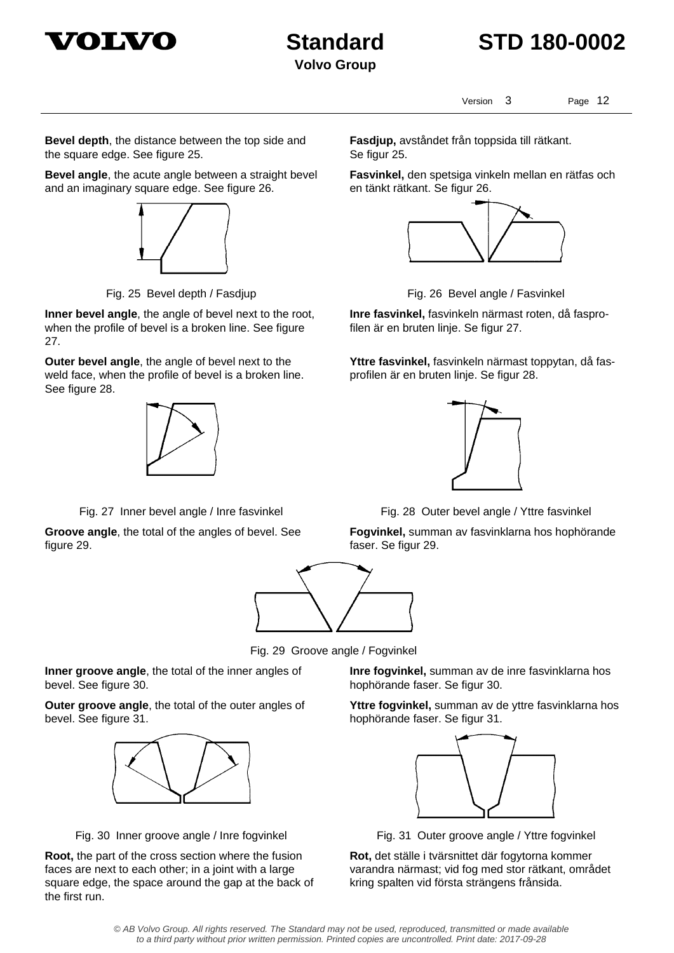



Version 3 Page 12

**Bevel depth**, the distance between the top side and the square edge. See figure 25.

**Bevel angle**, the acute angle between a straight bevel and an imaginary square edge. See figure 26.



**Inner bevel angle**, the angle of bevel next to the root, when the profile of bevel is a broken line. See figure 27.

**Outer bevel angle**, the angle of bevel next to the weld face, when the profile of bevel is a broken line. See figure 28.



**Groove angle**, the total of the angles of bevel. See figure 29.



Fig. 29 Groove angle / Fogvinkel

**Inner groove angle**, the total of the inner angles of bevel. See figure 30.

**Outer groove angle**, the total of the outer angles of bevel. See figure 31.



Fig. 30 Inner groove angle / Inre fogvinkel Fig. 31 Outer groove angle / Yttre fogvinkel

**Root,** the part of the cross section where the fusion faces are next to each other; in a joint with a large square edge, the space around the gap at the back of the first run.

**Fasdjup,** avståndet från toppsida till rätkant. Se figur 25.

**Fasvinkel,** den spetsiga vinkeln mellan en rätfas och en tänkt rätkant. Se figur 26.



Fig. 25 Bevel depth / Fasdjup Fig. 26 Bevel angle / Fasvinkel

**Inre fasvinkel,** fasvinkeln närmast roten, då fasprofilen är en bruten linje. Se figur 27.

**Yttre fasvinkel,** fasvinkeln närmast toppytan, då fasprofilen är en bruten linje. Se figur 28.



Fig. 27 Inner bevel angle / Inre fasvinkel Fig. 28 Outer bevel angle / Yttre fasvinkel

**Fogvinkel,** summan av fasvinklarna hos hophörande faser. Se figur 29.

**Inre fogvinkel,** summan av de inre fasvinklarna hos hophörande faser. Se figur 30.

**Yttre fogvinkel,** summan av de yttre fasvinklarna hos hophörande faser. Se figur 31.



**Rot,** det ställe i tvärsnittet där fogytorna kommer varandra närmast; vid fog med stor rätkant, området kring spalten vid första strängens frånsida.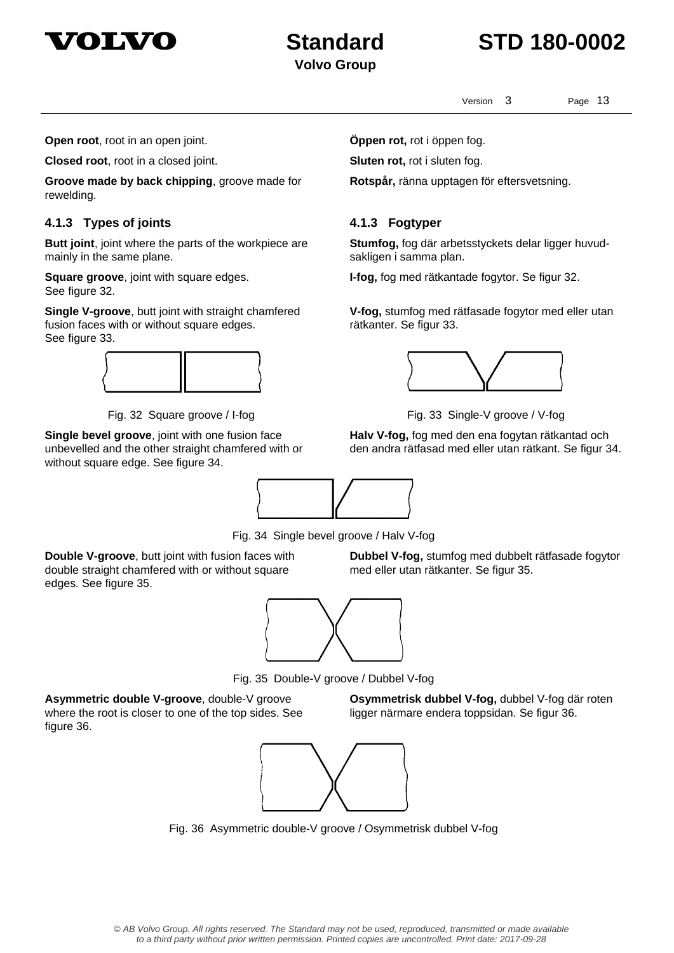

## **Standard STD 180-0002**

Version 3 Page 13

**Stumfog,** fog där arbetsstyckets delar ligger huvud-

**V-fog,** stumfog med rätfasade fogytor med eller utan

**Halv V-fog,** fog med den ena fogytan rätkantad och den andra rätfasad med eller utan rätkant. Se figur 34.

**I-fog,** fog med rätkantade fogytor. Se figur 32.

**Rotspår,** ränna upptagen för eftersvetsning.

sakligen i samma plan.

rätkanter. Se figur 33.

**Open root**, root in an open joint. **Come in the Suppen rot**, rot i öppen fog.

**Closed root**, root in a closed joint. **Sluten rot,** rot i sluten fog.

**Groove made by back chipping**, groove made for rewelding.

### **4.1.3 Types of joints 4.1.3 Fogtyper**

**Butt joint**, joint where the parts of the workpiece are mainly in the same plane.

**Square groove**, joint with square edges. See figure 32.

**Single V-groove**, butt joint with straight chamfered fusion faces with or without square edges. See figure 33.



Fig. 32 Square groove / I-fog Fig. 33 Single-V groove / V-fog

**Single bevel groove**, joint with one fusion face unbevelled and the other straight chamfered with or without square edge. See figure 34.



Fig. 34 Single bevel groove / Halv V-fog

**Double V-groove**, butt joint with fusion faces with double straight chamfered with or without square edges. See figure 35.

**Dubbel V-fog,** stumfog med dubbelt rätfasade fogytor med eller utan rätkanter. Se figur 35.



Fig. 35 Double-V groove / Dubbel V-fog

**Asymmetric double V-groove**, double-V groove where the root is closer to one of the top sides. See figure 36.

**Osymmetrisk dubbel V-fog,** dubbel V-fog där roten ligger närmare endera toppsidan. Se figur 36.



Fig. 36 Asymmetric double-V groove / Osymmetrisk dubbel V-fog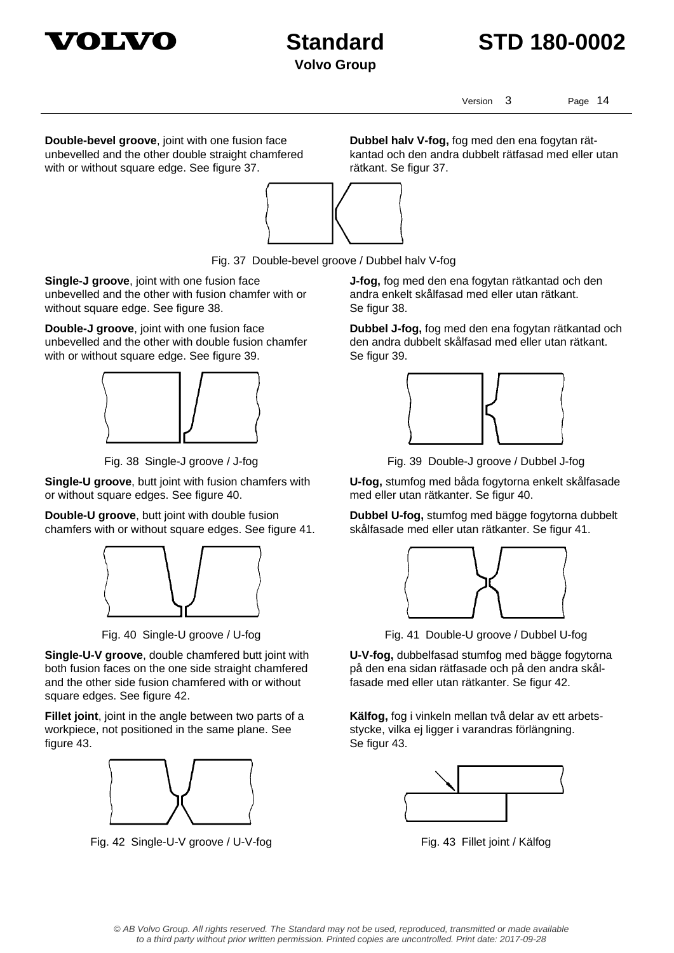



Version 3 Page 14

**Double-bevel groove**, joint with one fusion face unbevelled and the other double straight chamfered with or without square edge. See figure 37.

**Dubbel halv V-fog,** fog med den ena fogytan rätkantad och den andra dubbelt rätfasad med eller utan rätkant. Se figur 37.



Fig. 37 Double-bevel groove / Dubbel halv V-fog

**Single-J groove**, joint with one fusion face unbevelled and the other with fusion chamfer with or without square edge. See figure 38.

**Double-J groove**, joint with one fusion face unbevelled and the other with double fusion chamfer with or without square edge. See figure 39.



**Single-U groove**, butt joint with fusion chamfers with or without square edges. See figure 40.

**Double-U groove**, butt joint with double fusion chamfers with or without square edges. See figure 41.



**Single-U-V groove**, double chamfered butt joint with both fusion faces on the one side straight chamfered and the other side fusion chamfered with or without square edges. See figure 42.

**Fillet joint**, joint in the angle between two parts of a workpiece, not positioned in the same plane. See figure 43.



Fig. 42 Single-U-V groove / U-V-fog Fig. 43 Fillet joint / Kälfog

**J-fog,** fog med den ena fogytan rätkantad och den andra enkelt skålfasad med eller utan rätkant. Se figur 38.

**Dubbel J-fog,** fog med den ena fogytan rätkantad och den andra dubbelt skålfasad med eller utan rätkant. Se figur 39.



Fig. 38 Single-J groove / J-fog Fig. 39 Double-J groove / Dubbel J-fog

**U-fog,** stumfog med båda fogytorna enkelt skålfasade med eller utan rätkanter. Se figur 40.

**Dubbel U-fog,** stumfog med bägge fogytorna dubbelt skålfasade med eller utan rätkanter. Se figur 41.



Fig. 40 Single-U groove / U-fog Fig. 41 Double-U groove / Dubbel U-fog

**U-V-fog,** dubbelfasad stumfog med bägge fogytorna på den ena sidan rätfasade och på den andra skålfasade med eller utan rätkanter. Se figur 42.

**Kälfog,** fog i vinkeln mellan två delar av ett arbetsstycke, vilka ej ligger i varandras förlängning. Se figur 43.

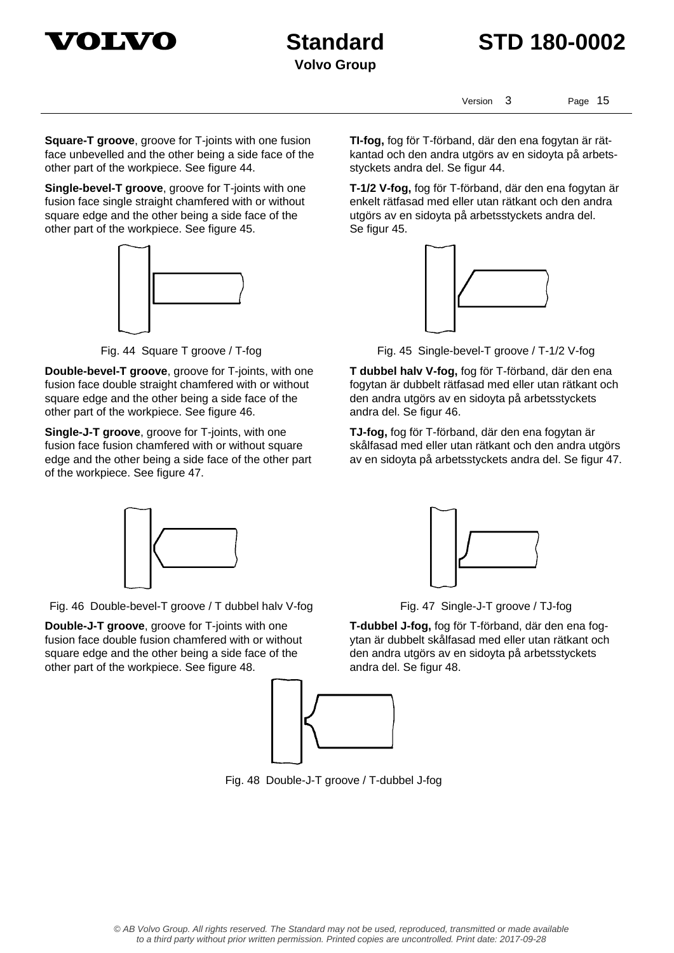



Version 3 Page 15

**Square-T groove**, groove for T-joints with one fusion face unbevelled and the other being a side face of the other part of the workpiece. See figure 44.

**Single-bevel-T groove**, groove for T-joints with one fusion face single straight chamfered with or without square edge and the other being a side face of the other part of the workpiece. See figure 45.



**Double-bevel-T groove**, groove for T-joints, with one fusion face double straight chamfered with or without square edge and the other being a side face of the other part of the workpiece. See figure 46.

**Single-J-T groove**, groove for T-joints, with one fusion face fusion chamfered with or without square edge and the other being a side face of the other part of the workpiece. See figure 47.



Fig. 46 Double-bevel-T groove / T dubbel halv V-fog Fig. 47 Single-J-T groove / TJ-fog

**Double-J-T groove**, groove for T-joints with one fusion face double fusion chamfered with or without square edge and the other being a side face of the other part of the workpiece. See figure 48.



**TI-fog,** fog för T-förband, där den ena fogytan är rätkantad och den andra utgörs av en sidoyta på arbets-

**T-1/2 V-fog,** fog för T-förband, där den ena fogytan är enkelt rätfasad med eller utan rätkant och den andra utgörs av en sidoyta på arbetsstyckets andra del.

styckets andra del. Se figur 44.

Se figur 45.

andra del. Se figur 46. **TJ-fog,** fog för T-förband, där den ena fogytan är skålfasad med eller utan rätkant och den andra utgörs av en sidoyta på arbetsstyckets andra del. Se figur 47.





**T-dubbel J-fog,** fog för T-förband, där den ena fogytan är dubbelt skålfasad med eller utan rätkant och den andra utgörs av en sidoyta på arbetsstyckets andra del. Se figur 48.



Fig. 48 Double-J-T groove / T-dubbel J-fog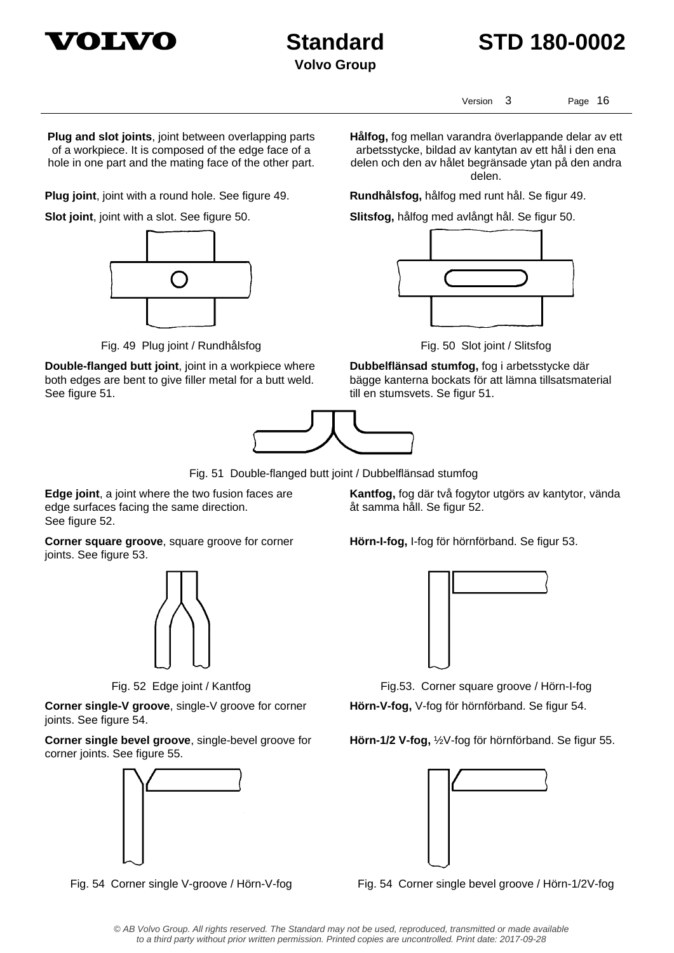



Version 3 Page 16

**Plug and slot joints**, joint between overlapping parts of a workpiece. It is composed of the edge face of a hole in one part and the mating face of the other part.

**Plug joint**, joint with a round hole. See figure 49. **Rundhålsfog,** hålfog med runt hål. Se figur 49.



Fig. 49 Plug joint / Rundhålsfog Fig. 50 Slot joint / Slitsfog

**Double-flanged butt joint**, joint in a workpiece where both edges are bent to give filler metal for a butt weld. See figure 51.



Fig. 51 Double-flanged butt joint / Dubbelflänsad stumfog

**Edge joint**, a joint where the two fusion faces are edge surfaces facing the same direction. See figure 52.

**Corner square groove**, square groove for corner joints. See figure 53.



**Corner single-V groove**, single-V groove for corner joints. See figure 54.

**Corner single bevel groove**, single-bevel groove for corner joints. See figure 55.



**Hålfog,** fog mellan varandra överlappande delar av ett arbetsstycke, bildad av kantytan av ett hål i den ena delen och den av hålet begränsade ytan på den andra delen.

**Slot joint**, joint with a slot. See figure 50. **Slitsfog,** hålfog med avlångt hål. Se figur 50.



**Dubbelflänsad stumfog,** fog i arbetsstycke där bägge kanterna bockats för att lämna tillsatsmaterial till en stumsvets. Se figur 51.

**Kantfog,** fog där två fogytor utgörs av kantytor, vända åt samma håll. Se figur 52.

**Hörn-I-fog,** I-fog för hörnförband. Se figur 53.



Fig. 52 Edge joint / Kantfog Fig.53. Corner square groove / Hörn-I-fog **Hörn-V-fog,** V-fog för hörnförband. Se figur 54.

**Hörn-1/2 V-fog,** ½V-fog för hörnförband. Se figur 55.



Fig. 54 Corner single V-groove / Hörn-V-fog Fig. 54 Corner single bevel groove / Hörn-1/2V-fog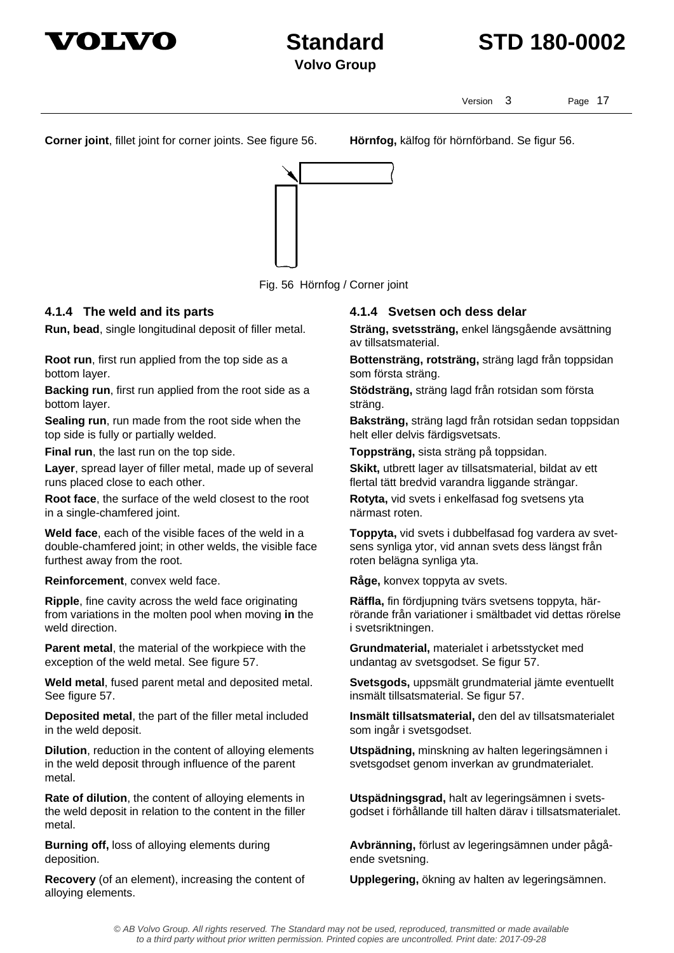



Version 3 Page 17

**Corner joint**, fillet joint for corner joints. See figure 56. **Hörnfog,** kälfog för hörnförband. Se figur 56.



Fig. 56 Hörnfog / Corner joint

**Run, bead**, single longitudinal deposit of filler metal. **Sträng, svetssträng,** enkel längsgående avsättning

**Root run**, first run applied from the top side as a bottom layer.

**Backing run**, first run applied from the root side as a bottom layer.

**Sealing run**, run made from the root side when the top side is fully or partially welded.

**Layer**, spread layer of filler metal, made up of several runs placed close to each other.

**Root face**, the surface of the weld closest to the root in a single-chamfered joint.

**Weld face**, each of the visible faces of the weld in a double-chamfered joint; in other welds, the visible face furthest away from the root.

**Reinforcement**, convex weld face. **Råge**, konvex toppyta av svets.

**Ripple**, fine cavity across the weld face originating from variations in the molten pool when moving **in** the weld direction.

**Parent metal**, the material of the workpiece with the exception of the weld metal. See figure 57.

**Weld metal**, fused parent metal and deposited metal. See figure 57.

**Deposited metal**, the part of the filler metal included in the weld deposit.

**Dilution**, reduction in the content of alloying elements in the weld deposit through influence of the parent metal.

**Rate of dilution**, the content of alloying elements in the weld deposit in relation to the content in the filler metal.

**Burning off,** loss of alloying elements during deposition.

**Recovery** (of an element), increasing the content of alloying elements.

### **4.1.4 The weld and its parts 4.1.4 Svetsen och dess delar**

av tillsatsmaterial.

**Bottensträng, rotsträng,** sträng lagd från toppsidan som första sträng.

**Stödsträng,** sträng lagd från rotsidan som första sträng.

**Baksträng,** sträng lagd från rotsidan sedan toppsidan helt eller delvis färdigsvetsats.

**Final run**, the last run on the top side. **Toppsträng,** sista sträng på toppsidan.

**Skikt,** utbrett lager av tillsatsmaterial, bildat av ett flertal tätt bredvid varandra liggande strängar.

**Rotyta,** vid svets i enkelfasad fog svetsens yta närmast roten.

**Toppyta,** vid svets i dubbelfasad fog vardera av svetsens synliga ytor, vid annan svets dess längst från roten belägna synliga yta.

**Räffla,** fin fördjupning tvärs svetsens toppyta, härrörande från variationer i smältbadet vid dettas rörelse i svetsriktningen.

**Grundmaterial,** materialet i arbetsstycket med undantag av svetsgodset. Se figur 57.

**Svetsgods,** uppsmält grundmaterial jämte eventuellt insmält tillsatsmaterial. Se figur 57.

**Insmält tillsatsmaterial,** den del av tillsatsmaterialet som ingår i svetsgodset.

**Utspädning,** minskning av halten legeringsämnen i svetsgodset genom inverkan av grundmaterialet.

**Utspädningsgrad,** halt av legeringsämnen i svetsgodset i förhållande till halten därav i tillsatsmaterialet.

**Avbränning,** förlust av legeringsämnen under pågående svetsning.

**Upplegering,** ökning av halten av legeringsämnen.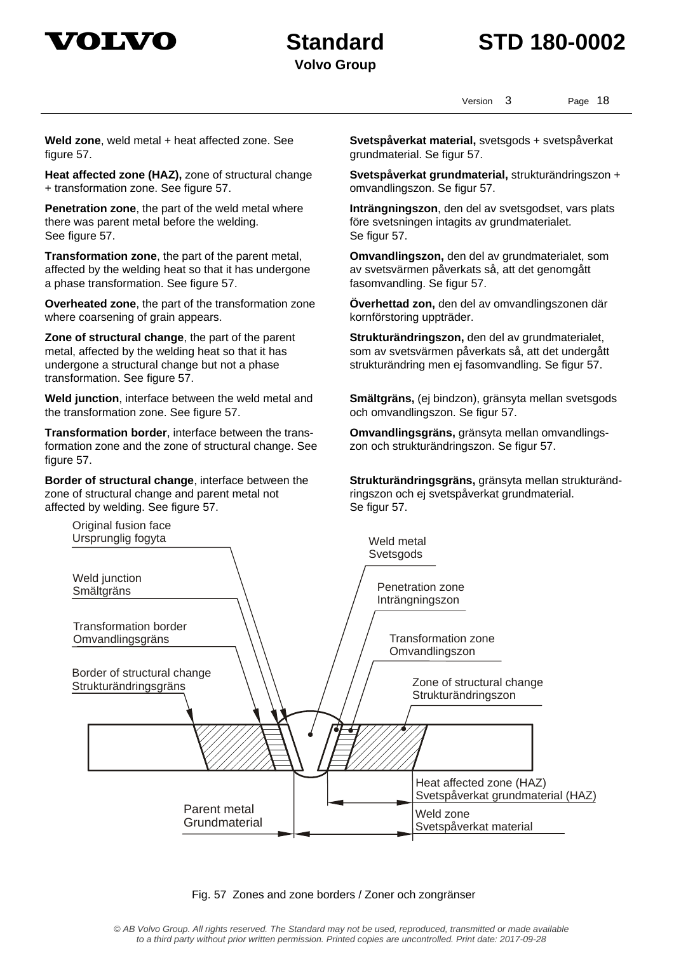

## **Standard STD 180-0002**

Version 3 Page 18

**Weld zone**, weld metal + heat affected zone. See figure 57.

**Heat affected zone (HAZ),** zone of structural change + transformation zone. See figure 57.

**Penetration zone**, the part of the weld metal where there was parent metal before the welding. See figure 57.

**Transformation zone**, the part of the parent metal, affected by the welding heat so that it has undergone a phase transformation. See figure 57.

**Overheated zone**, the part of the transformation zone where coarsening of grain appears.

**Zone of structural change**, the part of the parent metal, affected by the welding heat so that it has undergone a structural change but not a phase transformation. See figure 57.

**Weld junction**, interface between the weld metal and the transformation zone. See figure 57.

**Transformation border**, interface between the transformation zone and the zone of structural change. See figure 57.

**Border of structural change**, interface between the zone of structural change and parent metal not affected by welding. See figure 57.

**Svetspåverkat material,** svetsgods + svetspåverkat grundmaterial. Se figur 57.

**Svetspåverkat grundmaterial,** strukturändringszon + omvandlingszon. Se figur 57.

**Inträngningszon**, den del av svetsgodset, vars plats före svetsningen intagits av grundmaterialet. Se figur 57.

**Omvandlingszon,** den del av grundmaterialet, som av svetsvärmen påverkats så, att det genomgått fasomvandling. Se figur 57.

**Överhettad zon,** den del av omvandlingszonen där kornförstoring uppträder.

**Strukturändringszon,** den del av grundmaterialet, som av svetsvärmen påverkats så, att det undergått strukturändring men ej fasomvandling. Se figur 57.

**Smältgräns,** (ej bindzon), gränsyta mellan svetsgods och omvandlingszon. Se figur 57.

**Omvandlingsgräns,** gränsyta mellan omvandlingszon och strukturändringszon. Se figur 57.

**Strukturändringsgräns,** gränsyta mellan strukturändringszon och ej svetspåverkat grundmaterial. Se figur 57.



Fig. 57 Zones and zone borders / Zoner och zongränser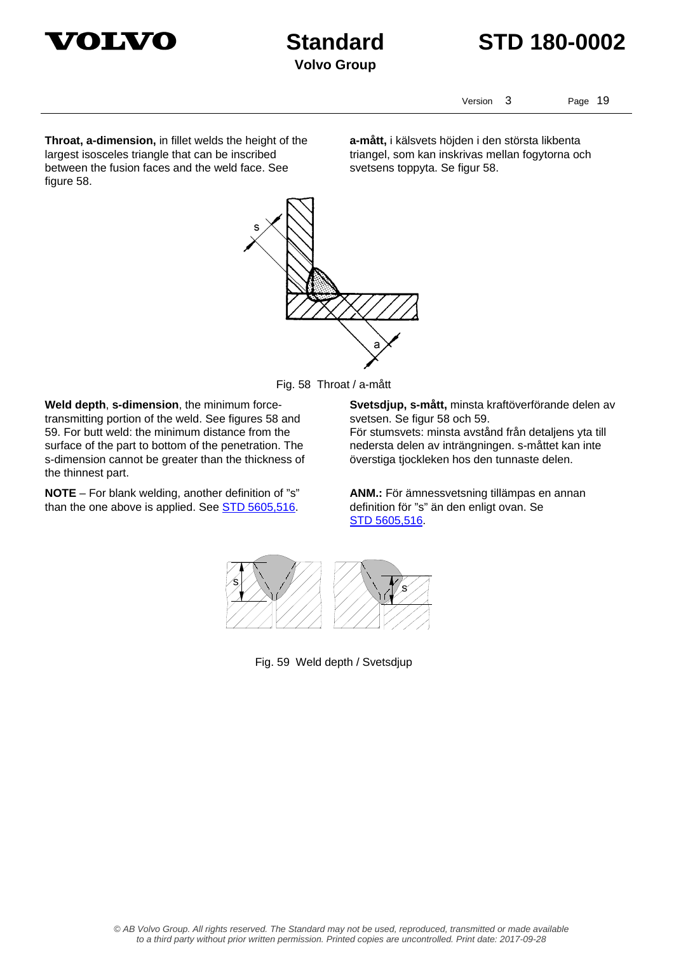



Version 3 Page 19

**Throat, a-dimension,** in fillet welds the height of the largest isosceles triangle that can be inscribed between the fusion faces and the weld face. See figure 58.

**a-mått,** i kälsvets höjden i den största likbenta triangel, som kan inskrivas mellan fogytorna och svetsens toppyta. Se figur 58.





**Weld depth**, **s-dimension**, the minimum forcetransmitting portion of the weld. See figures 58 and 59. For butt weld: the minimum distance from the surface of the part to bottom of the penetration. The s-dimension cannot be greater than the thickness of the thinnest part.

**NOTE** – For blank welding, another definition of "s" than the one above is applied. See STD 5605,516.

**Svetsdjup, s-mått,** minsta kraftöverförande delen av svetsen. Se figur 58 och 59.

För stumsvets: minsta avstånd från detaljens yta till nedersta delen av inträngningen. s-måttet kan inte överstiga tjockleken hos den tunnaste delen.

**ANM.:** För ämnessvetsning tillämpas en annan definition för "s" än den enligt ovan. Se STD 5605,516.



Fig. 59 Weld depth / Svetsdjup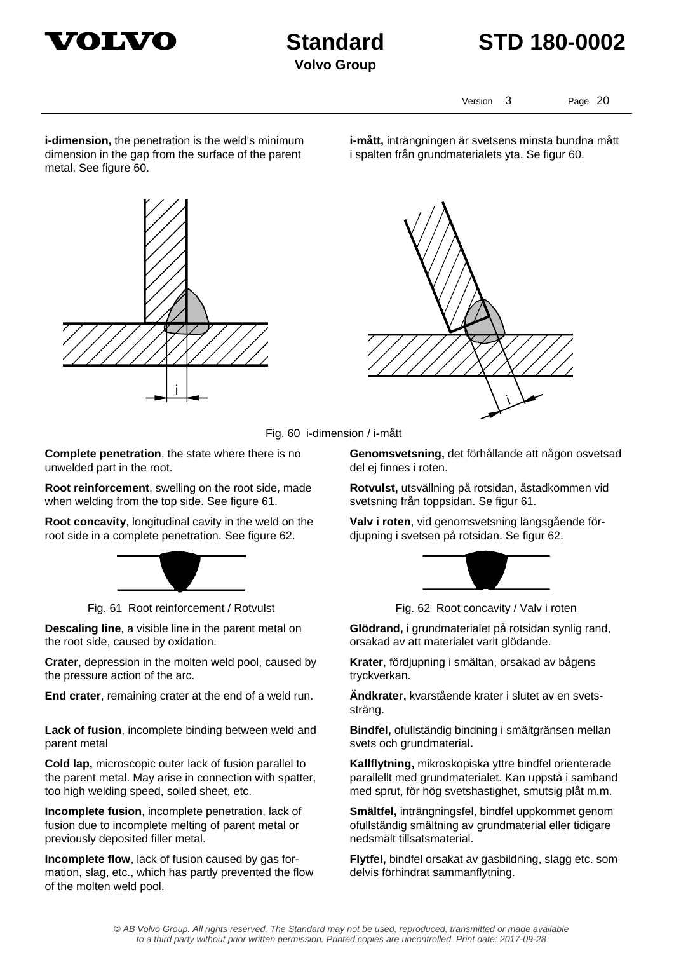



Version 3 Page 20

**i-dimension,** the penetration is the weld's minimum dimension in the gap from the surface of the parent metal. See figure 60.

**i-mått,** inträngningen är svetsens minsta bundna mått i spalten från grundmaterialets yta. Se figur 60.







**Complete penetration**, the state where there is no unwelded part in the root.

**Root reinforcement**, swelling on the root side, made when welding from the top side. See figure 61.

**Root concavity**, longitudinal cavity in the weld on the root side in a complete penetration. See figure 62.



Fig. 61 Root reinforcement / Rotvulst Fig. 62 Root concavity / Valv i roten

**Descaling line**, a visible line in the parent metal on the root side, caused by oxidation.

**Crater**, depression in the molten weld pool, caused by the pressure action of the arc.

**End crater**, remaining crater at the end of a weld run. **Ändkrater,** kvarstående krater i slutet av en svets-

**Lack of fusion**, incomplete binding between weld and parent metal

**Cold lap,** microscopic outer lack of fusion parallel to the parent metal. May arise in connection with spatter, too high welding speed, soiled sheet, etc.

**Incomplete fusion**, incomplete penetration, lack of fusion due to incomplete melting of parent metal or previously deposited filler metal.

**Incomplete flow**, lack of fusion caused by gas formation, slag, etc., which has partly prevented the flow of the molten weld pool.

**Genomsvetsning,** det förhållande att någon osvetsad del ej finnes i roten.

**Rotvulst,** utsvällning på rotsidan, åstadkommen vid svetsning från toppsidan. Se figur 61.

**Valv i roten**, vid genomsvetsning längsgående fördjupning i svetsen på rotsidan. Se figur 62.



**Glödrand,** i grundmaterialet på rotsidan synlig rand, orsakad av att materialet varit glödande.

**Krater**, fördjupning i smältan, orsakad av bågens tryckverkan.

sträng.

**Bindfel,** ofullständig bindning i smältgränsen mellan svets och grundmaterial**.** 

**Kallflytning,** mikroskopiska yttre bindfel orienterade parallellt med grundmaterialet. Kan uppstå i samband med sprut, för hög svetshastighet, smutsig plåt m.m.

**Smältfel,** inträngningsfel, bindfel uppkommet genom ofullständig smältning av grundmaterial eller tidigare nedsmält tillsatsmaterial.

**Flytfel,** bindfel orsakat av gasbildning, slagg etc. som delvis förhindrat sammanflytning.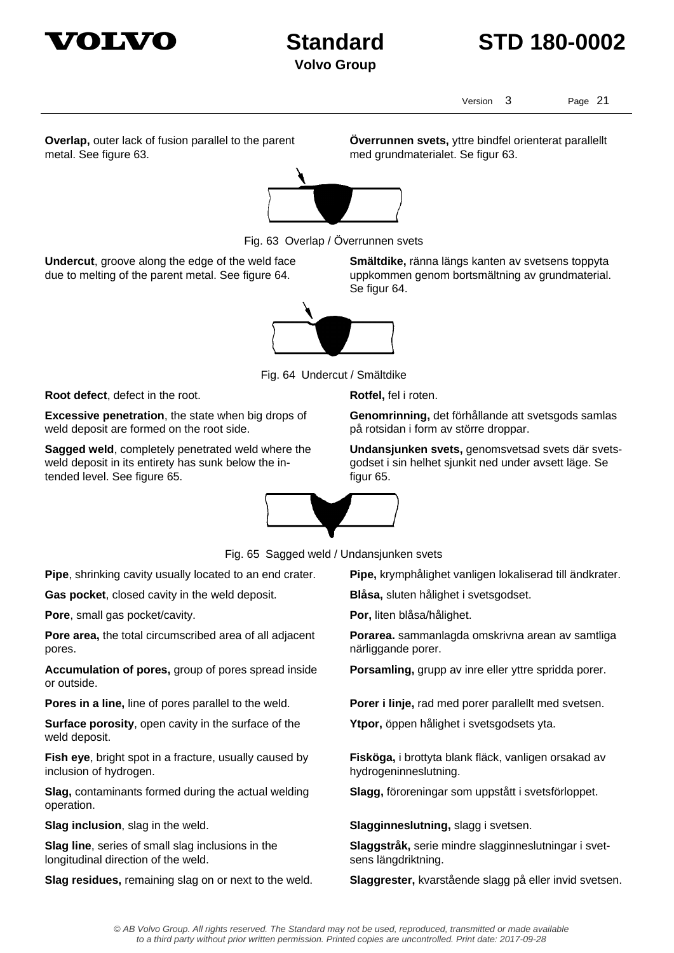

## **Standard STD 180-0002**

Version 3 Page 21

**Överrunnen svets,** yttre bindfel orienterat parallellt

med grundmaterialet. Se figur 63.

**Overlap,** outer lack of fusion parallel to the parent metal. See figure 63.



Fig. 63 Overlap / Överrunnen svets

**Undercut**, groove along the edge of the weld face due to melting of the parent metal. See figure 64.

**Smältdike,** ränna längs kanten av svetsens toppyta uppkommen genom bortsmältning av grundmaterial. Se figur 64.



Fig. 64 Undercut / Smältdike

**Root defect**, defect in the root. **Root defect**, defect in the root.

**Excessive penetration**, the state when big drops of weld deposit are formed on the root side.

**Sagged weld**, completely penetrated weld where the weld deposit in its entirety has sunk below the intended level. See figure 65.

**Genomrinning,** det förhållande att svetsgods samlas på rotsidan i form av större droppar.

**Undansjunken svets,** genomsvetsad svets där svetsgodset i sin helhet sjunkit ned under avsett läge. Se figur 65.



Fig. 65 Sagged weld / Undansjunken svets

**Gas pocket**, closed cavity in the weld deposit. **Blåsa,** sluten hålighet i svetsgodset.

**Pore**, small gas pocket/cavity. **Por,** liten blåsa/hålighet.

**Pore area,** the total circumscribed area of all adjacent pores.

**Accumulation of pores,** group of pores spread inside or outside.

**Surface porosity**, open cavity in the surface of the weld deposit.

**Fish eye**, bright spot in a fracture, usually caused by inclusion of hydrogen.

**Slag,** contaminants formed during the actual welding operation.

**Slag line**, series of small slag inclusions in the longitudinal direction of the weld.

**Pipe**, shrinking cavity usually located to an end crater. **Pipe,** krymphålighet vanligen lokaliserad till ändkrater.

**Porarea.** sammanlagda omskrivna arean av samtliga närliggande porer.

**Porsamling,** grupp av inre eller yttre spridda porer.

**Pores in a line,** line of pores parallel to the weld. **Porer i linje,** rad med porer parallellt med svetsen.

**Ytpor,** öppen hålighet i svetsgodsets yta.

**Fisköga,** i brottyta blank fläck, vanligen orsakad av hydrogeninneslutning.

**Slagg,** föroreningar som uppstått i svetsförloppet.

**Slag inclusion**, slag in the weld. **Slagginneslutning**, slagg i svetsen.

**Slaggstråk,** serie mindre slagginneslutningar i svetsens längdriktning.

**Slag residues,** remaining slag on or next to the weld. **Slaggrester,** kvarstående slagg på eller invid svetsen.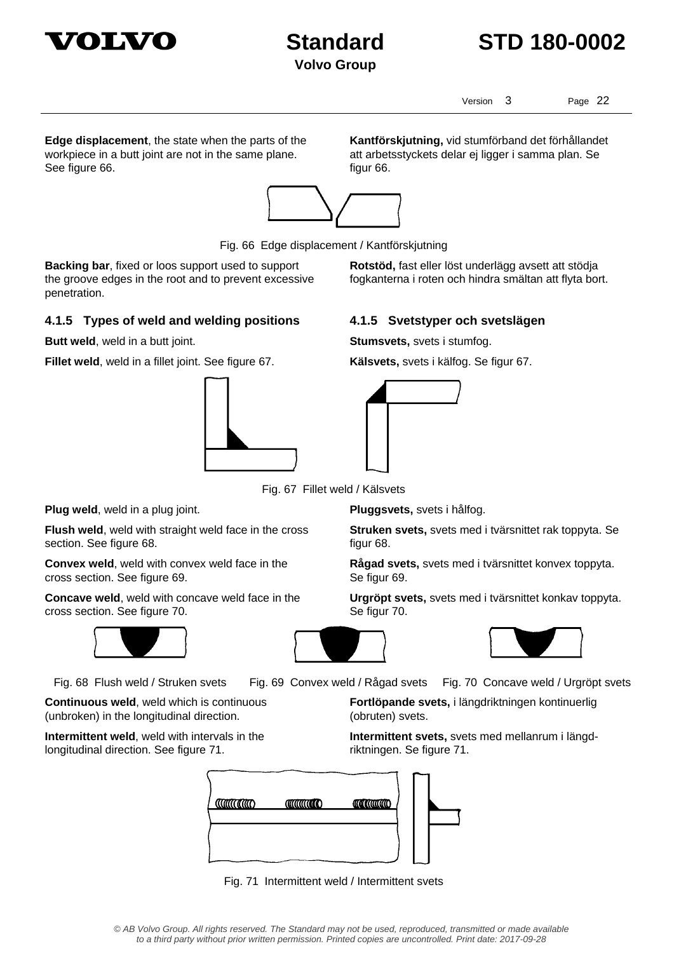

## **Standard STD 180-0002**

Version 3 Page 22

**Edge displacement**, the state when the parts of the workpiece in a butt joint are not in the same plane. See figure 66.

**Kantförskjutning,** vid stumförband det förhållandet att arbetsstyckets delar ej ligger i samma plan. Se figur 66.

**Rotstöd,** fast eller löst underlägg avsett att stödja fogkanterna i roten och hindra smältan att flyta bort.



Fig. 66 Edge displacement / Kantförskjutning

**Backing bar**, fixed or loos support used to support the groove edges in the root and to prevent excessive penetration.

### **4.1.5 Types of weld and welding positions 4.1.5 Svetstyper och svetslägen**

**Butt weld**, weld in a butt joint. **Stumsvets**, svets i stumfog.

**Fillet weld**, weld in a fillet joint. See figure 67. **Kälsvets,** svets i kälfog. Se figur 67.





Fig. 67 Fillet weld / Kälsvets

**Plug weld**, weld in a plug joint. **Pluggsvets,** svets i hålfog.

**Flush weld**, weld with straight weld face in the cross section. See figure 68.

**Convex weld**, weld with convex weld face in the cross section. See figure 69.

**Concave weld**, weld with concave weld face in the cross section. See figure 70.



**Continuous weld**, weld which is continuous (unbroken) in the longitudinal direction.

**Intermittent weld**, weld with intervals in the longitudinal direction. See figure 71.

**Struken svets,** svets med i tvärsnittet rak toppyta. Se figur 68.

**Rågad svets,** svets med i tvärsnittet konvex toppyta. Se figur 69.

**Urgröpt svets,** svets med i tvärsnittet konkav toppyta. Se figur 70.





Fig. 68 Flush weld / Struken svets Fig. 69 Convex weld / Rågad svets Fig. 70 Concave weld / Urgröpt svets

**Fortlöpande svets,** i längdriktningen kontinuerlig (obruten) svets.

**Intermittent svets,** svets med mellanrum i längdriktningen. Se figure 71.



Fig. 71 Intermittent weld / Intermittent svets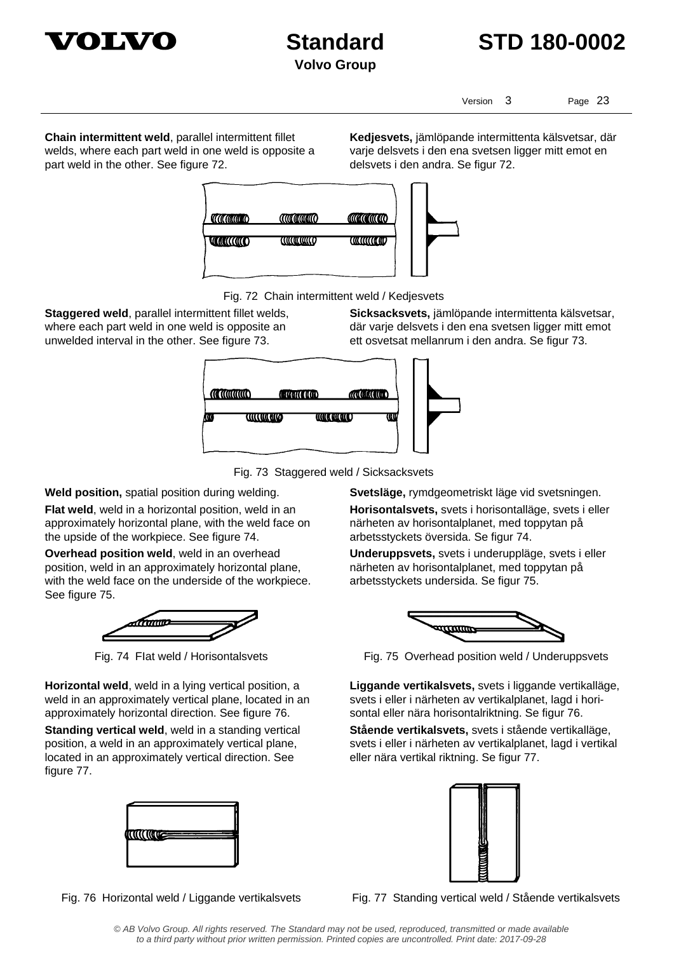



Version 3 Page 23

**Chain intermittent weld**, parallel intermittent fillet welds, where each part weld in one weld is opposite a part weld in the other. See figure 72.

**Kedjesvets,** jämlöpande intermittenta kälsvetsar, där varje delsvets i den ena svetsen ligger mitt emot en delsvets i den andra. Se figur 72.





Fig. 72 Chain intermittent weld / Kedjesvets

**Staggered weld**, parallel intermittent fillet welds, where each part weld in one weld is opposite an unwelded interval in the other. See figure 73.

**Sicksacksvets,** jämlöpande intermittenta kälsvetsar, där varje delsvets i den ena svetsen ligger mitt emot ett osvetsat mellanrum i den andra. Se figur 73.



Fig. 73 Staggered weld / Sicksacksvets

**Weld position,** spatial position during welding. **Svetsläge,** rymdgeometriskt läge vid svetsningen.

**Flat weld**, weld in a horizontal position, weld in an approximately horizontal plane, with the weld face on the upside of the workpiece. See figure 74.

**Overhead position weld**, weld in an overhead position, weld in an approximately horizontal plane, with the weld face on the underside of the workpiece. See figure 75.



**Horizontal weld**, weld in a lying vertical position, a weld in an approximately vertical plane, located in an approximately horizontal direction. See figure 76.

**Standing vertical weld**, weld in a standing vertical position, a weld in an approximately vertical plane, located in an approximately vertical direction. See figure 77.



**Horisontalsvets,** svets i horisontalläge, svets i eller

närheten av horisontalplanet, med toppytan på arbetsstyckets översida. Se figur 74. **Underuppsvets,** svets i underuppläge, svets i eller

närheten av horisontalplanet, med toppytan på arbetsstyckets undersida. Se figur 75.



Fig. 74 Flat weld / Horisontalsvets Fig. 75 Overhead position weld / Underuppsvets

**Liggande vertikalsvets,** svets i liggande vertikalläge, svets i eller i närheten av vertikalplanet, lagd i horisontal eller nära horisontalriktning. Se figur 76.

**Stående vertikalsvets,** svets i stående vertikalläge, svets i eller i närheten av vertikalplanet, lagd i vertikal eller nära vertikal riktning. Se figur 77.



Fig. 76 Horizontal weld / Liggande vertikalsvets Fig. 77 Standing vertical weld / Stående vertikalsvets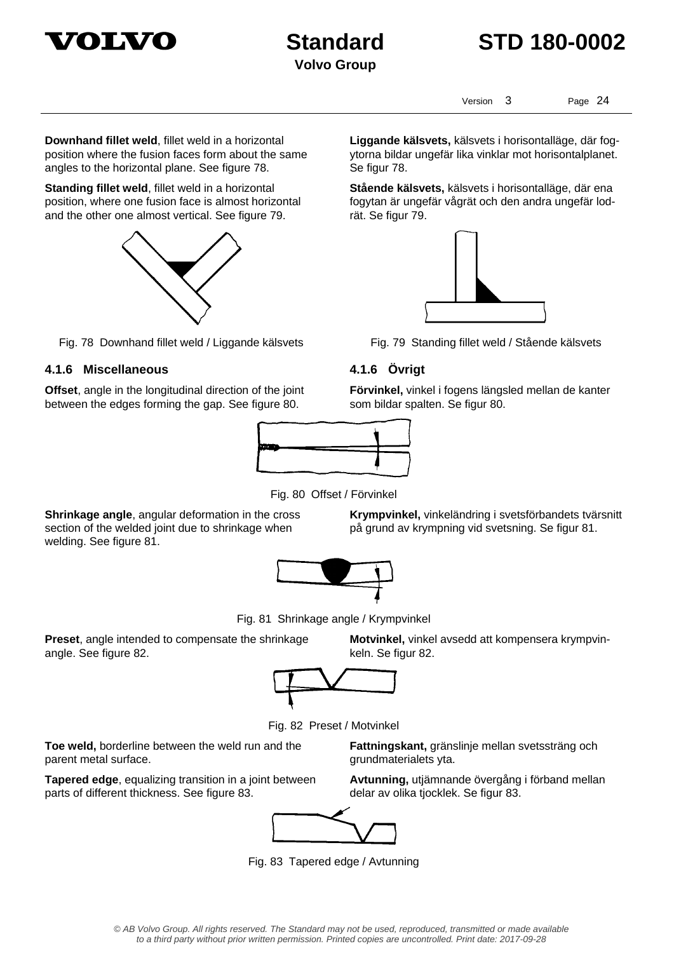



Version 3 Page 24

**Downhand fillet weld**, fillet weld in a horizontal position where the fusion faces form about the same angles to the horizontal plane. See figure 78.

**Standing fillet weld**, fillet weld in a horizontal position, where one fusion face is almost horizontal and the other one almost vertical. See figure 79.



Fig. 78 Downhand fillet weld / Liggande kälsvets Fig. 79 Standing fillet weld / Stående kälsvets

### **4.1.6 Miscellaneous 4.1.6 Övrigt**

**Offset**, angle in the longitudinal direction of the joint between the edges forming the gap. See figure 80.



Fig. 80 Offset / Förvinkel

**Shrinkage angle**, angular deformation in the cross section of the welded joint due to shrinkage when welding. See figure 81.

**Krympvinkel,** vinkeländring i svetsförbandets tvärsnitt på grund av krympning vid svetsning. Se figur 81.



Fig. 81 Shrinkage angle / Krympvinkel

**Preset**, angle intended to compensate the shrinkage angle. See figure 82.



Fig. 82 Preset / Motvinkel

**Toe weld,** borderline between the weld run and the parent metal surface.

**Tapered edge**, equalizing transition in a joint between parts of different thickness. See figure 83.

**Fattningskant,** gränslinje mellan svetssträng och grundmaterialets yta.

**Motvinkel,** vinkel avsedd att kompensera krympvin-

**Avtunning,** utjämnande övergång i förband mellan delar av olika tjocklek. Se figur 83.



Fig. 83 Tapered edge / Avtunning

**Liggande kälsvets,** kälsvets i horisontalläge, där fogytorna bildar ungefär lika vinklar mot horisontalplanet.

**Stående kälsvets,** kälsvets i horisontalläge, där ena fogytan är ungefär vågrät och den andra ungefär lod-

Se figur 78.

rät. Se figur 79.

**Förvinkel,** vinkel i fogens längsled mellan de kanter som bildar spalten. Se figur 80.

keln. Se figur 82.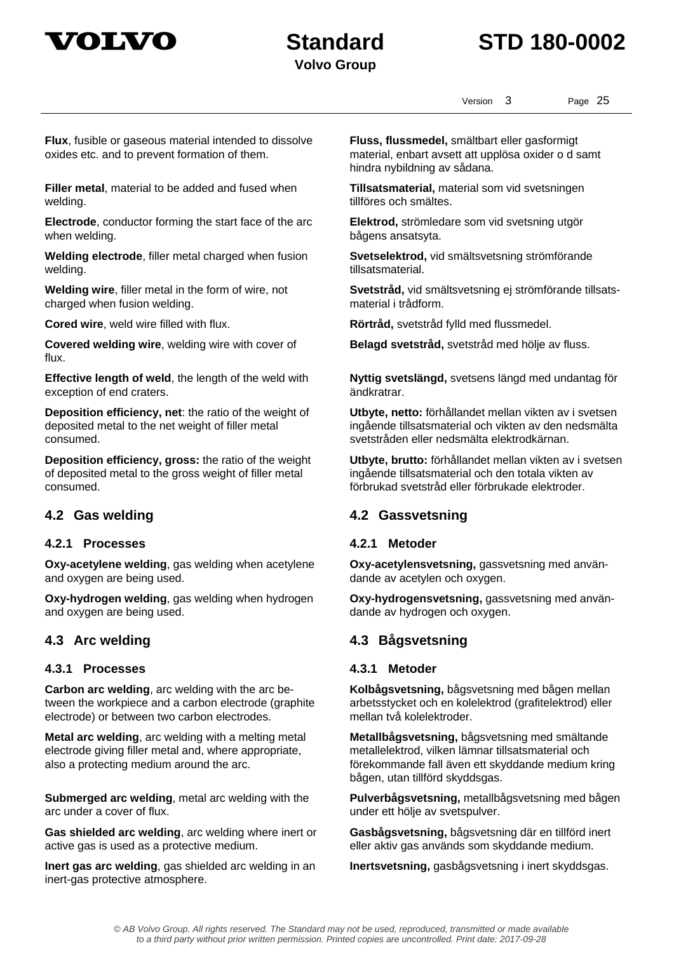



Version 3 Page 25

**Flux**, fusible or gaseous material intended to dissolve oxides etc. and to prevent formation of them.

**Filler metal**, material to be added and fused when welding.

**Electrode**, conductor forming the start face of the arc when welding.

**Welding electrode**, filler metal charged when fusion welding.

**Welding wire**, filler metal in the form of wire, not charged when fusion welding.

**Covered welding wire**, welding wire with cover of flux.

**Effective length of weld**, the length of the weld with exception of end craters.

**Deposition efficiency, net**: the ratio of the weight of deposited metal to the net weight of filler metal consumed.

**Deposition efficiency, gross:** the ratio of the weight of deposited metal to the gross weight of filler metal consumed.

### **4.2.1 Processes 4.2.1 Metoder**

**Oxy-acetylene welding**, gas welding when acetylene and oxygen are being used.

**Oxy-hydrogen welding**, gas welding when hydrogen and oxygen are being used.

### **4.3.1 Processes 4.3.1 Metoder**

**Carbon arc welding**, arc welding with the arc between the workpiece and a carbon electrode (graphite electrode) or between two carbon electrodes.

**Metal arc welding**, arc welding with a melting metal electrode giving filler metal and, where appropriate, also a protecting medium around the arc.

**Submerged arc welding**, metal arc welding with the arc under a cover of flux.

**Gas shielded arc welding**, arc welding where inert or active gas is used as a protective medium.

**Inert gas arc welding**, gas shielded arc welding in an inert-gas protective atmosphere.

**Fluss, flussmedel,** smältbart eller gasformigt material, enbart avsett att upplösa oxider o d samt hindra nybildning av sådana.

**Tillsatsmaterial,** material som vid svetsningen tillföres och smältes.

**Elektrod,** strömledare som vid svetsning utgör bågens ansatsyta.

**Svetselektrod,** vid smältsvetsning strömförande tillsatsmaterial.

**Svetstråd,** vid smältsvetsning ej strömförande tillsatsmaterial i trådform.

**Cored wire**, weld wire filled with flux. **Rörtråd,** svetstråd fylld med flussmedel.

**Belagd svetstråd,** svetstråd med hölje av fluss.

**Nyttig svetslängd,** svetsens längd med undantag för ändkratrar.

**Utbyte, netto:** förhållandet mellan vikten av i svetsen ingående tillsatsmaterial och vikten av den nedsmälta svetstråden eller nedsmälta elektrodkärnan.

**Utbyte, brutto:** förhållandet mellan vikten av i svetsen ingående tillsatsmaterial och den totala vikten av förbrukad svetstråd eller förbrukade elektroder.

### **4.2 Gas welding 4.2 Gassvetsning**

**Oxy-acetylensvetsning,** gassvetsning med användande av acetylen och oxygen.

**Oxy-hydrogensvetsning,** gassvetsning med användande av hydrogen och oxygen.

### **4.3 Arc welding 4.3 Bågsvetsning**

**Kolbågsvetsning,** bågsvetsning med bågen mellan arbetsstycket och en kolelektrod (grafitelektrod) eller mellan två kolelektroder.

**Metallbågsvetsning,** bågsvetsning med smältande metallelektrod, vilken lämnar tillsatsmaterial och förekommande fall även ett skyddande medium kring bågen, utan tillförd skyddsgas.

**Pulverbågsvetsning,** metallbågsvetsning med bågen under ett hölje av svetspulver.

**Gasbågsvetsning,** bågsvetsning där en tillförd inert eller aktiv gas används som skyddande medium.

**Inertsvetsning,** gasbågsvetsning i inert skyddsgas.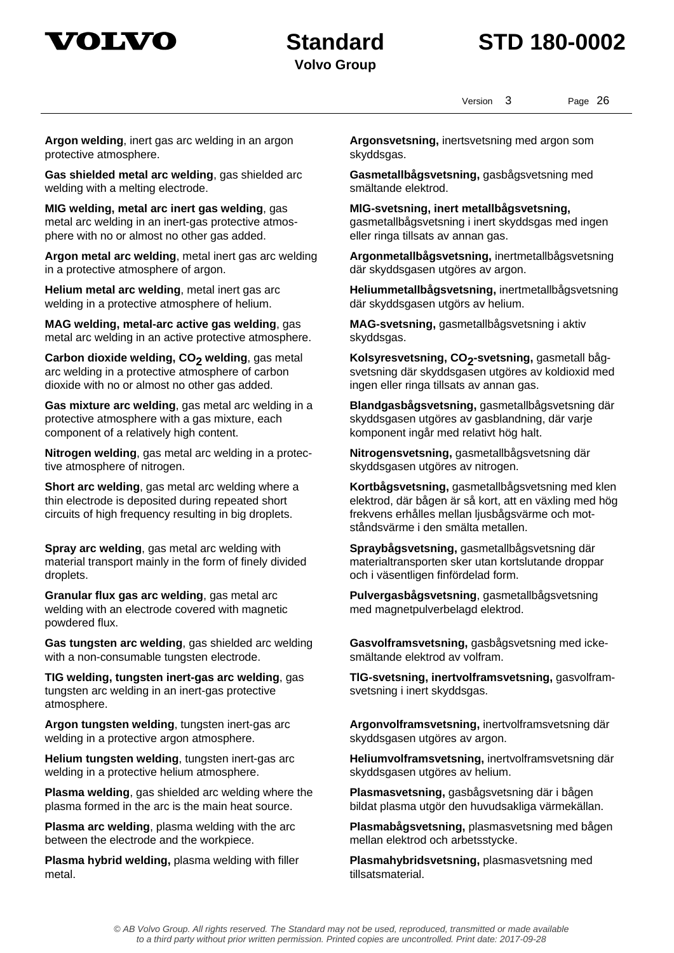

Version 3 Page 26

**Argon welding**, inert gas arc welding in an argon protective atmosphere.

**Gas shielded metal arc welding**, gas shielded arc welding with a melting electrode.

**MIG welding, metal arc inert gas welding**, gas metal arc welding in an inert-gas protective atmosphere with no or almost no other gas added.

**Argon metal arc welding**, metal inert gas arc welding in a protective atmosphere of argon.

**Helium metal arc welding**, metal inert gas arc welding in a protective atmosphere of helium.

**MAG welding, metal-arc active gas welding**, gas metal arc welding in an active protective atmosphere.

Carbon dioxide welding, CO<sub>2</sub> welding, gas metal arc welding in a protective atmosphere of carbon dioxide with no or almost no other gas added.

**Gas mixture arc welding**, gas metal arc welding in a protective atmosphere with a gas mixture, each component of a relatively high content.

**Nitrogen welding**, gas metal arc welding in a protective atmosphere of nitrogen.

**Short arc welding**, gas metal arc welding where a thin electrode is deposited during repeated short circuits of high frequency resulting in big droplets.

**Spray arc welding**, gas metal arc welding with material transport mainly in the form of finely divided droplets.

**Granular flux gas arc welding**, gas metal arc welding with an electrode covered with magnetic powdered flux.

**Gas tungsten arc welding**, gas shielded arc welding with a non-consumable tungsten electrode.

**TIG welding, tungsten inert-gas arc welding**, gas tungsten arc welding in an inert-gas protective atmosphere.

**Argon tungsten welding**, tungsten inert-gas arc welding in a protective argon atmosphere.

**Helium tungsten welding**, tungsten inert-gas arc welding in a protective helium atmosphere.

**Plasma welding**, gas shielded arc welding where the plasma formed in the arc is the main heat source.

**Plasma arc welding**, plasma welding with the arc between the electrode and the workpiece.

**Plasma hybrid welding,** plasma welding with filler metal.

**Argonsvetsning,** inertsvetsning med argon som skyddsgas.

**Gasmetallbågsvetsning,** gasbågsvetsning med smältande elektrod.

**MlG-svetsning, inert metallbågsvetsning,**  gasmetallbågsvetsning i inert skyddsgas med ingen eller ringa tillsats av annan gas.

**Argonmetallbågsvetsning,** inertmetallbågsvetsning där skyddsgasen utgöres av argon.

**Heliummetallbågsvetsning,** inertmetallbågsvetsning där skyddsgasen utgörs av helium.

**MAG-svetsning,** gasmetallbågsvetsning i aktiv skyddsgas.

Kolsyresvetsning, CO<sub>2</sub>-svetsning, gasmetall bågsvetsning där skyddsgasen utgöres av koldioxid med ingen eller ringa tillsats av annan gas.

**Blandgasbågsvetsning,** gasmetallbågsvetsning där skyddsgasen utgöres av gasblandning, där varje komponent ingår med relativt hög halt.

**Nitrogensvetsning,** gasmetallbågsvetsning där skyddsgasen utgöres av nitrogen.

**Kortbågsvetsning,** gasmetallbågsvetsning med klen elektrod, där bågen är så kort, att en växling med hög frekvens erhålles mellan ljusbågsvärme och motståndsvärme i den smälta metallen.

**Spraybågsvetsning,** gasmetallbågsvetsning där materialtransporten sker utan kortslutande droppar och i väsentligen finfördelad form.

**Pulvergasbågsvetsning**, gasmetallbågsvetsning med magnetpulverbelagd elektrod.

**Gasvolframsvetsning,** gasbågsvetsning med ickesmältande elektrod av volfram.

**TlG-svetsning, inertvolframsvetsning,** gasvolframsvetsning i inert skyddsgas.

**Argonvolframsvetsning,** inertvolframsvetsning där skyddsgasen utgöres av argon.

**Heliumvolframsvetsning,** inertvolframsvetsning där skyddsgasen utgöres av helium.

**Plasmasvetsning,** gasbågsvetsning där i bågen bildat plasma utgör den huvudsakliga värmekällan.

**Plasmabågsvetsning,** plasmasvetsning med bågen mellan elektrod och arbetsstycke.

**Plasmahybridsvetsning,** plasmasvetsning med tillsatsmaterial.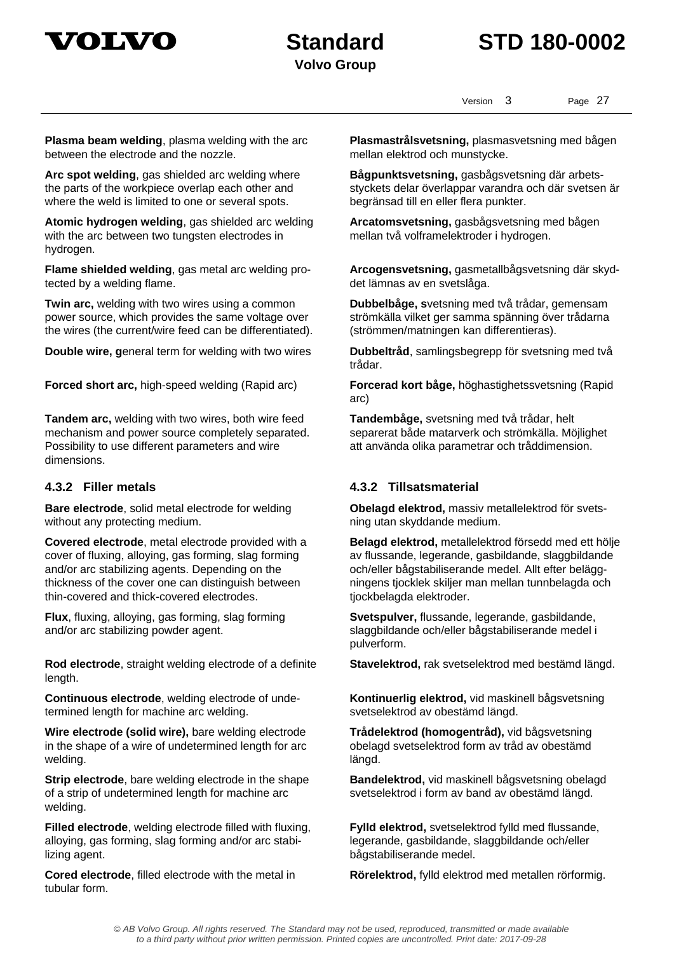



Version 3 Page 27

**Plasma beam welding**, plasma welding with the arc between the electrode and the nozzle.

**Arc spot welding**, gas shielded arc welding where the parts of the workpiece overlap each other and where the weld is limited to one or several spots.

**Atomic hydrogen welding**, gas shielded arc welding with the arc between two tungsten electrodes in hydrogen.

**Flame shielded welding**, gas metal arc welding protected by a welding flame.

**Twin arc,** welding with two wires using a common power source, which provides the same voltage over the wires (the current/wire feed can be differentiated).

**Double wire, g**eneral term for welding with two wires **Dubbeltråd**, samlingsbegrepp för svetsning med två

**Tandem arc,** welding with two wires, both wire feed mechanism and power source completely separated. Possibility to use different parameters and wire dimensions.

**Bare electrode**, solid metal electrode for welding without any protecting medium.

**Covered electrode**, metal electrode provided with a cover of fluxing, alloying, gas forming, slag forming and/or arc stabilizing agents. Depending on the thickness of the cover one can distinguish between thin-covered and thick-covered electrodes.

**Flux**, fluxing, alloying, gas forming, slag forming and/or arc stabilizing powder agent.

**Rod electrode**, straight welding electrode of a definite length.

**Continuous electrode**, welding electrode of undetermined length for machine arc welding.

**Wire electrode (solid wire),** bare welding electrode in the shape of a wire of undetermined length for arc welding.

**Strip electrode**, bare welding electrode in the shape of a strip of undetermined length for machine arc welding.

**Filled electrode**, welding electrode filled with fluxing, alloying, gas forming, slag forming and/or arc stabilizing agent.

**Cored electrode**, filled electrode with the metal in tubular form.

**Plasmastrålsvetsning,** plasmasvetsning med bågen mellan elektrod och munstycke.

**Bågpunktsvetsning,** gasbågsvetsning där arbetsstyckets delar överlappar varandra och där svetsen är begränsad till en eller flera punkter.

**Arcatomsvetsning,** gasbågsvetsning med bågen mellan två volframelektroder i hydrogen.

**Arcogensvetsning,** gasmetallbågsvetsning där skyddet lämnas av en svetslåga.

**Dubbelbåge, s**vetsning med två trådar, gemensam strömkälla vilket ger samma spänning över trådarna (strömmen/matningen kan differentieras).

trådar.

**Forced short arc,** high-speed welding (Rapid arc) **Forcerad kort båge,** höghastighetssvetsning (Rapid arc)

> **Tandembåge,** svetsning med två trådar, helt separerat både matarverk och strömkälla. Möjlighet att använda olika parametrar och tråddimension.

### **4.3.2 Filler metals 4.3.2 Tillsatsmaterial**

**Obelagd elektrod,** massiv metallelektrod för svetsning utan skyddande medium.

**Belagd elektrod,** metallelektrod försedd med ett hölje av flussande, legerande, gasbildande, slaggbildande och/eller bågstabiliserande medel. Allt efter beläggningens tjocklek skiljer man mellan tunnbelagda och tjockbelagda elektroder.

**Svetspulver,** flussande, legerande, gasbildande, slaggbildande och/eller bågstabiliserande medel i pulverform.

**Stavelektrod,** rak svetselektrod med bestämd längd.

**Kontinuerlig elektrod,** vid maskinell bågsvetsning svetselektrod av obestämd längd.

**Trådelektrod (homogentråd),** vid bågsvetsning obelagd svetselektrod form av tråd av obestämd längd.

**Bandelektrod,** vid maskinell bågsvetsning obelagd svetselektrod i form av band av obestämd längd.

**Fylld elektrod,** svetselektrod fylld med flussande, legerande, gasbildande, slaggbildande och/eller bågstabiliserande medel.

**Rörelektrod,** fylld elektrod med metallen rörformig.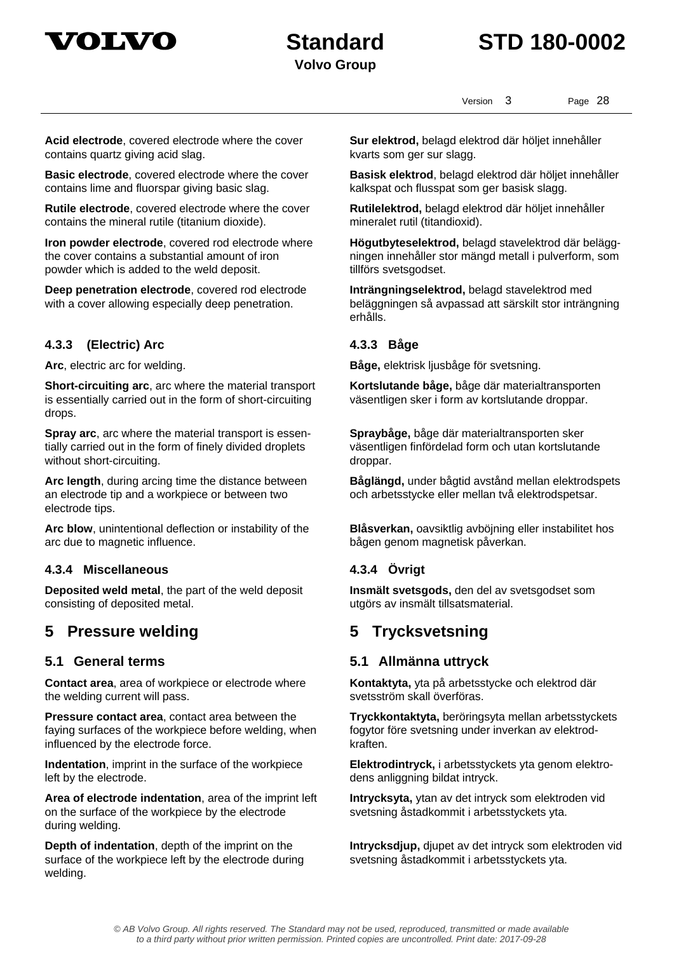



Version 3 Page 28

**Acid electrode**, covered electrode where the cover contains quartz giving acid slag.

**Basic electrode**, covered electrode where the cover contains lime and fluorspar giving basic slag.

**Rutile electrode**, covered electrode where the cover contains the mineral rutile (titanium dioxide).

**Iron powder electrode**, covered rod electrode where the cover contains a substantial amount of iron powder which is added to the weld deposit.

**Deep penetration electrode**, covered rod electrode with a cover allowing especially deep penetration.

### **4.3.3 (Electric) Arc 4.3.3 Båge**

**Short-circuiting arc**, arc where the material transport is essentially carried out in the form of short-circuiting drops.

**Spray arc**, arc where the material transport is essentially carried out in the form of finely divided droplets without short-circuiting.

**Arc length**, during arcing time the distance between an electrode tip and a workpiece or between two electrode tips.

**Arc blow**, unintentional deflection or instability of the arc due to magnetic influence.

### **4.3.4 Miscellaneous 4.3.4 Övrigt**

**Deposited weld metal**, the part of the weld deposit consisting of deposited metal.

### **5 Pressure welding 5 Trycksvetsning**

**Contact area**, area of workpiece or electrode where the welding current will pass.

**Pressure contact area**, contact area between the faying surfaces of the workpiece before welding, when influenced by the electrode force.

**Indentation**, imprint in the surface of the workpiece left by the electrode.

**Area of electrode indentation**, area of the imprint left on the surface of the workpiece by the electrode during welding.

**Depth of indentation**, depth of the imprint on the surface of the workpiece left by the electrode during welding.

**Sur elektrod,** belagd elektrod där höljet innehåller kvarts som ger sur slagg.

**Basisk elektrod**, belagd elektrod där höljet innehåller kalkspat och flusspat som ger basisk slagg.

**Rutilelektrod,** belagd elektrod där höljet innehåller mineralet rutil (titandioxid).

**Högutbyteselektrod,** belagd stavelektrod där beläggningen innehåller stor mängd metall i pulverform, som tillförs svetsgodset.

**Inträngningselektrod,** belagd stavelektrod med beläggningen så avpassad att särskilt stor inträngning erhålls.

**Arc**, electric arc for welding. **Båge,** elektrisk ljusbåge för svetsning.

**Kortslutande båge,** båge där materialtransporten väsentligen sker i form av kortslutande droppar.

**Spraybåge,** båge där materialtransporten sker väsentligen finfördelad form och utan kortslutande droppar.

**Båglängd,** under bågtid avstånd mellan elektrodspets och arbetsstycke eller mellan två elektrodspetsar.

**Blåsverkan,** oavsiktlig avböjning eller instabilitet hos bågen genom magnetisk påverkan.

**Insmält svetsgods,** den del av svetsgodset som utgörs av insmält tillsatsmaterial.

### **5.1 General terms 5.1 Allmänna uttryck**

**Kontaktyta,** yta på arbetsstycke och elektrod där svetsström skall överföras.

**Tryckkontaktyta,** beröringsyta mellan arbetsstyckets fogytor före svetsning under inverkan av elektrodkraften.

**Elektrodintryck,** i arbetsstyckets yta genom elektrodens anliggning bildat intryck.

**Intrycksyta,** ytan av det intryck som elektroden vid svetsning åstadkommit i arbetsstyckets yta.

**Intrycksdjup,** djupet av det intryck som elektroden vid svetsning åstadkommit i arbetsstyckets yta.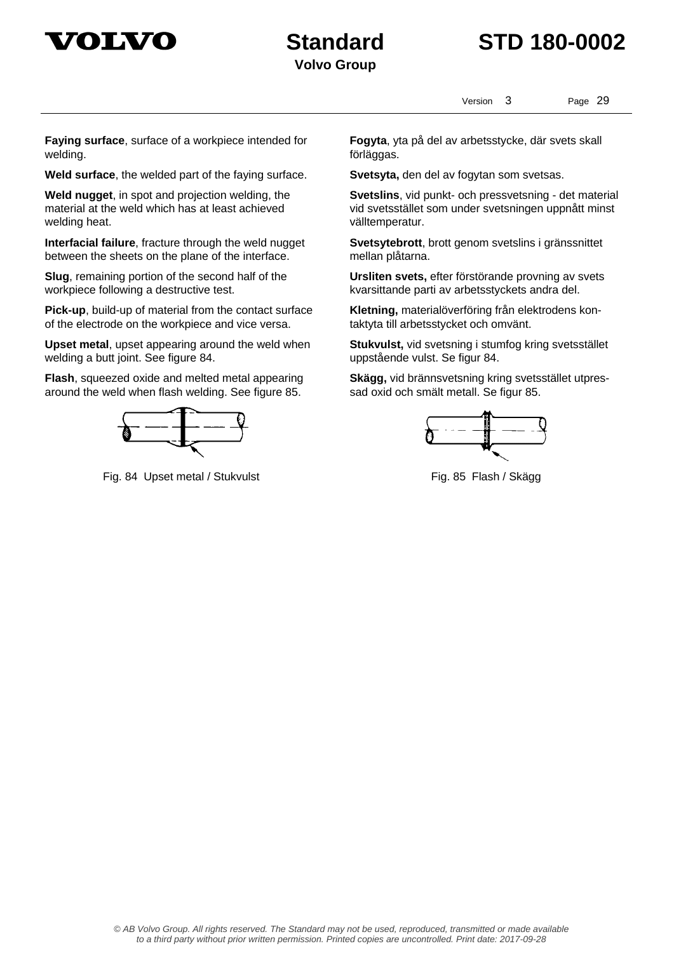



Version 3 Page 29

**Faying surface**, surface of a workpiece intended for welding.

**Weld surface**, the welded part of the faying surface. **Svetsyta,** den del av fogytan som svetsas.

**Weld nugget**, in spot and projection welding, the material at the weld which has at least achieved welding heat.

**Interfacial failure**, fracture through the weld nugget between the sheets on the plane of the interface.

**Slug**, remaining portion of the second half of the workpiece following a destructive test.

**Pick-up**, build-up of material from the contact surface of the electrode on the workpiece and vice versa.

**Upset metal**, upset appearing around the weld when welding a butt joint. See figure 84.

**Flash**, squeezed oxide and melted metal appearing around the weld when flash welding. See figure 85.



Fig. 84 Upset metal / Stukvulst Fig. 85 Flash / Skägg

**Fogyta**, yta på del av arbetsstycke, där svets skall förläggas.

**Svetslins**, vid punkt- och pressvetsning - det material vid svetsstället som under svetsningen uppnått minst välltemperatur.

**Svetsytebrott**, brott genom svetslins i gränssnittet mellan plåtarna.

**Ursliten svets,** efter förstörande provning av svets kvarsittande parti av arbetsstyckets andra del.

**Kletning,** materialöverföring från elektrodens kontaktyta till arbetsstycket och omvänt.

**Stukvulst,** vid svetsning i stumfog kring svetsstället uppstående vulst. Se figur 84.

**Skägg,** vid brännsvetsning kring svetsstället utpressad oxid och smält metall. Se figur 85.

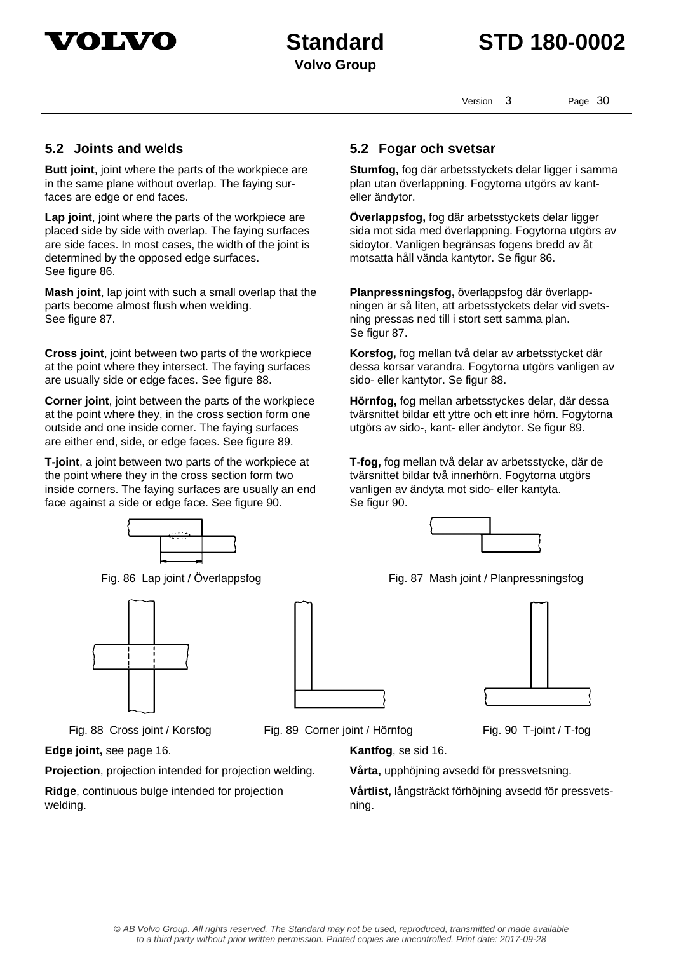

Version 3 Page 30

**Butt joint**, joint where the parts of the workpiece are in the same plane without overlap. The faying surfaces are edge or end faces.

**Lap joint**, joint where the parts of the workpiece are placed side by side with overlap. The faying surfaces are side faces. In most cases, the width of the joint is determined by the opposed edge surfaces. See figure 86.

**Mash joint**, lap joint with such a small overlap that the parts become almost flush when welding. See figure 87.

**Cross joint**, joint between two parts of the workpiece at the point where they intersect. The faying surfaces are usually side or edge faces. See figure 88.

**Corner joint**, joint between the parts of the workpiece at the point where they, in the cross section form one outside and one inside corner. The faying surfaces are either end, side, or edge faces. See figure 89.

**T-joint**, a joint between two parts of the workpiece at the point where they in the cross section form two inside corners. The faying surfaces are usually an end face against a side or edge face. See figure 90.





**Edge joint,** see page 16. **Kantfog**, se sid 16.

**Projection**, projection intended for projection welding. **Vårta,** upphöjning avsedd för pressvetsning.

**Ridge**, continuous bulge intended for projection welding.

## **5.2 Joints and welds 5.2 Fogar och svetsar**

**Stumfog,** fog där arbetsstyckets delar ligger i samma plan utan överlappning. Fogytorna utgörs av kanteller ändytor.

**Överlappsfog,** fog där arbetsstyckets delar ligger sida mot sida med överlappning. Fogytorna utgörs av sidoytor. Vanligen begränsas fogens bredd av åt motsatta håll vända kantytor. Se figur 86.

**Planpressningsfog,** överlappsfog där överlappningen är så liten, att arbetsstyckets delar vid svetsning pressas ned till i stort sett samma plan. Se figur 87.

**Korsfog,** fog mellan två delar av arbetsstycket där dessa korsar varandra. Fogytorna utgörs vanligen av sido- eller kantytor. Se figur 88.

**Hörnfog,** fog mellan arbetsstyckes delar, där dessa tvärsnittet bildar ett yttre och ett inre hörn. Fogytorna utgörs av sido-, kant- eller ändytor. Se figur 89.

**T-fog,** fog mellan två delar av arbetsstycke, där de tvärsnittet bildar två innerhörn. Fogytorna utgörs vanligen av ändyta mot sido- eller kantyta. Se figur 90.



Fig. 86 Lap joint / Överlappsfog Fig. 87 Mash joint / Planpressningsfog



Fig. 88 Cross joint / Korsfog Fig. 89 Corner joint / Hörnfog Fig. 90 T-joint / T-fog

**Vårtlist,** långsträckt förhöjning avsedd för pressvetsning.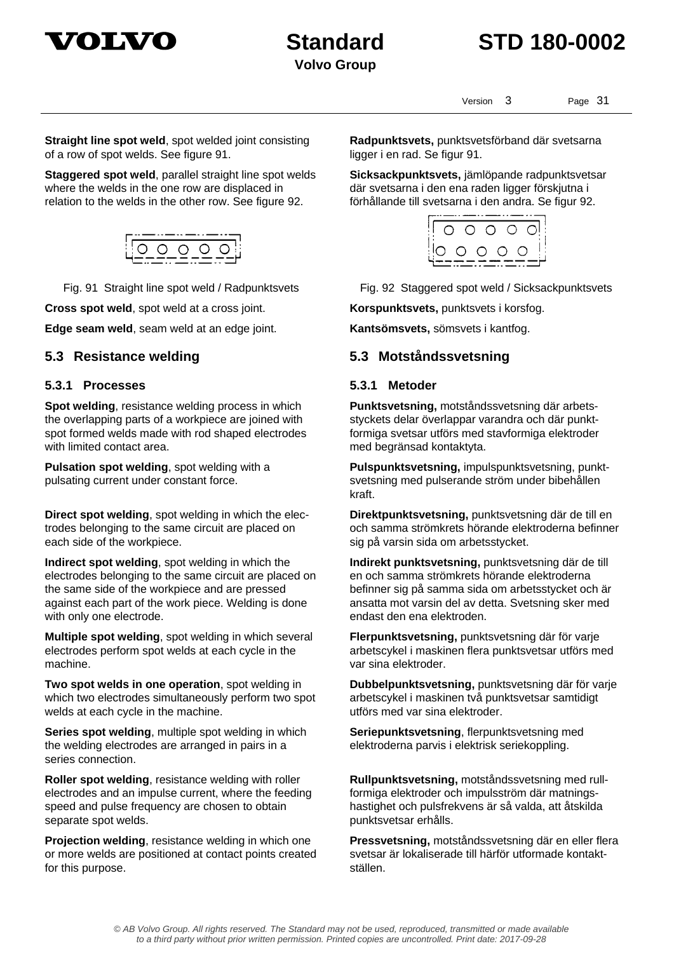



Version 3 Page 31

**Straight line spot weld**, spot welded joint consisting of a row of spot welds. See figure 91.

**Staggered spot weld**, parallel straight line spot welds where the welds in the one row are displaced in relation to the welds in the other row. See figure 92.



**Cross spot weld**, spot weld at a cross joint. **Korspunktsvets**, punktsvets i korsfog.

**Edge seam weld**, seam weld at an edge joint. **Kantsömsvets,** sömsvets i kantfog.

### **5.3.1 Processes 5.3.1 Metoder**

**Spot welding**, resistance welding process in which the overlapping parts of a workpiece are joined with spot formed welds made with rod shaped electrodes with limited contact area.

**Pulsation spot welding**, spot welding with a pulsating current under constant force.

**Direct spot welding**, spot welding in which the electrodes belonging to the same circuit are placed on each side of the workpiece.

**Indirect spot welding**, spot welding in which the electrodes belonging to the same circuit are placed on the same side of the workpiece and are pressed against each part of the work piece. Welding is done with only one electrode.

**Multiple spot welding**, spot welding in which several electrodes perform spot welds at each cycle in the machine.

**Two spot welds in one operation**, spot welding in which two electrodes simultaneously perform two spot welds at each cycle in the machine.

**Series spot welding**, multiple spot welding in which the welding electrodes are arranged in pairs in a series connection.

**Roller spot welding**, resistance welding with roller electrodes and an impulse current, where the feeding speed and pulse frequency are chosen to obtain separate spot welds.

**Projection welding**, resistance welding in which one or more welds are positioned at contact points created for this purpose.

**Radpunktsvets,** punktsvetsförband där svetsarna ligger i en rad. Se figur 91.

**Sicksackpunktsvets,** jämlöpande radpunktsvetsar där svetsarna i den ena raden ligger förskjutna i förhållande till svetsarna i den andra. Se figur 92.



Fig. 91 Straight line spot weld / Radpunktsvets Fig. 92 Staggered spot weld / Sicksackpunktsvets

### **5.3 Resistance welding 5.3 Motståndssvetsning**

**Punktsvetsning,** motståndssvetsning där arbetsstyckets delar överlappar varandra och där punktformiga svetsar utförs med stavformiga elektroder med begränsad kontaktyta.

**Pulspunktsvetsning,** impulspunktsvetsning, punktsvetsning med pulserande ström under bibehållen kraft.

**Direktpunktsvetsning,** punktsvetsning där de till en och samma strömkrets hörande elektroderna befinner sig på varsin sida om arbetsstycket.

**Indirekt punktsvetsning,** punktsvetsning där de till en och samma strömkrets hörande elektroderna befinner sig på samma sida om arbetsstycket och är ansatta mot varsin del av detta. Svetsning sker med endast den ena elektroden.

**Flerpunktsvetsning,** punktsvetsning där för varje arbetscykel i maskinen flera punktsvetsar utförs med var sina elektroder.

**Dubbelpunktsvetsning,** punktsvetsning där för varje arbetscykel i maskinen två punktsvetsar samtidigt utförs med var sina elektroder.

**Seriepunktsvetsning**, flerpunktsvetsning med elektroderna parvis i elektrisk seriekoppling.

**Rullpunktsvetsning,** motståndssvetsning med rullformiga elektroder och impulsström där matningshastighet och pulsfrekvens är så valda, att åtskilda punktsvetsar erhålls.

**Pressvetsning,** motståndssvetsning där en eller flera svetsar är lokaliserade till härför utformade kontaktställen.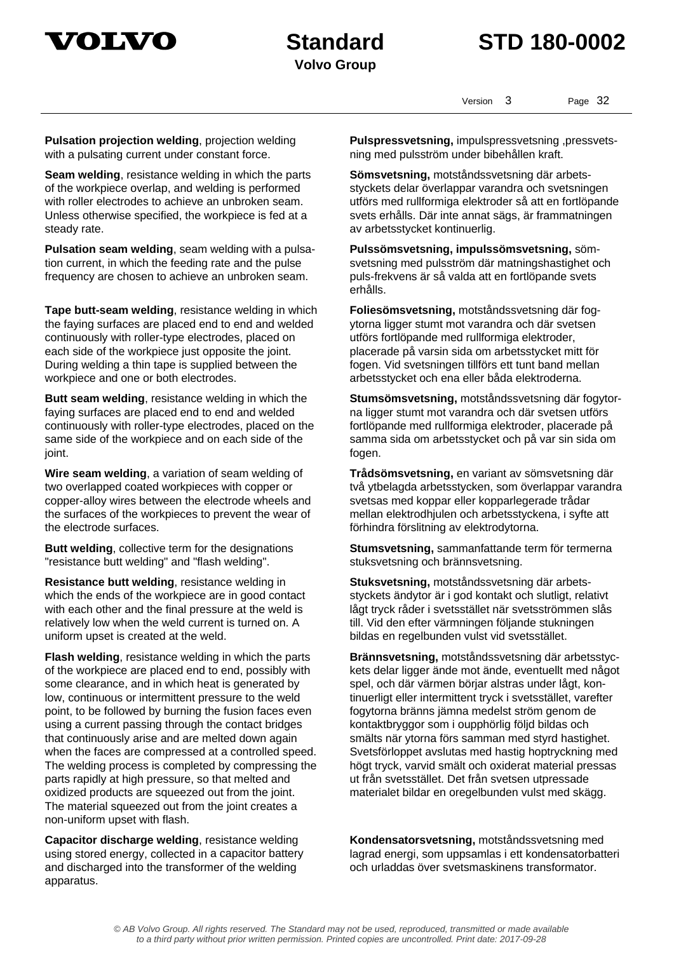

Version 3 Page 32

**Pulsation projection welding**, projection welding with a pulsating current under constant force.

**Seam welding**, resistance welding in which the parts of the workpiece overlap, and welding is performed with roller electrodes to achieve an unbroken seam. Unless otherwise specified, the workpiece is fed at a steady rate.

**Pulsation seam welding**, seam welding with a pulsation current, in which the feeding rate and the pulse frequency are chosen to achieve an unbroken seam.

**Tape butt-seam welding**, resistance welding in which the faying surfaces are placed end to end and welded continuously with roller-type electrodes, placed on each side of the workpiece just opposite the joint. During welding a thin tape is supplied between the workpiece and one or both electrodes.

**Butt seam welding**, resistance welding in which the faying surfaces are placed end to end and welded continuously with roller-type electrodes, placed on the same side of the workpiece and on each side of the joint.

**Wire seam welding**, a variation of seam welding of two overlapped coated workpieces with copper or copper-alloy wires between the electrode wheels and the surfaces of the workpieces to prevent the wear of the electrode surfaces.

**Butt welding**, collective term for the designations "resistance butt welding" and "flash welding".

**Resistance butt welding**, resistance welding in which the ends of the workpiece are in good contact with each other and the final pressure at the weld is relatively low when the weld current is turned on. A uniform upset is created at the weld.

**Flash welding**, resistance welding in which the parts of the workpiece are placed end to end, possibly with some clearance, and in which heat is generated by low, continuous or intermittent pressure to the weld point, to be followed by burning the fusion faces even using a current passing through the contact bridges that continuously arise and are melted down again when the faces are compressed at a controlled speed. The welding process is completed by compressing the parts rapidly at high pressure, so that melted and oxidized products are squeezed out from the joint. The material squeezed out from the joint creates a non-uniform upset with flash.

**Capacitor discharge welding**, resistance welding using stored energy, collected in a capacitor battery and discharged into the transformer of the welding apparatus.

**Pulspressvetsning,** impulspressvetsning ,pressvetsning med pulsström under bibehållen kraft.

**Sömsvetsning,** motståndssvetsning där arbetsstyckets delar överlappar varandra och svetsningen utförs med rullformiga elektroder så att en fortlöpande svets erhålls. Där inte annat sägs, är frammatningen av arbetsstycket kontinuerlig.

**Pulssömsvetsning, impulssömsvetsning,** sömsvetsning med pulsström där matningshastighet och puls-frekvens är så valda att en fortlöpande svets erhålls.

**Foliesömsvetsning,** motståndssvetsning där fogytorna ligger stumt mot varandra och där svetsen utförs fortlöpande med rullformiga elektroder, placerade på varsin sida om arbetsstycket mitt för fogen. Vid svetsningen tillförs ett tunt band mellan arbetsstycket och ena eller båda elektroderna.

**Stumsömsvetsning,** motståndssvetsning där fogytorna ligger stumt mot varandra och där svetsen utförs fortlöpande med rullformiga elektroder, placerade på samma sida om arbetsstycket och på var sin sida om fogen.

**Trådsömsvetsning,** en variant av sömsvetsning där två ytbelagda arbetsstycken, som överlappar varandra svetsas med koppar eller kopparlegerade trådar mellan elektrodhjulen och arbetsstyckena, i syfte att förhindra förslitning av elektrodytorna.

**Stumsvetsning,** sammanfattande term för termerna stuksvetsning och brännsvetsning.

**Stuksvetsning,** motståndssvetsning där arbetsstyckets ändytor är i god kontakt och slutligt, relativt lågt tryck råder i svetsstället när svetsströmmen slås till. Vid den efter värmningen följande stukningen bildas en regelbunden vulst vid svetsstället.

**Brännsvetsning,** motståndssvetsning där arbetsstyckets delar ligger ände mot ände, eventuellt med något spel, och där värmen börjar alstras under lågt, kontinuerligt eller intermittent tryck i svetsstället, varefter fogytorna bränns jämna medelst ström genom de kontaktbryggor som i oupphörlig följd bildas och smälts när ytorna förs samman med styrd hastighet. Svetsförloppet avslutas med hastig hoptryckning med högt tryck, varvid smält och oxiderat material pressas ut från svetsstället. Det från svetsen utpressade materialet bildar en oregelbunden vulst med skägg.

**Kondensatorsvetsning,** motståndssvetsning med lagrad energi, som uppsamlas i ett kondensatorbatteri och urladdas över svetsmaskinens transformator.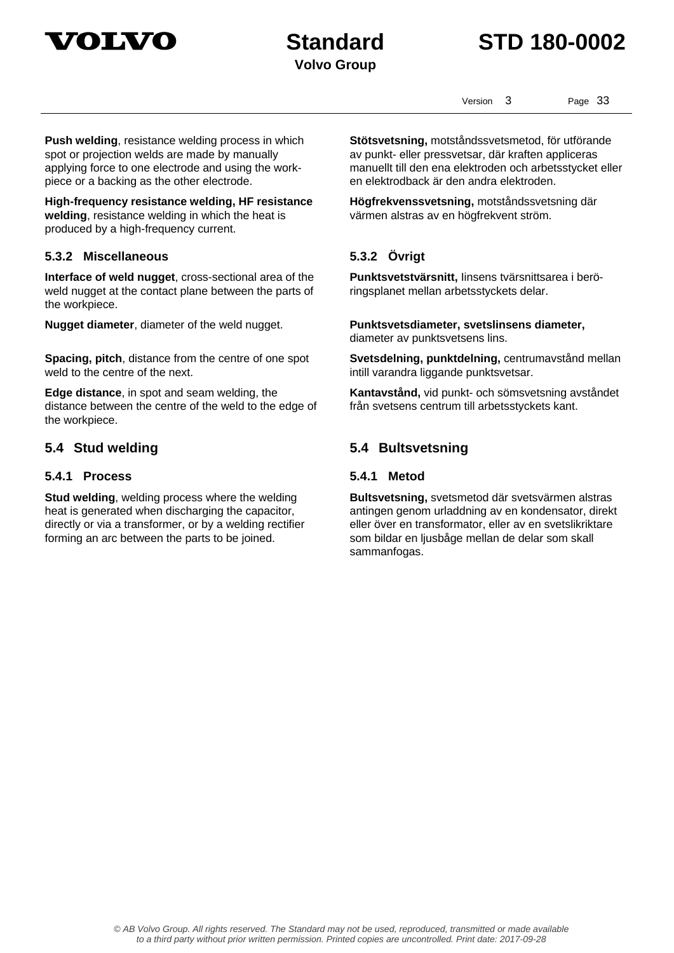

## **Standard STD 180-0002**

Version 3 Page 33

**Push welding**, resistance welding process in which spot or projection welds are made by manually applying force to one electrode and using the workpiece or a backing as the other electrode.

**High-frequency resistance welding, HF resistance welding**, resistance welding in which the heat is produced by a high-frequency current.

### **5.3.2 Miscellaneous 5.3.2 Övrigt**

**Interface of weld nugget**, cross-sectional area of the weld nugget at the contact plane between the parts of the workpiece.

**Nugget diameter**, diameter of the weld nugget. **Punktsvetsdiameter, svetslinsens diameter,** 

**Spacing, pitch**, distance from the centre of one spot weld to the centre of the next.

**Edge distance**, in spot and seam welding, the distance between the centre of the weld to the edge of the workpiece.

### **5.4.1 Process 5.4.1 Metod**

**Stud welding**, welding process where the welding heat is generated when discharging the capacitor, directly or via a transformer, or by a welding rectifier forming an arc between the parts to be joined.

**Stötsvetsning,** motståndssvetsmetod, för utförande av punkt- eller pressvetsar, där kraften appliceras manuellt till den ena elektroden och arbetsstycket eller en elektrodback är den andra elektroden.

**Högfrekvenssvetsning,** motståndssvetsning där värmen alstras av en högfrekvent ström.

**Punktsvetstvärsnitt,** Iinsens tvärsnittsarea i beröringsplanet mellan arbetsstyckets delar.

diameter av punktsvetsens lins.

**Svetsdelning, punktdelning,** centrumavstånd mellan intill varandra liggande punktsvetsar.

**Kantavstånd,** vid punkt- och sömsvetsning avståndet från svetsens centrum till arbetsstyckets kant.

### **5.4 Stud welding 5.4 Bultsvetsning**

**Bultsvetsning,** svetsmetod där svetsvärmen alstras antingen genom urladdning av en kondensator, direkt eller över en transformator, eller av en svetslikriktare som bildar en ljusbåge mellan de delar som skall sammanfogas.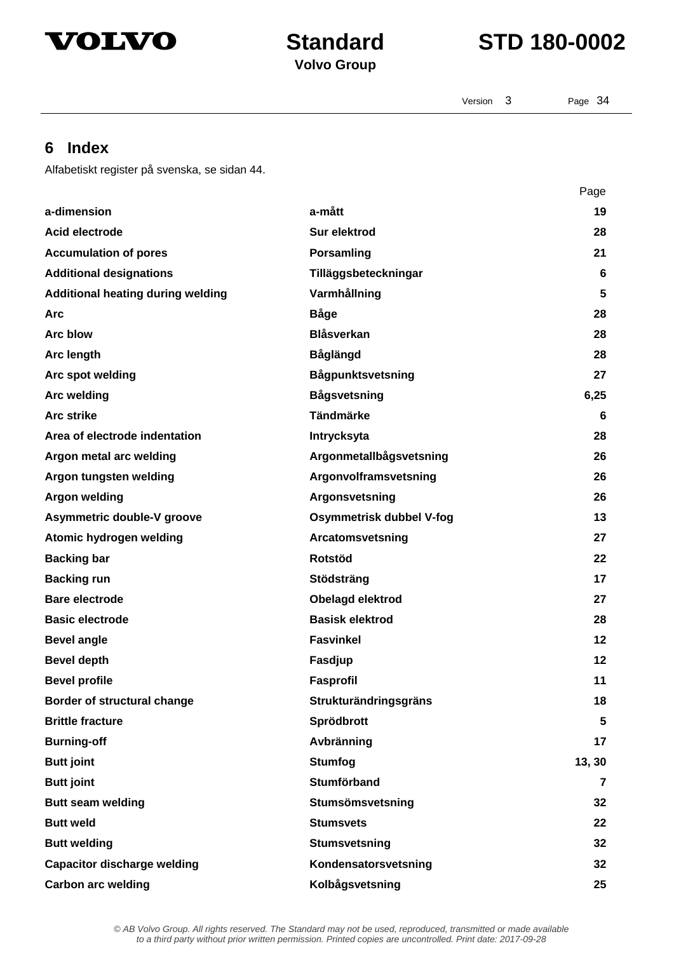



Version 3 Page 34

## **6 Index**

Alfabetiskt register på svenska, se sidan 44.

|                                          |                          | Page           |
|------------------------------------------|--------------------------|----------------|
| a-dimension                              | a-mått                   | 19             |
| Acid electrode                           | Sur elektrod             | 28             |
| <b>Accumulation of pores</b>             | Porsamling               | 21             |
| <b>Additional designations</b>           | Tilläggsbeteckningar     | 6              |
| <b>Additional heating during welding</b> | Varmhållning             | 5              |
| <b>Arc</b>                               | <b>Båge</b>              | 28             |
| Arc blow                                 | <b>Blåsverkan</b>        | 28             |
| Arc length                               | <b>Båglängd</b>          | 28             |
| Arc spot welding                         | Bågpunktsvetsning        | 27             |
| <b>Arc welding</b>                       | <b>Bågsvetsning</b>      | 6,25           |
| <b>Arc strike</b>                        | <b>Tändmärke</b>         | 6              |
| Area of electrode indentation            | Intrycksyta              | 28             |
| Argon metal arc welding                  | Argonmetallbågsvetsning  | 26             |
| Argon tungsten welding                   | Argonvolframsvetsning    | 26             |
| <b>Argon welding</b>                     | Argonsvetsning           | 26             |
| Asymmetric double-V groove               | Osymmetrisk dubbel V-fog | 13             |
| Atomic hydrogen welding                  | Arcatomsvetsning         | 27             |
| <b>Backing bar</b>                       | <b>Rotstöd</b>           | 22             |
| <b>Backing run</b>                       | Stödsträng               | 17             |
| Bare electrode                           | Obelagd elektrod         | 27             |
| <b>Basic electrode</b>                   | <b>Basisk elektrod</b>   | 28             |
| <b>Bevel angle</b>                       | <b>Fasvinkel</b>         | $12 \,$        |
| <b>Bevel depth</b>                       | Fasdjup                  | 12             |
| <b>Bevel profile</b>                     | Fasprofil                | 11             |
| <b>Border of structural change</b>       | Strukturändringsgräns    | 18             |
| <b>Brittle fracture</b>                  | Sprödbrott               | 5              |
| <b>Burning-off</b>                       | Avbränning               | 17             |
| <b>Butt joint</b>                        | <b>Stumfog</b>           | 13, 30         |
| <b>Butt joint</b>                        | <b>Stumförband</b>       | $\overline{7}$ |
| <b>Butt seam welding</b>                 | Stumsömsvetsning         | 32             |
| <b>Butt weld</b>                         | <b>Stumsvets</b>         | 22             |
| <b>Butt welding</b>                      | <b>Stumsvetsning</b>     | 32             |
| <b>Capacitor discharge welding</b>       | Kondensatorsvetsning     | 32             |
| <b>Carbon arc welding</b>                | Kolbågsvetsning          | 25             |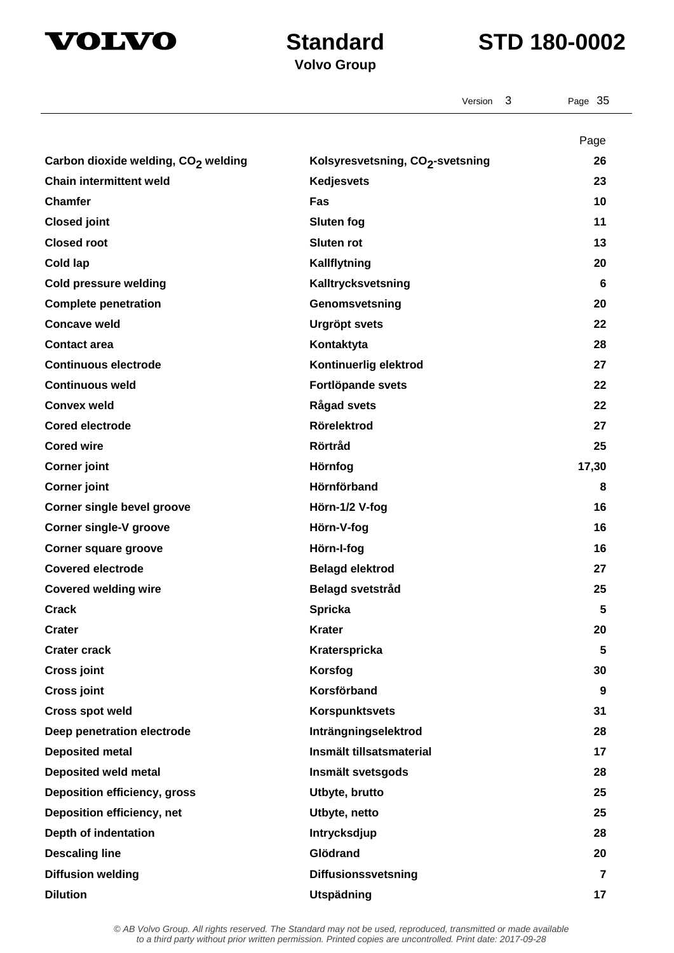



|                                                 | 3<br>Version                                 | Page 35    |
|-------------------------------------------------|----------------------------------------------|------------|
|                                                 |                                              |            |
| Carbon dioxide welding, CO <sub>2</sub> welding | Kolsyresvetsning, CO <sub>2</sub> -svetsning | Page<br>26 |
| <b>Chain intermittent weld</b>                  | <b>Kedjesvets</b>                            | 23         |
| <b>Chamfer</b>                                  | Fas                                          | 10         |
| <b>Closed joint</b>                             | <b>Sluten fog</b>                            | 11         |
| <b>Closed root</b>                              | <b>Sluten rot</b>                            | 13         |
| Cold lap                                        | Kallflytning                                 | 20         |
| <b>Cold pressure welding</b>                    | Kalltrycksvetsning                           | 6          |
| <b>Complete penetration</b>                     | Genomsvetsning                               | 20         |
| <b>Concave weld</b>                             | <b>Urgröpt svets</b>                         | 22         |
| <b>Contact area</b>                             | Kontaktyta                                   | 28         |
| <b>Continuous electrode</b>                     | Kontinuerlig elektrod                        | 27         |
| <b>Continuous weld</b>                          | Fortlöpande svets                            | 22         |
| <b>Convex weld</b>                              | <b>Rågad svets</b>                           | 22         |
| <b>Cored electrode</b>                          | <b>Rörelektrod</b>                           | 27         |
| <b>Cored wire</b>                               | <b>Rörtråd</b>                               | 25         |
| <b>Corner joint</b>                             | Hörnfog                                      | 17,30      |
| <b>Corner joint</b>                             | Hörnförband                                  | 8          |
| <b>Corner single bevel groove</b>               | Hörn-1/2 V-fog                               | 16         |
| <b>Corner single-V groove</b>                   | Hörn-V-fog                                   | 16         |
| Corner square groove                            | Hörn-I-fog                                   | 16         |
| <b>Covered electrode</b>                        | <b>Belagd elektrod</b>                       | 27         |
| <b>Covered welding wire</b>                     | <b>Belagd svetstråd</b>                      | 25         |
| <b>Crack</b>                                    | <b>Spricka</b>                               | 5          |
| <b>Crater</b>                                   | <b>Krater</b>                                | 20         |
| <b>Crater crack</b>                             | Kraterspricka                                | 5          |
| <b>Cross joint</b>                              | Korsfog                                      | 30         |
| <b>Cross joint</b>                              | Korsförband                                  | 9          |
| <b>Cross spot weld</b>                          | <b>Korspunktsvets</b>                        | 31         |
| Deep penetration electrode                      | Inträngningselektrod                         | 28         |
| <b>Deposited metal</b>                          | Insmält tillsatsmaterial                     | 17         |
| <b>Deposited weld metal</b>                     | Insmält svetsgods                            | 28         |
| <b>Deposition efficiency, gross</b>             | Utbyte, brutto                               | 25         |
| Deposition efficiency, net                      | Utbyte, netto                                | 25         |
| Depth of indentation                            | <b>Intrycksdjup</b>                          | 28         |
| <b>Descaling line</b>                           | Glödrand                                     | 20         |
| <b>Diffusion welding</b>                        | Diffusionssvetsning                          | 7          |
| <b>Dilution</b>                                 | Utspädning                                   | 17         |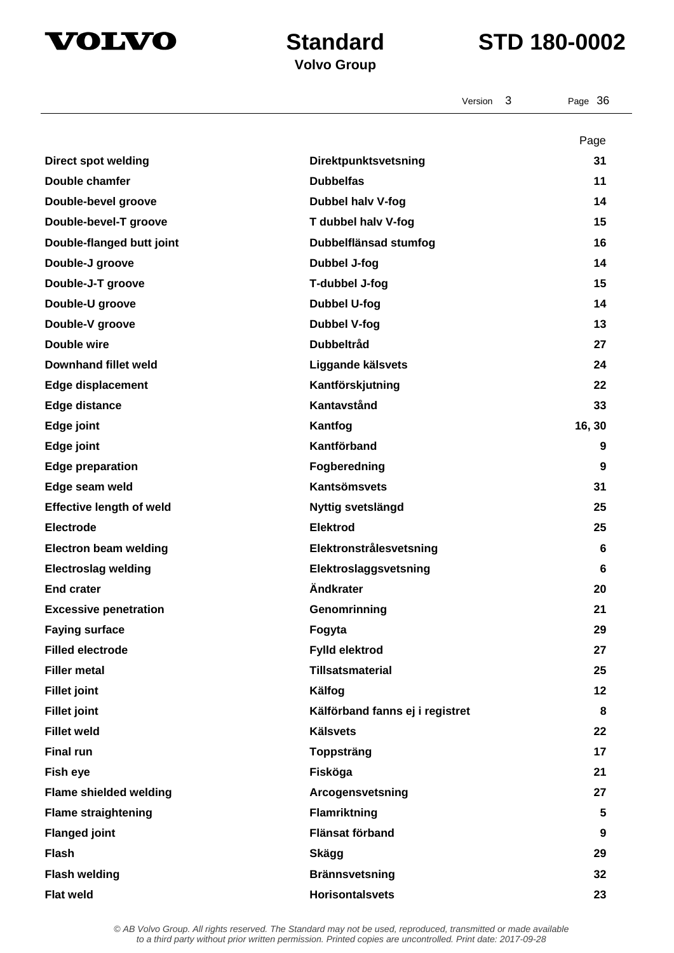

Version 3 Page 36

## **Volvo Group**

|                                 |                                 | Page   |
|---------------------------------|---------------------------------|--------|
| <b>Direct spot welding</b>      | Direktpunktsvetsning            | 31     |
| Double chamfer                  | <b>Dubbelfas</b>                | 11     |
| Double-bevel groove             | Dubbel halv V-fog               | 14     |
| Double-bevel-T groove           | T dubbel halv V-fog             | 15     |
| Double-flanged butt joint       | Dubbelflänsad stumfog           | 16     |
| Double-J groove                 | <b>Dubbel J-fog</b>             | 14     |
| Double-J-T groove               | T-dubbel J-fog                  | 15     |
| Double-U groove                 | <b>Dubbel U-fog</b>             | 14     |
| Double-V groove                 | <b>Dubbel V-fog</b>             | 13     |
| Double wire                     | <b>Dubbeltråd</b>               | 27     |
| <b>Downhand fillet weld</b>     | Liggande kälsvets               | 24     |
| <b>Edge displacement</b>        | Kantförskjutning                | 22     |
| <b>Edge distance</b>            | Kantavstånd                     | 33     |
| Edge joint                      | Kantfog                         | 16, 30 |
| Edge joint                      | Kantförband                     | 9      |
| <b>Edge preparation</b>         | Fogberedning                    | 9      |
| Edge seam weld                  | Kantsömsvets                    | 31     |
| <b>Effective length of weld</b> | Nyttig svetslängd               | 25     |
| <b>Electrode</b>                | <b>Elektrod</b>                 | 25     |
| <b>Electron beam welding</b>    | Elektronstrålesvetsning         | 6      |
| <b>Electroslag welding</b>      | Elektroslaggsvetsning           | 6      |
| <b>End crater</b>               | Ändkrater                       | 20     |
| <b>Excessive penetration</b>    | Genomrinning                    | 21     |
| <b>Faying surface</b>           | Fogyta                          | 29     |
| <b>Filled electrode</b>         | Fylld elektrod                  | 27     |
| <b>Filler metal</b>             | <b>Tillsatsmaterial</b>         | 25     |
| <b>Fillet joint</b>             | Kälfog                          | 12     |
| <b>Fillet joint</b>             | Kälförband fanns ej i registret | 8      |
| <b>Fillet weld</b>              | <b>Kälsvets</b>                 | 22     |
| <b>Final run</b>                | <b>Toppsträng</b>               | 17     |
| Fish eye                        | Fisköga                         | 21     |
| <b>Flame shielded welding</b>   | Arcogensvetsning                | 27     |
| <b>Flame straightening</b>      | Flamriktning                    | 5      |
| <b>Flanged joint</b>            | Flänsat förband                 | 9      |
| <b>Flash</b>                    | <b>Skägg</b>                    | 29     |
| <b>Flash welding</b>            | <b>Brännsvetsning</b>           | 32     |
| <b>Flat weld</b>                | <b>Horisontalsvets</b>          | 23     |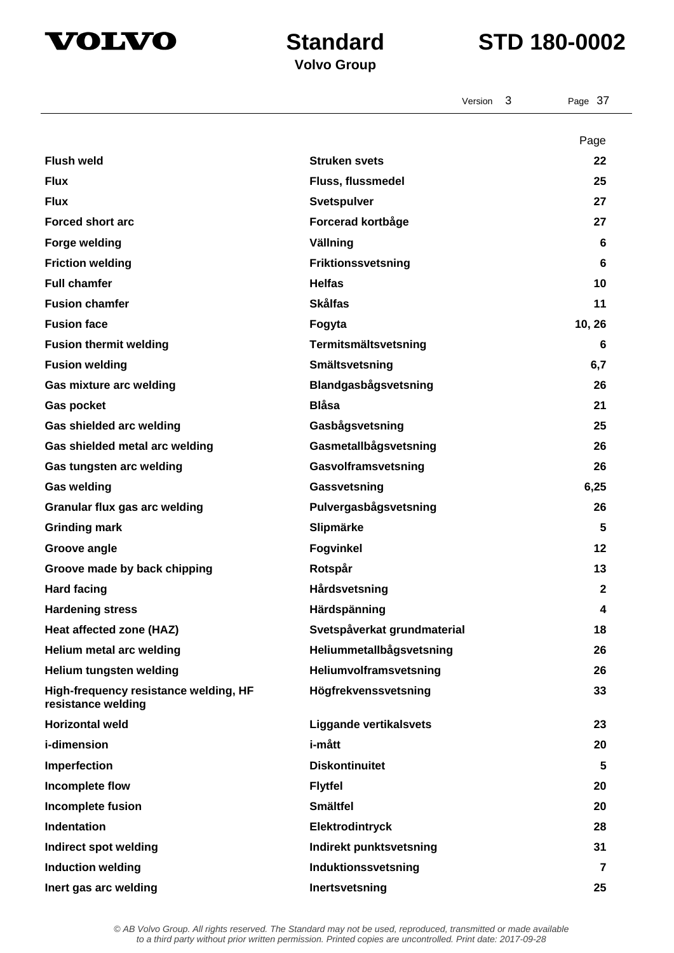



Version 3 Page 37

|                                                             |                               | Page         |
|-------------------------------------------------------------|-------------------------------|--------------|
| <b>Flush weld</b>                                           | <b>Struken svets</b>          | 22           |
| <b>Flux</b>                                                 | Fluss, flussmedel             | 25           |
| <b>Flux</b>                                                 | Svetspulver                   | 27           |
| <b>Forced short arc</b>                                     | Forcerad kortbåge             | 27           |
| <b>Forge welding</b>                                        | Vällning                      | 6            |
| <b>Friction welding</b>                                     | Friktionssvetsning            | 6            |
| <b>Full chamfer</b>                                         | <b>Helfas</b>                 | 10           |
| <b>Fusion chamfer</b>                                       | <b>Skålfas</b>                | 11           |
| <b>Fusion face</b>                                          | Fogyta                        | 10, 26       |
| <b>Fusion thermit welding</b>                               | Termitsmältsvetsning          | 6            |
| <b>Fusion welding</b>                                       | Smältsvetsning                | 6,7          |
| Gas mixture arc welding                                     | Blandgasbågsvetsning          | 26           |
| <b>Gas pocket</b>                                           | <b>Blåsa</b>                  | 21           |
| Gas shielded arc welding                                    | Gasbågsvetsning               | 25           |
| Gas shielded metal arc welding                              | Gasmetallbågsvetsning         | 26           |
| Gas tungsten arc welding                                    | Gasvolframsvetsning           | 26           |
| <b>Gas welding</b>                                          | Gassvetsning                  | 6,25         |
| Granular flux gas arc welding                               | Pulvergasbågsvetsning         | 26           |
| <b>Grinding mark</b>                                        | Slipmärke                     | 5            |
| Groove angle                                                | <b>Fogvinkel</b>              | 12           |
| Groove made by back chipping                                | Rotspår                       | 13           |
| <b>Hard facing</b>                                          | Hårdsvetsning                 | $\mathbf{2}$ |
| <b>Hardening stress</b>                                     | Härdspänning                  | 4            |
| Heat affected zone (HAZ)                                    | Svetspåverkat grundmaterial   | 18           |
| Helium metal arc welding                                    | Heliummetallbågsvetsning      | 26           |
| Helium tungsten welding                                     | Heliumvolframsvetsning        | 26           |
| High-frequency resistance welding, HF<br>resistance welding | Högfrekvenssvetsning          | 33           |
| <b>Horizontal weld</b>                                      | <b>Liggande vertikalsvets</b> | 23           |
| i-dimension                                                 | i-mått                        | 20           |
| Imperfection                                                | <b>Diskontinuitet</b>         | 5            |
| Incomplete flow                                             | <b>Flytfel</b>                | 20           |
| <b>Incomplete fusion</b>                                    | <b>Smältfel</b>               | 20           |
| Indentation                                                 | Elektrodintryck               | 28           |
| Indirect spot welding                                       | Indirekt punktsvetsning       | 31           |
| <b>Induction welding</b>                                    | Induktionssvetsning           | 7            |
| Inert gas arc welding                                       | Inertsvetsning                | 25           |
|                                                             |                               |              |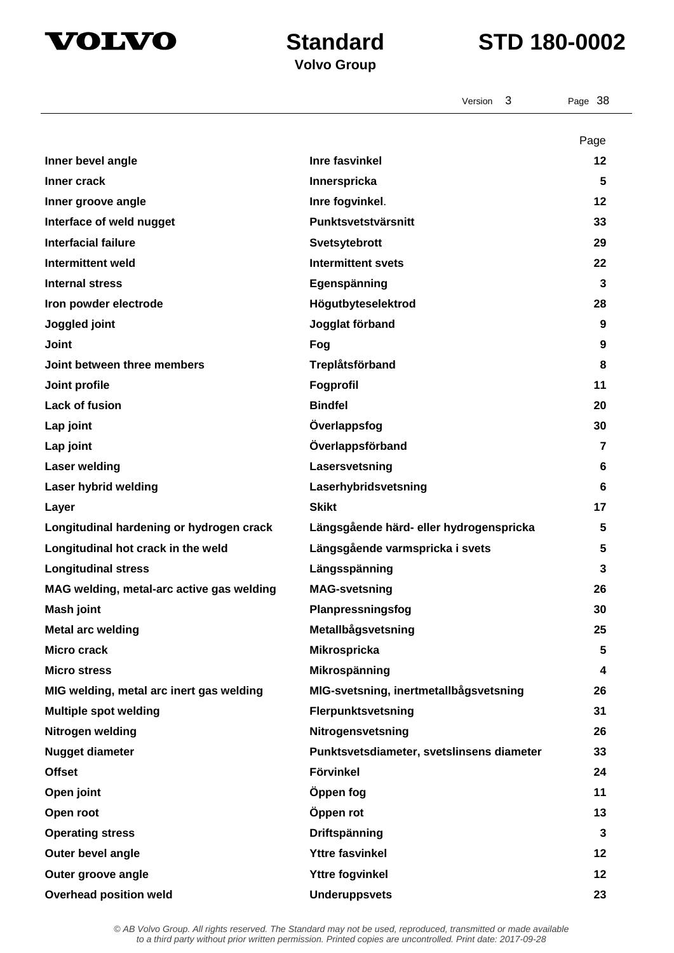

## **Standard STD 180-0002**

|                                           | 3<br>Version                              | Page 38        |
|-------------------------------------------|-------------------------------------------|----------------|
|                                           |                                           | Page           |
| Inner bevel angle                         | <b>Inre fasvinkel</b>                     | $12 \,$        |
| Inner crack                               | Innerspricka                              | 5              |
| Inner groove angle                        | Inre fogvinkel.                           | $12 \,$        |
| Interface of weld nugget                  | Punktsvetstvärsnitt                       | 33             |
| <b>Interfacial failure</b>                | Svetsytebrott                             | 29             |
| <b>Intermittent weld</b>                  | <b>Intermittent svets</b>                 | 22             |
| <b>Internal stress</b>                    | Egenspänning                              | 3              |
| Iron powder electrode                     | Högutbyteselektrod                        | 28             |
| Joggled joint                             | Jogglat förband                           | 9              |
| <b>Joint</b>                              | Fog                                       | 9              |
| Joint between three members               | Treplåtsförband                           | 8              |
| Joint profile                             | Fogprofil                                 | 11             |
| <b>Lack of fusion</b>                     | <b>Bindfel</b>                            | 20             |
| Lap joint                                 | Överlappsfog                              | 30             |
| Lap joint                                 | Överlappsförband                          | $\overline{7}$ |
| <b>Laser welding</b>                      | Lasersvetsning                            | 6              |
| Laser hybrid welding                      | Laserhybridsvetsning                      | 6              |
| Layer                                     | <b>Skikt</b>                              | 17             |
| Longitudinal hardening or hydrogen crack  | Längsgående härd- eller hydrogenspricka   | 5              |
| Longitudinal hot crack in the weld        | Längsgående varmspricka i svets           | 5              |
| <b>Longitudinal stress</b>                | Längsspänning                             | 3              |
| MAG welding, metal-arc active gas welding | <b>MAG-svetsning</b>                      | 26             |
| Mash joint                                | Planpressningsfog                         | 30             |
| <b>Metal arc welding</b>                  | Metallbågsvetsning                        | 25             |
| <b>Micro crack</b>                        | Mikrospricka                              | 5              |
| <b>Micro stress</b>                       | Mikrospänning                             | 4              |
| MIG welding, metal arc inert gas welding  | MIG-svetsning, inertmetallbågsvetsning    | 26             |
| <b>Multiple spot welding</b>              | Flerpunktsvetsning                        | 31             |
| Nitrogen welding                          | Nitrogensvetsning                         | 26             |
| <b>Nugget diameter</b>                    | Punktsvetsdiameter, svetslinsens diameter | 33             |
| <b>Offset</b>                             | <b>Förvinkel</b>                          | 24             |
| Open joint                                | Öppen fog                                 | 11             |
| Open root                                 | Öppen rot                                 | 13             |
| <b>Operating stress</b>                   | Driftspänning                             | $\mathbf{3}$   |
| Outer bevel angle                         | <b>Yttre fasvinkel</b>                    | 12             |
| Outer groove angle                        | <b>Yttre fogvinkel</b>                    | 12             |
| <b>Overhead position weld</b>             | <b>Underuppsvets</b>                      | 23             |
|                                           |                                           |                |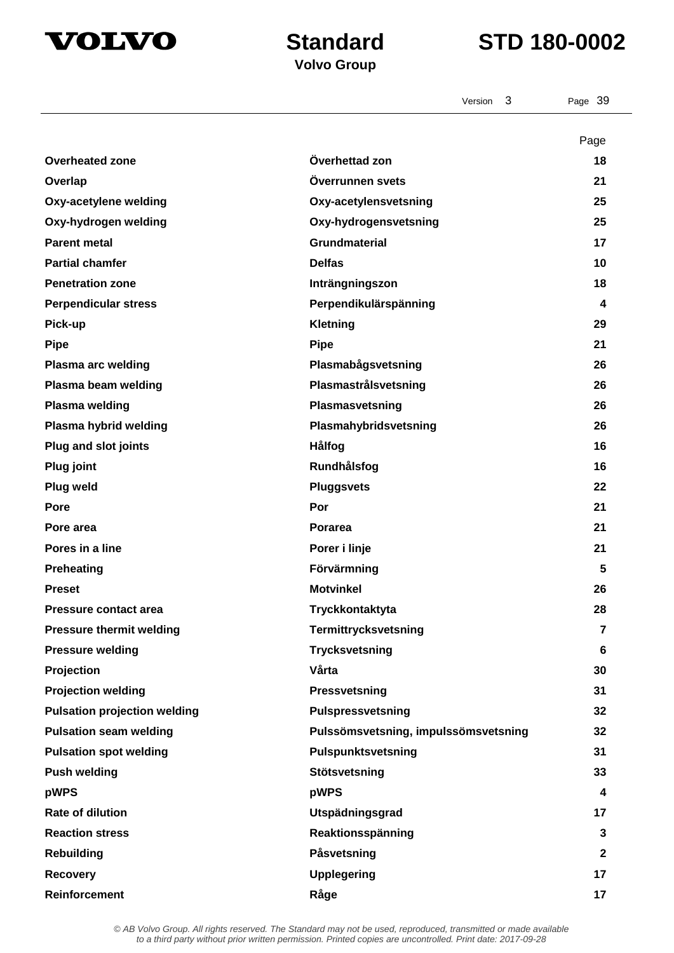



|                                     | 3<br>Version                         | Page 39        |
|-------------------------------------|--------------------------------------|----------------|
|                                     |                                      | Page           |
| <b>Overheated zone</b>              | Överhettad zon                       | 18             |
| Overlap                             | Överrunnen svets                     | 21             |
| Oxy-acetylene welding               | Oxy-acetylensvetsning                | 25             |
| Oxy-hydrogen welding                | Oxy-hydrogensvetsning                | 25             |
| <b>Parent metal</b>                 | <b>Grundmaterial</b>                 | 17             |
| <b>Partial chamfer</b>              | <b>Delfas</b>                        | 10             |
| <b>Penetration zone</b>             | Inträngningszon                      | 18             |
| <b>Perpendicular stress</b>         | Perpendikulärspänning                | 4              |
| Pick-up                             | Kletning                             | 29             |
| <b>Pipe</b>                         | <b>Pipe</b>                          | 21             |
| <b>Plasma arc welding</b>           | Plasmabågsvetsning                   | 26             |
| Plasma beam welding                 | Plasmastrålsvetsning                 | 26             |
| <b>Plasma welding</b>               | Plasmasvetsning                      | 26             |
| Plasma hybrid welding               | Plasmahybridsvetsning                | 26             |
| <b>Plug and slot joints</b>         | Hålfog                               | 16             |
| <b>Plug joint</b>                   | Rundhålsfog                          | 16             |
| Plug weld                           | <b>Pluggsvets</b>                    | 22             |
| Pore                                | Por                                  | 21             |
| Pore area                           | <b>Porarea</b>                       | 21             |
| Pores in a line                     | Porer i linje                        | 21             |
| <b>Preheating</b>                   | Förvärmning                          | 5              |
| <b>Preset</b>                       | <b>Motvinkel</b>                     | 26             |
| <b>Pressure contact area</b>        | Tryckkontaktyta                      | 28             |
| <b>Pressure thermit welding</b>     | Termittrycksvetsning                 | $\overline{7}$ |
| <b>Pressure welding</b>             | <b>Trycksvetsning</b>                | 6              |
| Projection                          | Vårta                                | 30             |
| <b>Projection welding</b>           | Pressvetsning                        | 31             |
| <b>Pulsation projection welding</b> | Pulspressvetsning                    | 32             |
| <b>Pulsation seam welding</b>       | Pulssömsvetsning, impulssömsvetsning | 32             |
| <b>Pulsation spot welding</b>       | Pulspunktsvetsning                   | 31             |
| <b>Push welding</b>                 | Stötsvetsning                        | 33             |
| pWPS                                | pWPS                                 | 4              |
| <b>Rate of dilution</b>             | Utspädningsgrad                      | 17             |
| <b>Reaction stress</b>              | Reaktionsspänning                    | 3              |
| <b>Rebuilding</b>                   | Påsvetsning                          | $\mathbf{2}$   |
| <b>Recovery</b>                     | <b>Upplegering</b>                   | 17             |
| <b>Reinforcement</b>                | Råge                                 | 17             |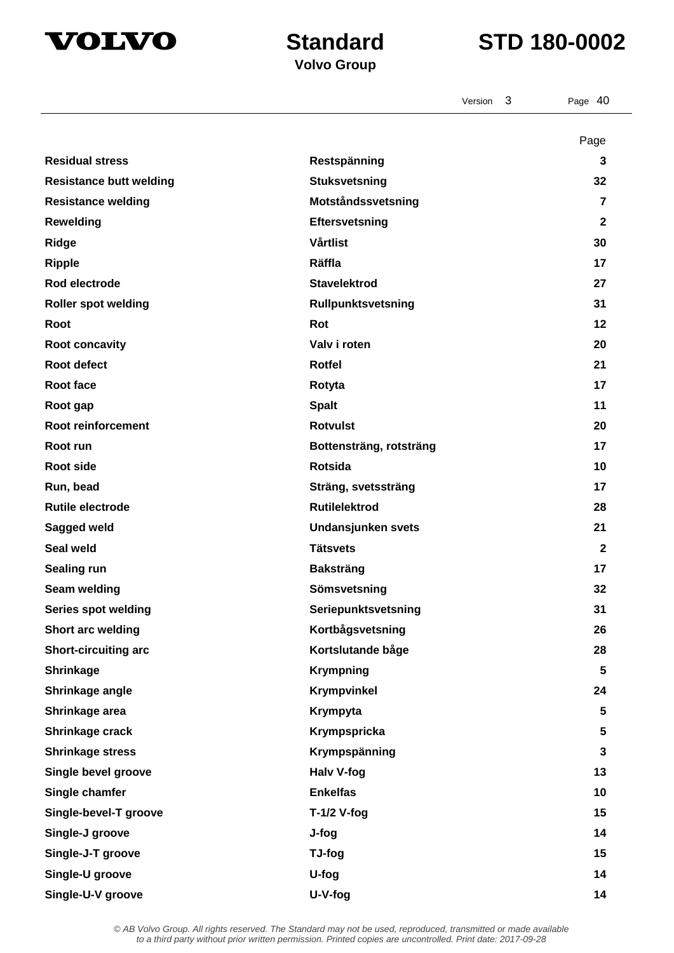



|                                |                           | Version | 3 | Page 40                 |
|--------------------------------|---------------------------|---------|---|-------------------------|
|                                |                           |         |   |                         |
| <b>Residual stress</b>         | Restspänning              |         |   | Page<br>3               |
| <b>Resistance butt welding</b> | <b>Stuksvetsning</b>      |         |   | 32                      |
| <b>Resistance welding</b>      | Motståndssvetsning        |         |   | $\overline{7}$          |
| <b>Rewelding</b>               | Eftersvetsning            |         |   | $\mathbf{2}$            |
| <b>Ridge</b>                   | <b>Vårtlist</b>           |         |   | 30                      |
| <b>Ripple</b>                  | Räffla                    |         |   | 17                      |
| Rod electrode                  | <b>Stavelektrod</b>       |         |   | 27                      |
| <b>Roller spot welding</b>     | Rullpunktsvetsning        |         |   | 31                      |
| Root                           | Rot                       |         |   | 12                      |
| Root concavity                 | Valv i roten              |         |   | 20                      |
| <b>Root defect</b>             | <b>Rotfel</b>             |         |   | 21                      |
| Root face                      |                           |         |   |                         |
|                                | Rotyta                    |         |   | 17<br>11                |
| Root gap<br>Root reinforcement | <b>Spalt</b>              |         |   |                         |
|                                | <b>Rotvulst</b>           |         |   | 20                      |
| Root run                       | Bottensträng, rotsträng   |         |   | 17                      |
| <b>Root side</b>               | <b>Rotsida</b>            |         |   | 10                      |
| Run, bead                      | Sträng, svetssträng       |         |   | 17                      |
| <b>Rutile electrode</b>        | <b>Rutilelektrod</b>      |         |   | 28                      |
| Sagged weld                    | <b>Undansjunken svets</b> |         |   | 21                      |
| Seal weld                      | <b>Tätsvets</b>           |         |   | $\mathbf{2}$            |
| Sealing run                    | <b>Baksträng</b>          |         |   | 17                      |
| Seam welding                   | Sömsvetsning              |         |   | 32                      |
| <b>Series spot welding</b>     | Seriepunktsvetsning       |         |   | 31                      |
| Short arc welding              | Kortbågsvetsning          |         |   | 26                      |
| <b>Short-circuiting arc</b>    | Kortslutande båge         |         |   | 28                      |
| <b>Shrinkage</b>               | <b>Krympning</b>          |         |   | 5                       |
| Shrinkage angle                | Krympvinkel               |         |   | 24                      |
| Shrinkage area                 | Krympyta                  |         |   | $\overline{\mathbf{5}}$ |
| Shrinkage crack                | Krympspricka              |         |   | $\overline{\mathbf{5}}$ |
| <b>Shrinkage stress</b>        | Krympspänning             |         |   | $\mathbf{3}$            |
| Single bevel groove            | Halv V-fog                |         |   | 13                      |
| Single chamfer                 | <b>Enkelfas</b>           |         |   | 10                      |
| Single-bevel-T groove          | $T-1/2$ V-fog             |         |   | 15                      |
| Single-J groove                | J-fog                     |         |   | 14                      |
| Single-J-T groove              | TJ-fog                    |         |   | 15                      |
| Single-U groove                | U-fog                     |         |   | 14                      |
| Single-U-V groove              | U-V-fog                   |         |   | 14                      |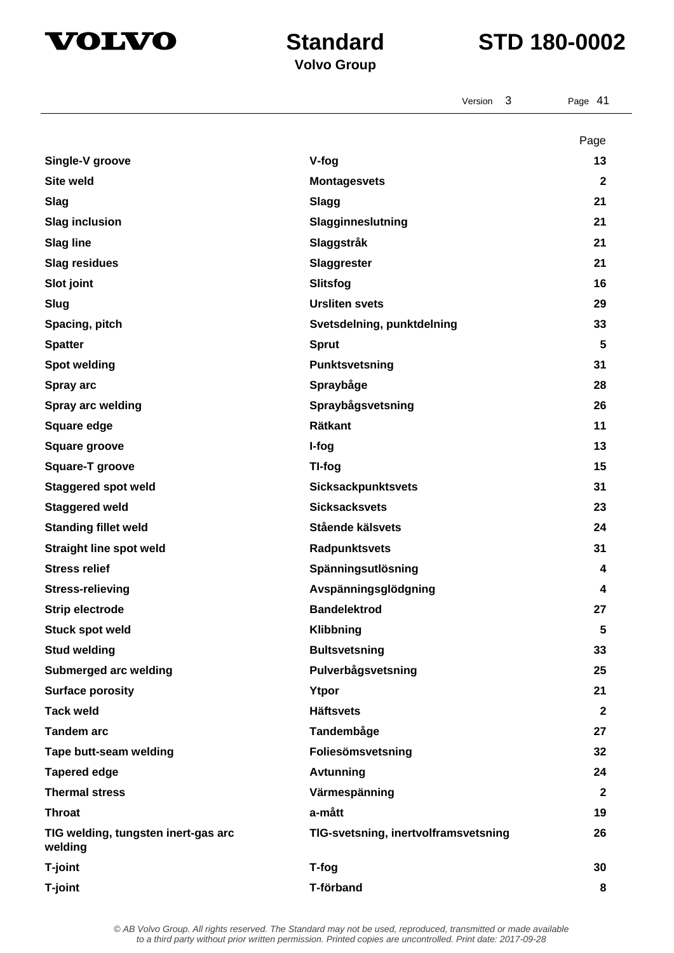



|                                                | 3<br>Version                         | Page 41            |
|------------------------------------------------|--------------------------------------|--------------------|
|                                                |                                      |                    |
| Single-V groove                                |                                      | Page<br>13         |
| <b>Site weld</b>                               | V-fog                                |                    |
|                                                | <b>Montagesvets</b>                  | $\mathbf{2}$<br>21 |
| <b>Slag</b>                                    | <b>Slagg</b>                         | 21                 |
| <b>Slag inclusion</b>                          | Slagginneslutning                    | 21                 |
| <b>Slag line</b>                               | Slaggstråk                           |                    |
| <b>Slag residues</b>                           | <b>Slaggrester</b>                   | 21<br>16           |
| Slot joint                                     | <b>Slitsfog</b>                      |                    |
| Slug                                           | <b>Ursliten svets</b>                | 29                 |
| Spacing, pitch                                 | Svetsdelning, punktdelning           | 33                 |
| <b>Spatter</b>                                 | <b>Sprut</b>                         | 5                  |
| <b>Spot welding</b>                            | Punktsvetsning                       | 31                 |
| Spray arc                                      | Spraybåge                            | 28                 |
| <b>Spray arc welding</b>                       | Spraybågsvetsning                    | 26                 |
| Square edge                                    | <b>Rätkant</b>                       | 11                 |
| <b>Square groove</b>                           | I-fog                                | 13                 |
| <b>Square-T groove</b>                         | TI-fog                               | 15                 |
| <b>Staggered spot weld</b>                     | <b>Sicksackpunktsvets</b>            | 31                 |
| <b>Staggered weld</b>                          | <b>Sicksacksvets</b>                 | 23                 |
| <b>Standing fillet weld</b>                    | Stående kälsvets                     | 24                 |
| <b>Straight line spot weld</b>                 | Radpunktsvets                        | 31                 |
| <b>Stress relief</b>                           | Spänningsutlösning                   | 4                  |
| <b>Stress-relieving</b>                        | Avspänningsglödgning                 | 4                  |
| <b>Strip electrode</b>                         | <b>Bandelektrod</b>                  | 27                 |
| <b>Stuck spot weld</b>                         | Klibbning                            | 5                  |
| <b>Stud welding</b>                            | <b>Bultsvetsning</b>                 | 33                 |
| Submerged arc welding                          | Pulverbågsvetsning                   | 25                 |
| <b>Surface porosity</b>                        | Ytpor                                | 21                 |
| <b>Tack weld</b>                               | <b>Häftsvets</b>                     | $\mathbf{2}$       |
| <b>Tandem arc</b>                              | Tandembåge                           | 27                 |
| Tape butt-seam welding                         | Foliesömsvetsning                    | 32                 |
| <b>Tapered edge</b>                            | <b>Avtunning</b>                     | 24                 |
| <b>Thermal stress</b>                          | Värmespänning                        | $\mathbf{2}$       |
| <b>Throat</b>                                  | a-mått                               | 19                 |
| TIG welding, tungsten inert-gas arc<br>welding | TIG-svetsning, inertvolframsvetsning | 26                 |
| T-joint                                        | T-fog                                | 30                 |
| T-joint                                        | T-förband                            | 8                  |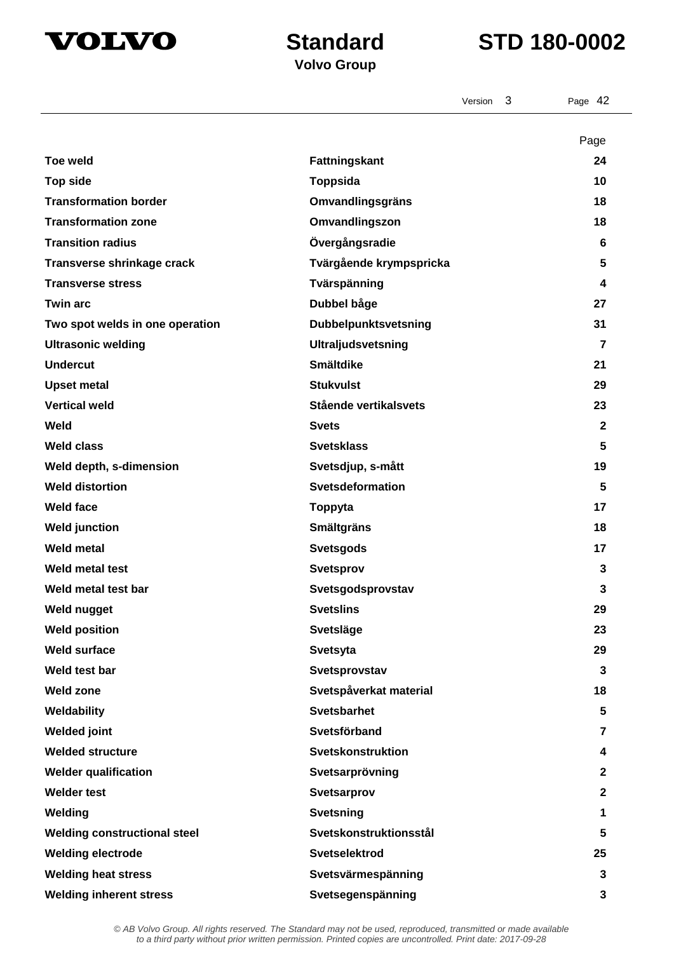

## **Volvo Group**

|                                     | 3<br>Version            | Page 42        |
|-------------------------------------|-------------------------|----------------|
|                                     |                         | Page           |
| <b>Toe weld</b>                     | Fattningskant           | 24             |
| <b>Top side</b>                     | <b>Toppsida</b>         | 10             |
| <b>Transformation border</b>        | <b>Omvandlingsgräns</b> | 18             |
| <b>Transformation zone</b>          | Omvandlingszon          | 18             |
| <b>Transition radius</b>            | Övergångsradie          | 6              |
| Transverse shrinkage crack          | Tvärgående krympspricka | 5              |
| <b>Transverse stress</b>            | Tvärspänning            | 4              |
| <b>Twin arc</b>                     | Dubbel båge             | 27             |
| Two spot welds in one operation     | Dubbelpunktsvetsning    | 31             |
| <b>Ultrasonic welding</b>           | Ultraljudsvetsning      | 7              |
| <b>Undercut</b>                     | <b>Smältdike</b>        | 21             |
| <b>Upset metal</b>                  | <b>Stukvulst</b>        | 29             |
| <b>Vertical weld</b>                | Stående vertikalsvets   | 23             |
| Weld                                | <b>Svets</b>            | $\mathbf{2}$   |
| <b>Weld class</b>                   | <b>Svetsklass</b>       | 5              |
| Weld depth, s-dimension             | Svetsdjup, s-mått       | 19             |
| <b>Weld distortion</b>              | Svetsdeformation        | 5              |
| <b>Weld face</b>                    | Toppyta                 | 17             |
| <b>Weld junction</b>                | <b>Smältgräns</b>       | 18             |
| <b>Weld metal</b>                   | <b>Svetsgods</b>        | 17             |
| Weld metal test                     | <b>Svetsprov</b>        | 3              |
| Weld metal test bar                 | Svetsgodsprovstav       | 3              |
| Weld nugget                         | <b>Svetslins</b>        | 29             |
| <b>Weld position</b>                | Svetsläge               | 23             |
| <b>Weld surface</b>                 | Svetsyta                | 29             |
| Weld test bar                       | Svetsprovstav           | $\mathbf{3}$   |
| <b>Weld zone</b>                    | Svetspåverkat material  | 18             |
| Weldability                         | <b>Svetsbarhet</b>      | 5              |
| <b>Welded joint</b>                 | Svetsförband            | $\overline{7}$ |
| <b>Welded structure</b>             | Svetskonstruktion       | 4              |
| <b>Welder qualification</b>         | Svetsarprövning         | $\mathbf{2}$   |
| <b>Welder test</b>                  | Svetsarprov             | $\mathbf{2}$   |
| Welding                             | <b>Svetsning</b>        | 1              |
| <b>Welding constructional steel</b> | Svetskonstruktionsstål  | 5              |
| <b>Welding electrode</b>            | Svetselektrod           | 25             |
| <b>Welding heat stress</b>          | Svetsvärmespänning      | 3              |
| <b>Welding inherent stress</b>      | Svetsegenspänning       | 3              |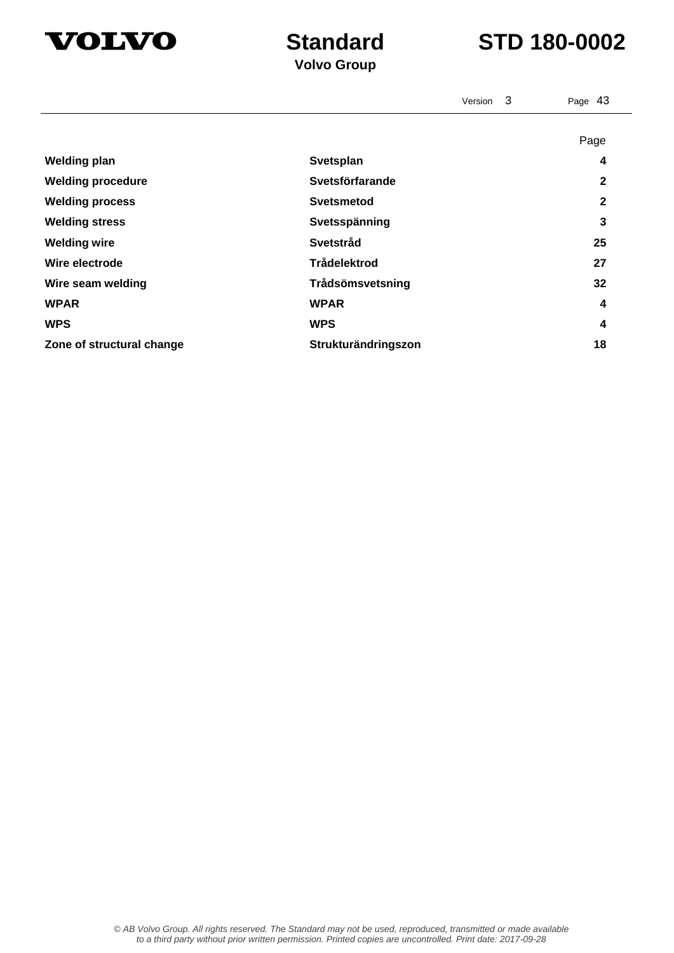



|                           | Version 3           | Page 43     |
|---------------------------|---------------------|-------------|
|                           |                     | Page        |
| <b>Welding plan</b>       | Svetsplan           | 4           |
| <b>Welding procedure</b>  | Svetsförfarande     | $\mathbf 2$ |
| <b>Welding process</b>    | <b>Svetsmetod</b>   | 2           |
| <b>Welding stress</b>     | Svetsspänning       | 3           |
| <b>Welding wire</b>       | Svetstråd           | 25          |
| Wire electrode            | <b>Trådelektrod</b> | 27          |
| Wire seam welding         | Trådsömsvetsning    | 32          |
| <b>WPAR</b>               | <b>WPAR</b>         | 4           |
| <b>WPS</b>                | <b>WPS</b>          | 4           |
| Zone of structural change | Strukturändringszon | 18          |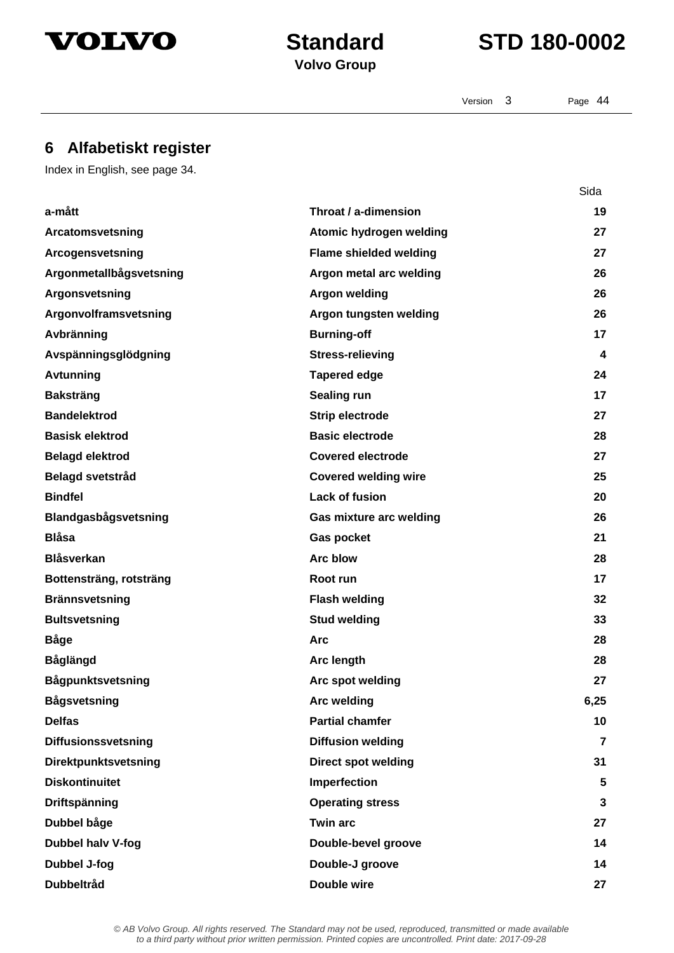



Version 3 Page 44

Sida

## **6 Alfabetiskt register**

Index in English, see page 34.

| a-mått                      | Throat / a-dimension          | 19             |
|-----------------------------|-------------------------------|----------------|
| Arcatomsvetsning            | Atomic hydrogen welding       | 27             |
| Arcogensvetsning            | <b>Flame shielded welding</b> | 27             |
| Argonmetallbågsvetsning     | Argon metal arc welding       | 26             |
| Argonsvetsning              | <b>Argon welding</b>          | 26             |
| Argonvolframsvetsning       | Argon tungsten welding        | 26             |
| Avbränning                  | <b>Burning-off</b>            | 17             |
| Avspänningsglödgning        | <b>Stress-relieving</b>       | 4              |
| Avtunning                   | <b>Tapered edge</b>           | 24             |
| <b>Baksträng</b>            | Sealing run                   | 17             |
| <b>Bandelektrod</b>         | <b>Strip electrode</b>        | 27             |
| <b>Basisk elektrod</b>      | <b>Basic electrode</b>        | 28             |
| <b>Belagd elektrod</b>      | <b>Covered electrode</b>      | 27             |
| <b>Belagd svetstråd</b>     | <b>Covered welding wire</b>   | 25             |
| <b>Bindfel</b>              | <b>Lack of fusion</b>         | 20             |
| Blandgasbågsvetsning        | Gas mixture arc welding       | 26             |
| <b>Blåsa</b>                | Gas pocket                    | 21             |
| <b>Blåsverkan</b>           | <b>Arc blow</b>               | 28             |
| Bottensträng, rotsträng     | Root run                      | 17             |
| <b>Brännsvetsning</b>       | <b>Flash welding</b>          | 32             |
|                             |                               | 33             |
| <b>Bultsvetsning</b>        | <b>Stud welding</b>           |                |
| <b>Båge</b>                 | <b>Arc</b>                    | 28             |
| <b>Båglängd</b>             | Arc length                    | 28             |
| <b>Bågpunktsvetsning</b>    | Arc spot welding              | 27             |
| <b>Bågsvetsning</b>         | <b>Arc welding</b>            | 6,25           |
| <b>Delfas</b>               | <b>Partial chamfer</b>        | 10             |
| <b>Diffusionssvetsning</b>  | <b>Diffusion welding</b>      | $\overline{7}$ |
| <b>Direktpunktsvetsning</b> | <b>Direct spot welding</b>    | 31             |
| <b>Diskontinuitet</b>       | Imperfection                  | 5              |
| Driftspänning               | <b>Operating stress</b>       | 3              |
| Dubbel båge                 | <b>Twin arc</b>               | 27             |
| Dubbel halv V-fog           | Double-bevel groove           | 14             |
| <b>Dubbel J-fog</b>         | Double-J groove               | 14             |
| <b>Dubbeltråd</b>           | Double wire                   | 27             |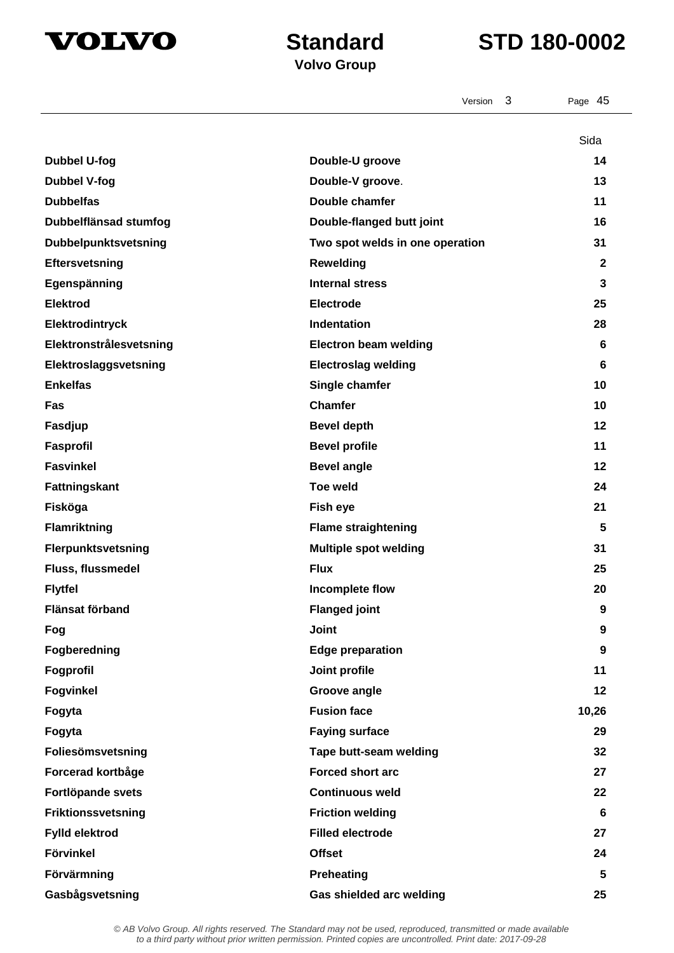

## **Volvo Group**

|                             | 3<br>Version                    | Page 45          |
|-----------------------------|---------------------------------|------------------|
|                             |                                 | Sida             |
| <b>Dubbel U-fog</b>         | Double-U groove                 | 14               |
| <b>Dubbel V-fog</b>         | Double-V groove.                | 13               |
| <b>Dubbelfas</b>            | Double chamfer                  | 11               |
| Dubbelflänsad stumfog       | Double-flanged butt joint       | 16               |
| <b>Dubbelpunktsvetsning</b> | Two spot welds in one operation | 31               |
| <b>Eftersvetsning</b>       | <b>Rewelding</b>                | $\mathbf{2}$     |
| Egenspänning                | <b>Internal stress</b>          | 3                |
| <b>Elektrod</b>             | Electrode                       | 25               |
| Elektrodintryck             | Indentation                     | 28               |
| Elektronstrålesvetsning     | <b>Electron beam welding</b>    | 6                |
| Elektroslaggsvetsning       | <b>Electroslag welding</b>      | 6                |
| <b>Enkelfas</b>             | Single chamfer                  | 10               |
| Fas                         | <b>Chamfer</b>                  | 10               |
| Fasdjup                     | <b>Bevel depth</b>              | 12               |
| Fasprofil                   | <b>Bevel profile</b>            | 11               |
| <b>Fasvinkel</b>            | <b>Bevel angle</b>              | 12               |
| Fattningskant               | <b>Toe weld</b>                 | 24               |
| Fisköga                     | Fish eye                        | 21               |
| Flamriktning                | <b>Flame straightening</b>      | 5                |
| Flerpunktsvetsning          | <b>Multiple spot welding</b>    | 31               |
| Fluss, flussmedel           | <b>Flux</b>                     | 25               |
| <b>Flytfel</b>              | Incomplete flow                 | 20               |
| Flänsat förband             | <b>Flanged joint</b>            | 9                |
| Fog                         | <b>Joint</b>                    | 9                |
| Fogberedning                | <b>Edge preparation</b>         | $\boldsymbol{9}$ |
| Fogprofil                   | Joint profile                   | 11               |
| <b>Fogvinkel</b>            | Groove angle                    | 12               |
| Fogyta                      | <b>Fusion face</b>              | 10,26            |
| Fogyta                      | <b>Faying surface</b>           | 29               |
| Foliesömsvetsning           | Tape butt-seam welding          | 32               |
| Forcerad kortbåge           | <b>Forced short arc</b>         | 27               |
| Fortlöpande svets           | <b>Continuous weld</b>          | 22               |
| Friktionssvetsning          | <b>Friction welding</b>         | 6                |
| Fylld elektrod              | <b>Filled electrode</b>         | 27               |
| Förvinkel                   | <b>Offset</b>                   | 24               |
| Förvärmning                 | <b>Preheating</b>               | 5                |
| Gasbågsvetsning             | Gas shielded arc welding        | 25               |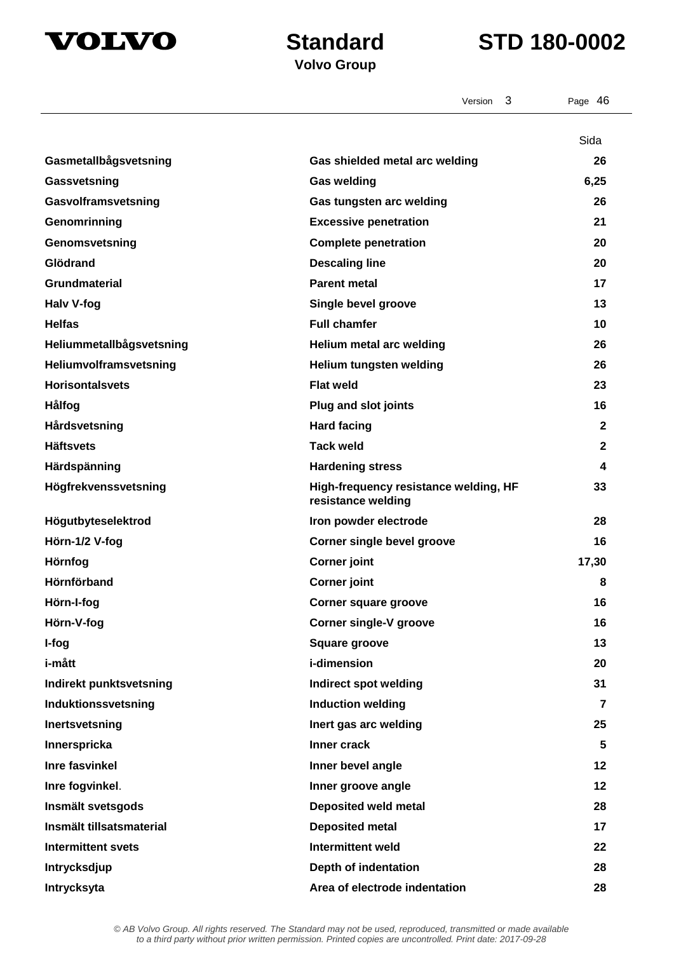

|                           | 3<br>Version                                                | Page 46        |
|---------------------------|-------------------------------------------------------------|----------------|
|                           |                                                             |                |
|                           |                                                             | Sida           |
| Gasmetallbågsvetsning     | Gas shielded metal arc welding                              | 26             |
| Gassvetsning              | <b>Gas welding</b>                                          | 6,25           |
| Gasvolframsvetsning       | Gas tungsten arc welding                                    | 26             |
| Genomrinning              | <b>Excessive penetration</b>                                | 21             |
| Genomsvetsning            | <b>Complete penetration</b>                                 | 20             |
| Glödrand                  | <b>Descaling line</b>                                       | 20             |
| <b>Grundmaterial</b>      | <b>Parent metal</b>                                         | 17             |
| <b>Halv V-fog</b>         | Single bevel groove                                         | 13             |
| <b>Helfas</b>             | <b>Full chamfer</b>                                         | 10             |
| Heliummetallbågsvetsning  | Helium metal arc welding                                    | 26             |
| Heliumvolframsvetsning    | Helium tungsten welding                                     | 26             |
| <b>Horisontalsvets</b>    | <b>Flat weld</b>                                            | 23             |
| Hålfog                    | <b>Plug and slot joints</b>                                 | 16             |
| Hårdsvetsning             | <b>Hard facing</b>                                          | $\mathbf{2}$   |
| <b>Häftsvets</b>          | <b>Tack weld</b>                                            | $\mathbf{2}$   |
| Härdspänning              | <b>Hardening stress</b>                                     | 4              |
| Högfrekvenssvetsning      | High-frequency resistance welding, HF<br>resistance welding | 33             |
| Högutbyteselektrod        | Iron powder electrode                                       | 28             |
| Hörn-1/2 V-fog            | <b>Corner single bevel groove</b>                           | 16             |
| Hörnfog                   | <b>Corner joint</b>                                         | 17,30          |
| Hörnförband               | <b>Corner joint</b>                                         | 8              |
| Hörn-I-fog                | Corner square groove                                        | 16             |
| Hörn-V-fog                | <b>Corner single-V groove</b>                               | 16             |
| I-fog                     | <b>Square groove</b>                                        | 13             |
| i-mått                    | <i>i</i> -dimension                                         | 20             |
| Indirekt punktsvetsning   | <b>Indirect spot welding</b>                                | 31             |
| Induktionssvetsning       | <b>Induction welding</b>                                    | $\overline{7}$ |
| Inertsvetsning            | Inert gas arc welding                                       | 25             |
| Innerspricka              | Inner crack                                                 | 5              |
| Inre fasvinkel            | Inner bevel angle                                           | 12             |
| Inre fogvinkel.           | Inner groove angle                                          | 12             |
| Insmält svetsgods         | <b>Deposited weld metal</b>                                 | 28             |
| Insmält tillsatsmaterial  | <b>Deposited metal</b>                                      | 17             |
| <b>Intermittent svets</b> | <b>Intermittent weld</b>                                    | 22             |
| Intrycksdjup              | Depth of indentation                                        | 28             |
| Intrycksyta               | Area of electrode indentation                               | 28             |
|                           |                                                             |                |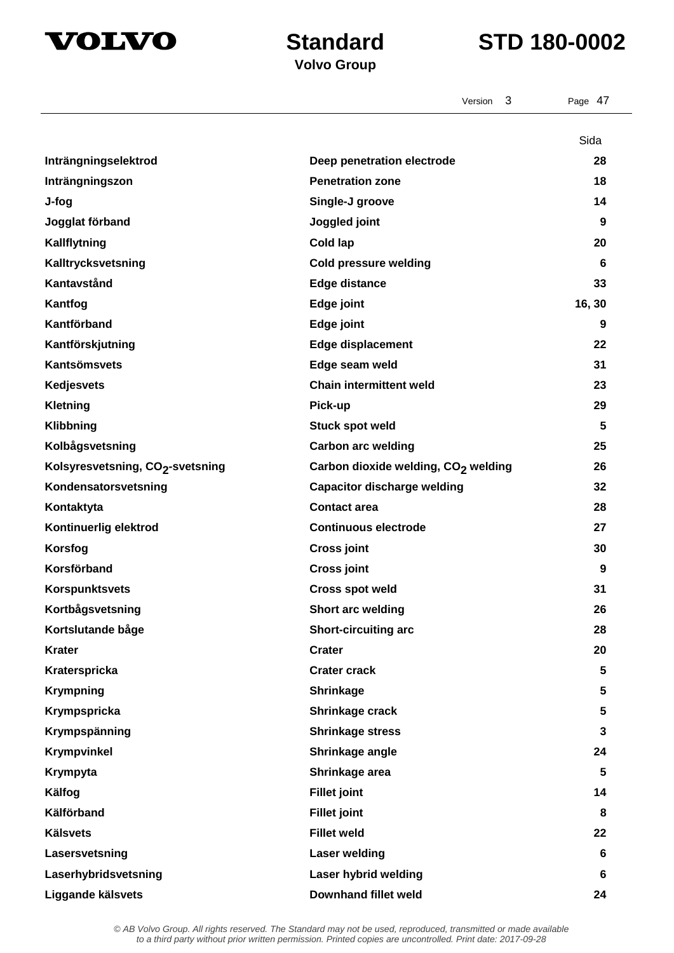



|                                              | 3<br>Version                                    | Page 47 |
|----------------------------------------------|-------------------------------------------------|---------|
|                                              |                                                 | Sida    |
| Inträngningselektrod                         | Deep penetration electrode                      | 28      |
| Inträngningszon                              | <b>Penetration zone</b>                         | 18      |
| J-fog                                        | Single-J groove                                 | 14      |
| Jogglat förband                              | Joggled joint                                   | 9       |
| Kallflytning                                 | Cold lap                                        | 20      |
| Kalltrycksvetsning                           | <b>Cold pressure welding</b>                    | 6       |
| Kantavstånd                                  | <b>Edge distance</b>                            | 33      |
| Kantfog                                      | Edge joint                                      | 16, 30  |
| Kantförband                                  | Edge joint                                      | 9       |
| Kantförskjutning                             | <b>Edge displacement</b>                        | 22      |
| <b>Kantsömsvets</b>                          | Edge seam weld                                  | 31      |
| <b>Kedjesvets</b>                            | <b>Chain intermittent weld</b>                  | 23      |
| <b>Kletning</b>                              | Pick-up                                         | 29      |
| Klibbning                                    | <b>Stuck spot weld</b>                          | 5       |
| Kolbågsvetsning                              | <b>Carbon arc welding</b>                       | 25      |
| Kolsyresvetsning, CO <sub>2</sub> -svetsning | Carbon dioxide welding, CO <sub>2</sub> welding | 26      |
| Kondensatorsvetsning                         | <b>Capacitor discharge welding</b>              | 32      |
| Kontaktyta                                   | <b>Contact area</b>                             | 28      |
| Kontinuerlig elektrod                        | <b>Continuous electrode</b>                     | 27      |
| Korsfog                                      | <b>Cross joint</b>                              | 30      |
| Korsförband                                  | <b>Cross joint</b>                              | 9       |
| <b>Korspunktsvets</b>                        | <b>Cross spot weld</b>                          | 31      |
| Kortbågsvetsning                             | Short arc welding                               | 26      |
| Kortslutande båge                            | <b>Short-circuiting arc</b>                     | 28      |
| <b>Krater</b>                                | <b>Crater</b>                                   | 20      |
| Kraterspricka                                | <b>Crater crack</b>                             | 5       |
| <b>Krympning</b>                             | Shrinkage                                       | 5       |
| Krympspricka                                 | Shrinkage crack                                 | 5       |
| Krympspänning                                | <b>Shrinkage stress</b>                         | 3       |
| Krympvinkel                                  | Shrinkage angle                                 | 24      |
| Krympyta                                     | Shrinkage area                                  | 5       |
| Kälfog                                       | <b>Fillet joint</b>                             | 14      |
| Kälförband                                   | <b>Fillet joint</b>                             | 8       |
| <b>Kälsvets</b>                              | <b>Fillet weld</b>                              | 22      |
| Lasersvetsning                               | <b>Laser welding</b>                            | 6       |
| Laserhybridsvetsning                         | Laser hybrid welding                            | 6       |
| Liggande kälsvets                            | <b>Downhand fillet weld</b>                     | 24      |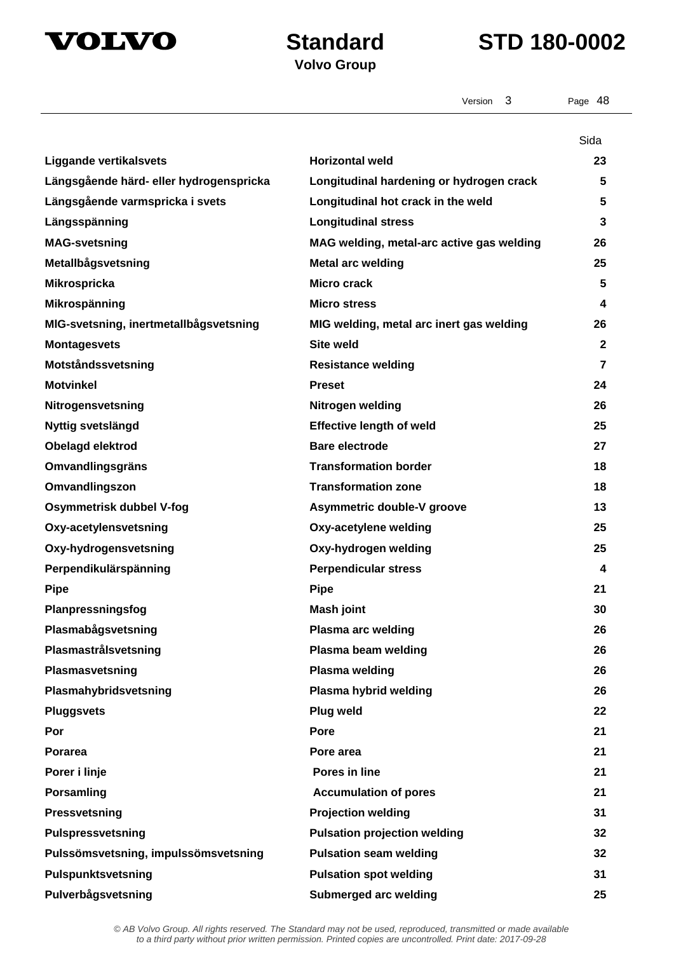



Version 3 Page 48

**Volvo Group** 

|                                         |                                           | Sida         |
|-----------------------------------------|-------------------------------------------|--------------|
| <b>Liggande vertikalsvets</b>           | <b>Horizontal weld</b>                    | 23           |
| Längsgående härd- eller hydrogenspricka | Longitudinal hardening or hydrogen crack  | 5            |
| Längsgående varmspricka i svets         | Longitudinal hot crack in the weld        | 5            |
| Längsspänning                           | <b>Longitudinal stress</b>                | 3            |
| <b>MAG-svetsning</b>                    | MAG welding, metal-arc active gas welding | 26           |
| Metallbågsvetsning                      | <b>Metal arc welding</b>                  | 25           |
| <b>Mikrospricka</b>                     | Micro crack                               | 5            |
| Mikrospänning                           | <b>Micro stress</b>                       | 4            |
| MIG-svetsning, inertmetallbågsvetsning  | MIG welding, metal arc inert gas welding  | 26           |
| <b>Montagesvets</b>                     | <b>Site weld</b>                          | $\mathbf{2}$ |
| Motståndssvetsning                      | <b>Resistance welding</b>                 | 7            |
| <b>Motvinkel</b>                        | <b>Preset</b>                             | 24           |
| Nitrogensvetsning                       | Nitrogen welding                          | 26           |
| Nyttig svetslängd                       | <b>Effective length of weld</b>           | 25           |
| Obelagd elektrod                        | <b>Bare electrode</b>                     | 27           |
| Omvandlingsgräns                        | <b>Transformation border</b>              | 18           |
| Omvandlingszon                          | <b>Transformation zone</b>                | 18           |
| Osymmetrisk dubbel V-fog                | Asymmetric double-V groove                | 13           |
| Oxy-acetylensvetsning                   | Oxy-acetylene welding                     | 25           |
| Oxy-hydrogensvetsning                   | Oxy-hydrogen welding                      | 25           |
| Perpendikulärspänning                   | <b>Perpendicular stress</b>               | 4            |
| <b>Pipe</b>                             | <b>Pipe</b>                               | 21           |
| Planpressningsfog                       | Mash joint                                | 30           |
| Plasmabågsvetsning                      | Plasma arc welding                        | 26           |
| Plasmastrålsvetsning                    | Plasma beam welding                       | 26           |
| Plasmasvetsning                         | Plasma welding                            | 26           |
| Plasmahybridsvetsning                   | Plasma hybrid welding                     | 26           |
| <b>Pluggsvets</b>                       | Plug weld                                 | 22           |
| Por                                     | Pore                                      | 21           |
| Porarea                                 | Pore area                                 | 21           |
| Porer i linje                           | Pores in line                             | 21           |
| Porsamling                              | <b>Accumulation of pores</b>              | 21           |
| Pressvetsning                           | <b>Projection welding</b>                 | 31           |
| Pulspressvetsning                       | <b>Pulsation projection welding</b>       | 32           |
| Pulssömsvetsning, impulssömsvetsning    | <b>Pulsation seam welding</b>             | 32           |
| Pulspunktsvetsning                      | <b>Pulsation spot welding</b>             | 31           |
| Pulverbågsvetsning                      | <b>Submerged arc welding</b>              | 25           |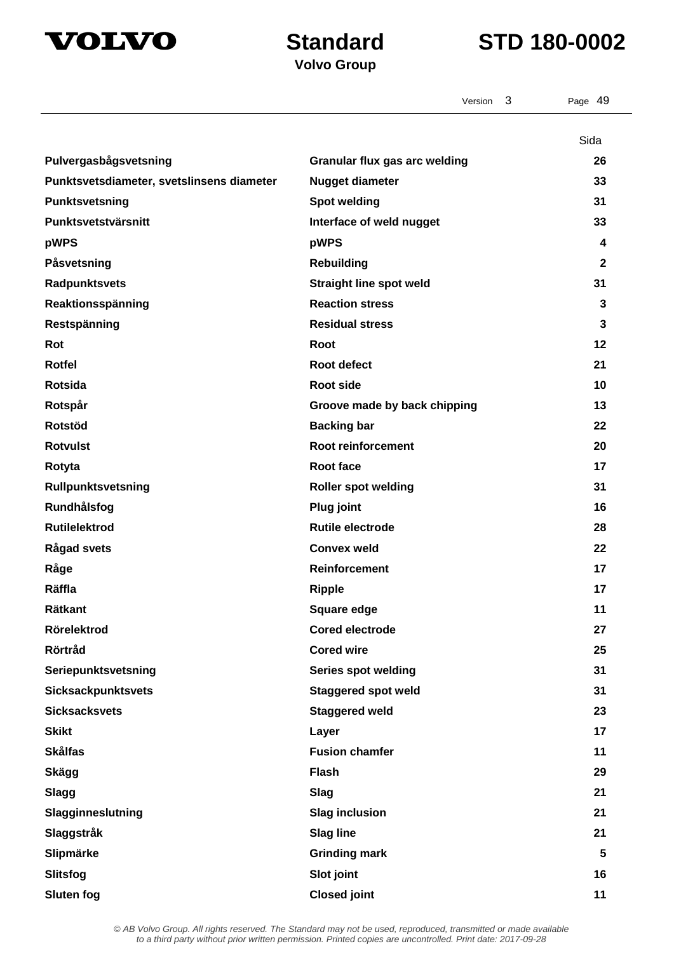

## **Volvo Group**

|                                           | 3<br>Version                         | Page 49      |
|-------------------------------------------|--------------------------------------|--------------|
|                                           |                                      | Sida         |
| Pulvergasbågsvetsning                     | <b>Granular flux gas arc welding</b> | 26           |
| Punktsvetsdiameter, svetslinsens diameter | <b>Nugget diameter</b>               | 33           |
| Punktsvetsning                            | <b>Spot welding</b>                  | 31           |
| Punktsvetstvärsnitt                       | Interface of weld nugget             | 33           |
| pWPS                                      | pWPS                                 | 4            |
| Påsvetsning                               | <b>Rebuilding</b>                    | $\mathbf{2}$ |
| Radpunktsvets                             | <b>Straight line spot weld</b>       | 31           |
| Reaktionsspänning                         | <b>Reaction stress</b>               | 3            |
| Restspänning                              | <b>Residual stress</b>               | 3            |
| Rot                                       | Root                                 | 12           |
| <b>Rotfel</b>                             | Root defect                          | 21           |
| Rotsida                                   | <b>Root side</b>                     | 10           |
| Rotspår                                   | Groove made by back chipping         | 13           |
| Rotstöd                                   | <b>Backing bar</b>                   | 22           |
| <b>Rotvulst</b>                           | Root reinforcement                   | 20           |
| Rotyta                                    | Root face                            | 17           |
| Rullpunktsvetsning                        | <b>Roller spot welding</b>           | 31           |
| Rundhålsfog                               | <b>Plug joint</b>                    | 16           |
| <b>Rutilelektrod</b>                      | <b>Rutile electrode</b>              | 28           |
| <b>Rågad svets</b>                        | <b>Convex weld</b>                   | 22           |
| Råge                                      | <b>Reinforcement</b>                 | 17           |
| Räffla                                    | <b>Ripple</b>                        | 17           |
| <b>Rätkant</b>                            | Square edge                          | 11           |
| Rörelektrod                               | <b>Cored electrode</b>               | 27           |
| Rörtråd                                   | <b>Cored wire</b>                    | 25           |
| Seriepunktsvetsning                       | <b>Series spot welding</b>           | 31           |
| <b>Sicksackpunktsvets</b>                 | <b>Staggered spot weld</b>           | 31           |
| <b>Sicksacksvets</b>                      | <b>Staggered weld</b>                | 23           |
| <b>Skikt</b>                              | Layer                                | 17           |
| <b>Skålfas</b>                            | <b>Fusion chamfer</b>                | 11           |
| Skägg                                     | <b>Flash</b>                         | 29           |
| <b>Slagg</b>                              | Slag                                 | 21           |
| Slagginneslutning                         | <b>Slag inclusion</b>                | 21           |
| Slaggstråk                                | <b>Slag line</b>                     | 21           |
| Slipmärke                                 | <b>Grinding mark</b>                 | 5            |
| Slitsfog                                  | Slot joint                           | 16           |
| <b>Sluten fog</b>                         | <b>Closed joint</b>                  | 11           |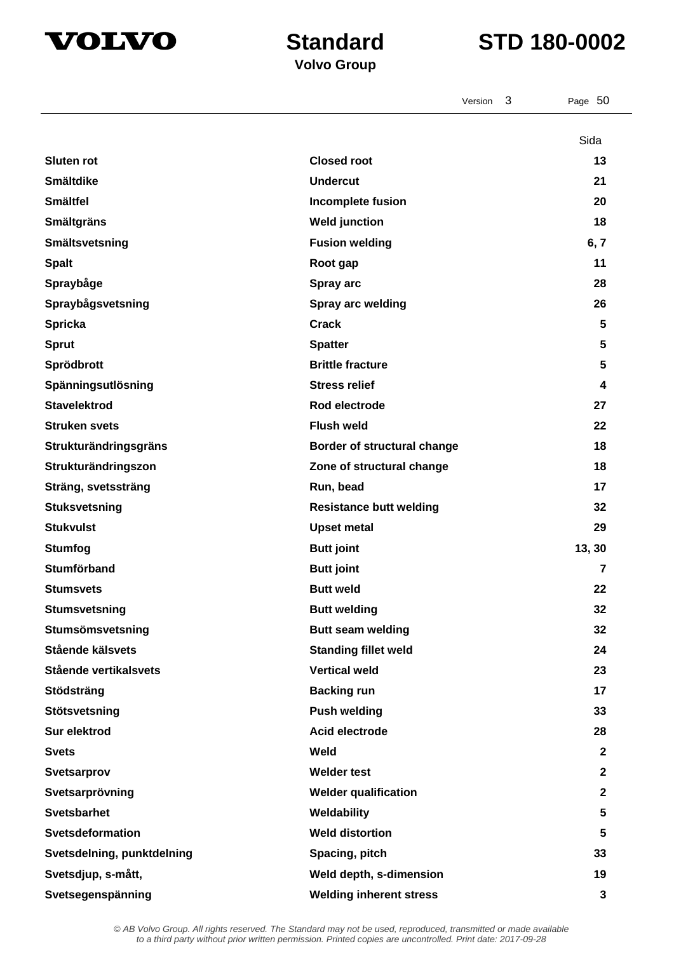



Version 3 Page 50

## **Volvo Group**

|                            |                                | Sida           |
|----------------------------|--------------------------------|----------------|
| <b>Sluten rot</b>          | <b>Closed root</b>             | 13             |
| <b>Smältdike</b>           | <b>Undercut</b>                | 21             |
| <b>Smältfel</b>            | Incomplete fusion              | 20             |
| <b>Smältgräns</b>          | <b>Weld junction</b>           | 18             |
| Smältsvetsning             | <b>Fusion welding</b>          | 6, 7           |
| <b>Spalt</b>               | Root gap                       | 11             |
| Spraybåge                  | Spray arc                      | 28             |
| Spraybågsvetsning          | Spray arc welding              | 26             |
| <b>Spricka</b>             | <b>Crack</b>                   | 5              |
| <b>Sprut</b>               | <b>Spatter</b>                 | 5              |
| Sprödbrott                 | <b>Brittle fracture</b>        | 5              |
| Spänningsutlösning         | <b>Stress relief</b>           | 4              |
| <b>Stavelektrod</b>        | Rod electrode                  | 27             |
| <b>Struken svets</b>       | <b>Flush weld</b>              | 22             |
| Strukturändringsgräns      | Border of structural change    | 18             |
| Strukturändringszon        | Zone of structural change      | 18             |
| Sträng, svetssträng        | Run, bead                      | 17             |
| <b>Stuksvetsning</b>       | <b>Resistance butt welding</b> | 32             |
| <b>Stukvulst</b>           | <b>Upset metal</b>             | 29             |
| <b>Stumfog</b>             | <b>Butt joint</b>              | 13, 30         |
| Stumförband                | <b>Butt joint</b>              | $\overline{7}$ |
| <b>Stumsvets</b>           | <b>Butt weld</b>               | 22             |
| <b>Stumsvetsning</b>       | <b>Butt welding</b>            | 32             |
| Stumsömsvetsning           | <b>Butt seam welding</b>       | 32             |
| Stående kälsvets           | <b>Standing fillet weld</b>    | 24             |
| Stående vertikalsvets      | <b>Vertical weld</b>           | 23             |
| Stödsträng                 | <b>Backing run</b>             | 17             |
| Stötsvetsning              | <b>Push welding</b>            | 33             |
| Sur elektrod               | Acid electrode                 | 28             |
| <b>Svets</b>               | Weld                           | $\mathbf 2$    |
| <b>Svetsarprov</b>         | <b>Welder test</b>             | $\mathbf 2$    |
| Svetsarprövning            | <b>Welder qualification</b>    | $\mathbf 2$    |
| <b>Svetsbarhet</b>         | Weldability                    | 5              |
| Svetsdeformation           | <b>Weld distortion</b>         | 5              |
| Svetsdelning, punktdelning | Spacing, pitch                 | 33             |
| Svetsdjup, s-mått,         | Weld depth, s-dimension        | 19             |
| Svetsegenspänning          | <b>Welding inherent stress</b> | 3              |
|                            |                                |                |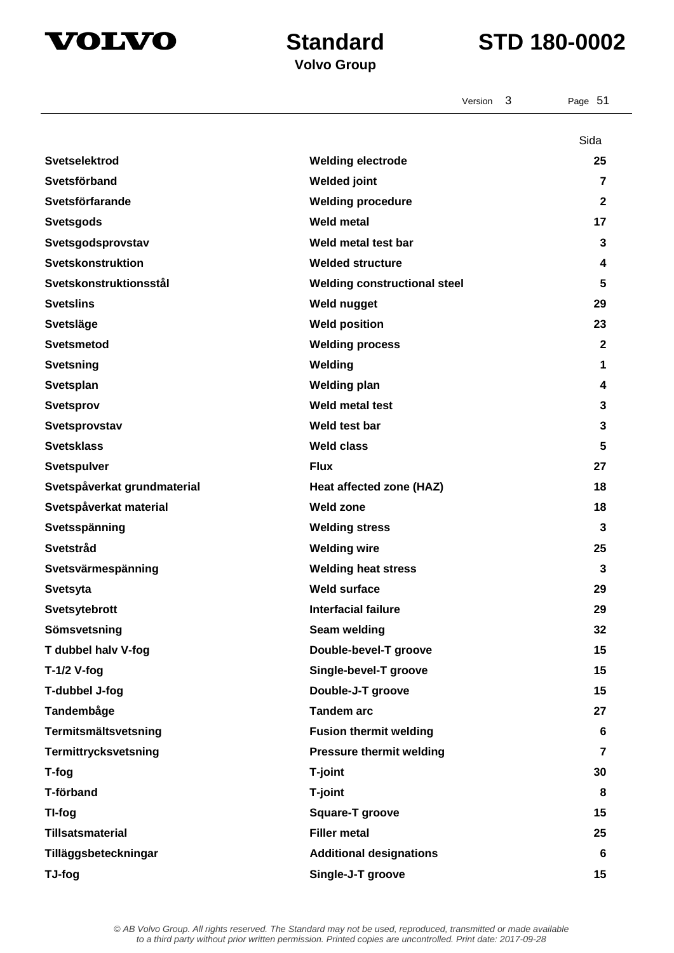

|                             | 3<br>Version                        | Page 51        |
|-----------------------------|-------------------------------------|----------------|
|                             |                                     | Sida           |
| <b>Svetselektrod</b>        | <b>Welding electrode</b>            | 25             |
| Svetsförband                | <b>Welded joint</b>                 | $\overline{7}$ |
| Svetsförfarande             | <b>Welding procedure</b>            | 2              |
| <b>Svetsgods</b>            | <b>Weld metal</b>                   | 17             |
| Svetsgodsprovstav           | Weld metal test bar                 | 3              |
| Svetskonstruktion           | <b>Welded structure</b>             | 4              |
| Svetskonstruktionsstål      | <b>Welding constructional steel</b> | 5              |
| <b>Svetslins</b>            | <b>Weld nugget</b>                  | 29             |
| <b>Svetsläge</b>            | <b>Weld position</b>                | 23             |
| <b>Svetsmetod</b>           | <b>Welding process</b>              | $\mathbf{2}$   |
| <b>Svetsning</b>            | Welding                             | 1              |
| Svetsplan                   | <b>Welding plan</b>                 | 4              |
| <b>Svetsprov</b>            | <b>Weld metal test</b>              | 3              |
| Svetsprovstav               | Weld test bar                       | 3              |
| <b>Svetsklass</b>           | <b>Weld class</b>                   | 5              |
| <b>Svetspulver</b>          | <b>Flux</b>                         | 27             |
| Svetspåverkat grundmaterial | Heat affected zone (HAZ)            | 18             |
| Svetspåverkat material      | <b>Weld zone</b>                    | 18             |
| Svetsspänning               | <b>Welding stress</b>               | 3              |
| Svetstråd                   | <b>Welding wire</b>                 | 25             |
| Svetsvärmespänning          | <b>Welding heat stress</b>          | 3              |
| <b>Svetsyta</b>             | <b>Weld surface</b>                 | 29             |
| Svetsytebrott               | <b>Interfacial failure</b>          | 29             |
| Sömsvetsning                | Seam welding                        | 32             |
| T dubbel halv V-fog         | Double-bevel-T groove               | 15             |
| $T-1/2$ V-fog               | Single-bevel-T groove               | 15             |
| T-dubbel J-fog              | Double-J-T groove                   | 15             |
| Tandembåge                  | <b>Tandem arc</b>                   | 27             |
| Termitsmältsvetsning        | <b>Fusion thermit welding</b>       | 6              |
| Termittrycksvetsning        | <b>Pressure thermit welding</b>     | 7              |
| T-fog                       | T-joint                             | 30             |
| T-förband                   | T-joint                             | 8              |
| TI-fog                      | <b>Square-T groove</b>              | 15             |
| <b>Tillsatsmaterial</b>     | <b>Filler metal</b>                 | 25             |
| Tilläggsbeteckningar        | <b>Additional designations</b>      | 6              |
| TJ-fog                      | Single-J-T groove                   | 15             |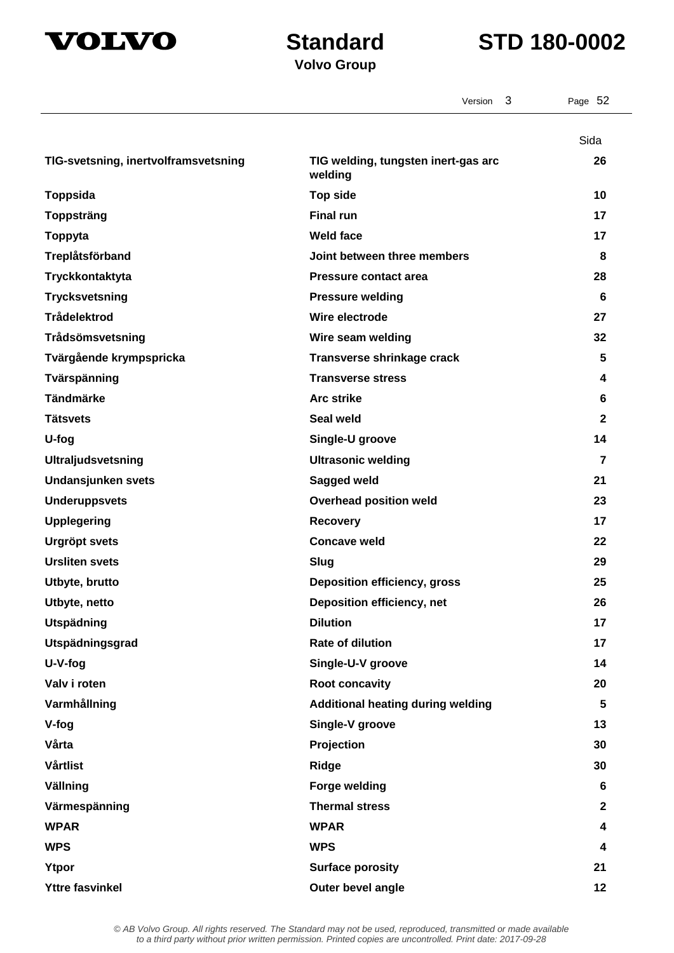



|                                      | 3<br>Version                                   | Page 52        |
|--------------------------------------|------------------------------------------------|----------------|
|                                      |                                                | Sida           |
| TIG-svetsning, inertvolframsvetsning | TIG welding, tungsten inert-gas arc<br>welding | 26             |
| <b>Toppsida</b>                      | <b>Top side</b>                                | 10             |
| <b>Toppsträng</b>                    | <b>Final run</b>                               | 17             |
| Toppyta                              | <b>Weld face</b>                               | 17             |
| Treplåtsförband                      | Joint between three members                    | 8              |
| Tryckkontaktyta                      | <b>Pressure contact area</b>                   | 28             |
| <b>Trycksvetsning</b>                | <b>Pressure welding</b>                        | 6              |
| <b>Trådelektrod</b>                  | Wire electrode                                 | 27             |
| Trådsömsvetsning                     | Wire seam welding                              | 32             |
| Tvärgående krympspricka              | Transverse shrinkage crack                     | 5              |
| Tvärspänning                         | <b>Transverse stress</b>                       | 4              |
| <b>Tändmärke</b>                     | <b>Arc strike</b>                              | 6              |
| <b>Tätsvets</b>                      | Seal weld                                      | $\mathbf{2}$   |
| U-fog                                | Single-U groove                                | 14             |
| <b>Ultraljudsvetsning</b>            | <b>Ultrasonic welding</b>                      | 7              |
| Undansjunken svets                   | Sagged weld                                    | 21             |
| <b>Underuppsvets</b>                 | <b>Overhead position weld</b>                  | 23             |
| <b>Upplegering</b>                   | <b>Recovery</b>                                | 17             |
| <b>Urgröpt svets</b>                 | <b>Concave weld</b>                            | 22             |
| <b>Ursliten svets</b>                | Slug                                           | 29             |
| Utbyte, brutto                       | <b>Deposition efficiency, gross</b>            | 25             |
| Utbyte, netto                        | Deposition efficiency, net                     | 26             |
| <b>Utspädning</b>                    | <b>Dilution</b>                                | 17             |
| Utspädningsgrad                      | <b>Rate of dilution</b>                        | 17             |
| U-V-fog                              | Single-U-V groove                              | 14             |
| Valv i roten                         | Root concavity                                 | 20             |
| Varmhållning                         | <b>Additional heating during welding</b>       | 5              |
| V-fog                                | Single-V groove                                | 13             |
| Vårta                                | Projection                                     | 30             |
| Vårtlist                             | <b>Ridge</b>                                   | 30             |
| Vällning                             | <b>Forge welding</b>                           | 6              |
| Värmespänning                        | <b>Thermal stress</b>                          | $\overline{2}$ |
| <b>WPAR</b>                          | <b>WPAR</b>                                    | 4              |
| <b>WPS</b>                           | <b>WPS</b>                                     | 4              |
| Ytpor                                | <b>Surface porosity</b>                        | 21             |
| <b>Yttre fasvinkel</b>               | Outer bevel angle                              | 12             |